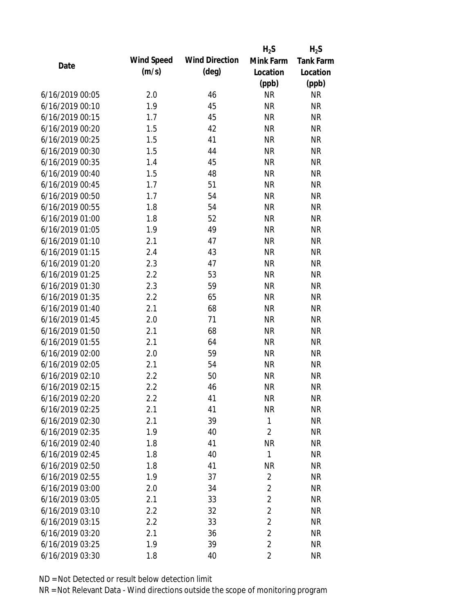|                 |            |                       | $H_2S$         | $H_2S$    |
|-----------------|------------|-----------------------|----------------|-----------|
| Date            | Wind Speed | <b>Wind Direction</b> | Mink Farm      | Tank Farm |
|                 | (m/s)      | $(\text{deg})$        | Location       | Location  |
|                 |            |                       | (ppb)          | (ppb)     |
| 6/16/2019 00:05 | 2.0        | 46                    | <b>NR</b>      | <b>NR</b> |
| 6/16/2019 00:10 | 1.9        | 45                    | <b>NR</b>      | <b>NR</b> |
| 6/16/2019 00:15 | 1.7        | 45                    | <b>NR</b>      | <b>NR</b> |
| 6/16/2019 00:20 | 1.5        | 42                    | <b>NR</b>      | <b>NR</b> |
| 6/16/2019 00:25 | 1.5        | 41                    | <b>NR</b>      | <b>NR</b> |
| 6/16/2019 00:30 | 1.5        | 44                    | <b>NR</b>      | <b>NR</b> |
| 6/16/2019 00:35 | 1.4        | 45                    | <b>NR</b>      | <b>NR</b> |
| 6/16/2019 00:40 | 1.5        | 48                    | <b>NR</b>      | <b>NR</b> |
| 6/16/2019 00:45 | 1.7        | 51                    | <b>NR</b>      | <b>NR</b> |
| 6/16/2019 00:50 | 1.7        | 54                    | <b>NR</b>      | <b>NR</b> |
| 6/16/2019 00:55 | 1.8        | 54                    | <b>NR</b>      | <b>NR</b> |
| 6/16/2019 01:00 | 1.8        | 52                    | <b>NR</b>      | <b>NR</b> |
| 6/16/2019 01:05 | 1.9        | 49                    | <b>NR</b>      | <b>NR</b> |
| 6/16/2019 01:10 | 2.1        | 47                    | <b>NR</b>      | <b>NR</b> |
| 6/16/2019 01:15 | 2.4        | 43                    | <b>NR</b>      | <b>NR</b> |
| 6/16/2019 01:20 | 2.3        | 47                    | <b>NR</b>      | <b>NR</b> |
| 6/16/2019 01:25 | 2.2        | 53                    | <b>NR</b>      | <b>NR</b> |
| 6/16/2019 01:30 | 2.3        | 59                    | <b>NR</b>      | <b>NR</b> |
| 6/16/2019 01:35 | 2.2        | 65                    | <b>NR</b>      | <b>NR</b> |
| 6/16/2019 01:40 | 2.1        | 68                    | <b>NR</b>      | <b>NR</b> |
| 6/16/2019 01:45 | 2.0        | 71                    | <b>NR</b>      | <b>NR</b> |
| 6/16/2019 01:50 | 2.1        | 68                    | <b>NR</b>      | <b>NR</b> |
| 6/16/2019 01:55 | 2.1        | 64                    | <b>NR</b>      | <b>NR</b> |
| 6/16/2019 02:00 | 2.0        | 59                    | <b>NR</b>      | <b>NR</b> |
| 6/16/2019 02:05 | 2.1        | 54                    | <b>NR</b>      | <b>NR</b> |
| 6/16/2019 02:10 | 2.2        | 50                    | <b>NR</b>      | <b>NR</b> |
| 6/16/2019 02:15 | 2.2        | 46                    | <b>NR</b>      | <b>NR</b> |
| 6/16/2019 02:20 | 2.2        | 41                    | <b>NR</b>      | <b>NR</b> |
| 6/16/2019 02:25 | 2.1        | 41                    | <b>NR</b>      | <b>NR</b> |
| 6/16/2019 02:30 | 2.1        | 39                    | $\mathbf{1}$   | <b>NR</b> |
| 6/16/2019 02:35 | 1.9        | 40                    | $\overline{2}$ | <b>NR</b> |
| 6/16/2019 02:40 | 1.8        | 41                    | <b>NR</b>      | <b>NR</b> |
| 6/16/2019 02:45 | 1.8        | 40                    | $\mathbf{1}$   | <b>NR</b> |
| 6/16/2019 02:50 | 1.8        | 41                    | <b>NR</b>      | <b>NR</b> |
| 6/16/2019 02:55 | 1.9        | 37                    | 2              | <b>NR</b> |
| 6/16/2019 03:00 | 2.0        | 34                    | $\overline{2}$ | <b>NR</b> |
| 6/16/2019 03:05 | 2.1        | 33                    | $\overline{2}$ | <b>NR</b> |
| 6/16/2019 03:10 | 2.2        | 32                    | $\overline{2}$ | <b>NR</b> |
| 6/16/2019 03:15 | 2.2        | 33                    | $\overline{2}$ | <b>NR</b> |
| 6/16/2019 03:20 | 2.1        | 36                    | $\overline{2}$ | <b>NR</b> |
| 6/16/2019 03:25 | 1.9        | 39                    | $\overline{2}$ | <b>NR</b> |
| 6/16/2019 03:30 | 1.8        | 40                    | $\overline{2}$ | <b>NR</b> |
|                 |            |                       |                |           |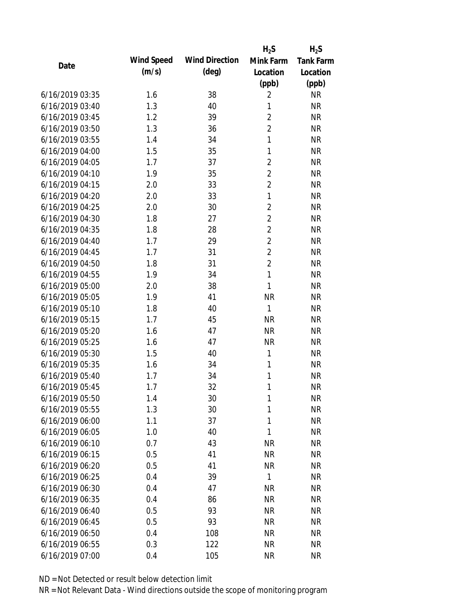|                 |            |                       | $H_2S$         | $H_2S$    |
|-----------------|------------|-----------------------|----------------|-----------|
| Date            | Wind Speed | <b>Wind Direction</b> | Mink Farm      | Tank Farm |
|                 | (m/s)      | $(\text{deg})$        | Location       | Location  |
|                 |            |                       | (ppb)          | (ppb)     |
| 6/16/2019 03:35 | 1.6        | 38                    | $\overline{2}$ | <b>NR</b> |
| 6/16/2019 03:40 | 1.3        | 40                    | 1              | <b>NR</b> |
| 6/16/2019 03:45 | 1.2        | 39                    | $\sqrt{2}$     | <b>NR</b> |
| 6/16/2019 03:50 | 1.3        | 36                    | $\overline{2}$ | <b>NR</b> |
| 6/16/2019 03:55 | 1.4        | 34                    | $\mathbf{1}$   | <b>NR</b> |
| 6/16/2019 04:00 | 1.5        | 35                    | 1              | <b>NR</b> |
| 6/16/2019 04:05 | 1.7        | 37                    | $\overline{2}$ | <b>NR</b> |
| 6/16/2019 04:10 | 1.9        | 35                    | $\overline{2}$ | <b>NR</b> |
| 6/16/2019 04:15 | 2.0        | 33                    | $\overline{2}$ | <b>NR</b> |
| 6/16/2019 04:20 | 2.0        | 33                    | 1              | <b>NR</b> |
| 6/16/2019 04:25 | 2.0        | 30                    | $\overline{2}$ | <b>NR</b> |
| 6/16/2019 04:30 | 1.8        | 27                    | $\overline{2}$ | <b>NR</b> |
| 6/16/2019 04:35 | 1.8        | 28                    | $\overline{2}$ | <b>NR</b> |
| 6/16/2019 04:40 | 1.7        | 29                    | $\overline{2}$ | <b>NR</b> |
| 6/16/2019 04:45 | 1.7        | 31                    | $\overline{2}$ | <b>NR</b> |
| 6/16/2019 04:50 | 1.8        | 31                    | $\overline{2}$ | <b>NR</b> |
| 6/16/2019 04:55 | 1.9        | 34                    | 1              | <b>NR</b> |
| 6/16/2019 05:00 | 2.0        | 38                    | $\mathbf{1}$   | <b>NR</b> |
| 6/16/2019 05:05 | 1.9        | 41                    | <b>NR</b>      | <b>NR</b> |
| 6/16/2019 05:10 | 1.8        | 40                    | $\mathbf{1}$   | <b>NR</b> |
| 6/16/2019 05:15 | 1.7        | 45                    | <b>NR</b>      | <b>NR</b> |
| 6/16/2019 05:20 | 1.6        | 47                    | <b>NR</b>      | <b>NR</b> |
| 6/16/2019 05:25 | 1.6        | 47                    | <b>NR</b>      | <b>NR</b> |
| 6/16/2019 05:30 | 1.5        | 40                    | $\mathbf{1}$   | <b>NR</b> |
| 6/16/2019 05:35 | 1.6        | 34                    | $\mathbf{1}$   | <b>NR</b> |
| 6/16/2019 05:40 | 1.7        | 34                    | 1              | <b>NR</b> |
| 6/16/2019 05:45 | 1.7        | 32                    | 1              | <b>NR</b> |
| 6/16/2019 05:50 | 1.4        | 30                    | 1              | <b>NR</b> |
| 6/16/2019 05:55 | 1.3        | 30                    | 1              | <b>NR</b> |
| 6/16/2019 06:00 | 1.1        | 37                    | 1              | <b>NR</b> |
| 6/16/2019 06:05 | 1.0        | 40                    | 1              | <b>NR</b> |
| 6/16/2019 06:10 | 0.7        | 43                    | <b>NR</b>      | <b>NR</b> |
| 6/16/2019 06:15 | 0.5        | 41                    | <b>NR</b>      | <b>NR</b> |
| 6/16/2019 06:20 | 0.5        | 41                    | <b>NR</b>      | <b>NR</b> |
| 6/16/2019 06:25 | 0.4        | 39                    | 1              | <b>NR</b> |
| 6/16/2019 06:30 | 0.4        | 47                    | <b>NR</b>      | <b>NR</b> |
| 6/16/2019 06:35 | 0.4        | 86                    | <b>NR</b>      | <b>NR</b> |
| 6/16/2019 06:40 | 0.5        | 93                    | NR             | <b>NR</b> |
| 6/16/2019 06:45 | 0.5        | 93                    | <b>NR</b>      | <b>NR</b> |
| 6/16/2019 06:50 | 0.4        | 108                   | <b>NR</b>      | <b>NR</b> |
| 6/16/2019 06:55 | 0.3        | 122                   | <b>NR</b>      | <b>NR</b> |
| 6/16/2019 07:00 | 0.4        | 105                   | <b>NR</b>      | <b>NR</b> |
|                 |            |                       |                |           |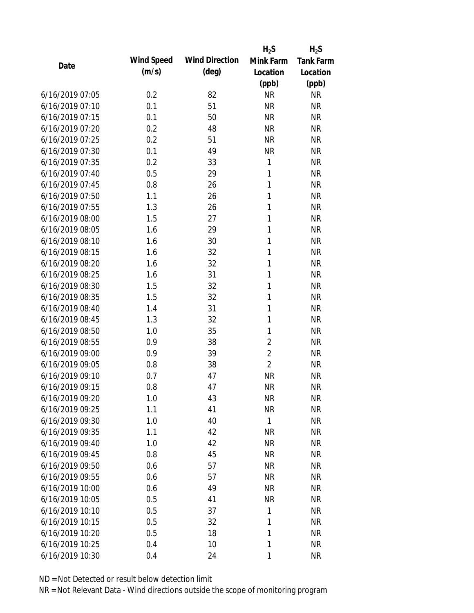|                 |            |                       | $H_2S$         | $H_2S$           |
|-----------------|------------|-----------------------|----------------|------------------|
| Date            | Wind Speed | <b>Wind Direction</b> | Mink Farm      | <b>Tank Farm</b> |
|                 | (m/s)      | $(\text{deg})$        | Location       | Location         |
|                 |            |                       | (ppb)          | (ppb)            |
| 6/16/2019 07:05 | 0.2        | 82                    | <b>NR</b>      | <b>NR</b>        |
| 6/16/2019 07:10 | 0.1        | 51                    | <b>NR</b>      | <b>NR</b>        |
| 6/16/2019 07:15 | 0.1        | 50                    | <b>NR</b>      | <b>NR</b>        |
| 6/16/2019 07:20 | 0.2        | 48                    | <b>NR</b>      | <b>NR</b>        |
| 6/16/2019 07:25 | 0.2        | 51                    | <b>NR</b>      | <b>NR</b>        |
| 6/16/2019 07:30 | 0.1        | 49                    | <b>NR</b>      | <b>NR</b>        |
| 6/16/2019 07:35 | 0.2        | 33                    | 1              | <b>NR</b>        |
| 6/16/2019 07:40 | 0.5        | 29                    | 1              | <b>NR</b>        |
| 6/16/2019 07:45 | 0.8        | 26                    | 1              | <b>NR</b>        |
| 6/16/2019 07:50 | 1.1        | 26                    | 1              | <b>NR</b>        |
| 6/16/2019 07:55 | 1.3        | 26                    | 1              | <b>NR</b>        |
| 6/16/2019 08:00 | 1.5        | 27                    | 1              | <b>NR</b>        |
| 6/16/2019 08:05 | 1.6        | 29                    | 1              | <b>NR</b>        |
| 6/16/2019 08:10 | 1.6        | 30                    | 1              | <b>NR</b>        |
| 6/16/2019 08:15 | 1.6        | 32                    | 1              | <b>NR</b>        |
| 6/16/2019 08:20 | 1.6        | 32                    | 1              | <b>NR</b>        |
| 6/16/2019 08:25 | 1.6        | 31                    | 1              | <b>NR</b>        |
| 6/16/2019 08:30 | 1.5        | 32                    | 1              | <b>NR</b>        |
| 6/16/2019 08:35 | 1.5        | 32                    | 1              | <b>NR</b>        |
| 6/16/2019 08:40 | 1.4        | 31                    | 1              | <b>NR</b>        |
| 6/16/2019 08:45 | 1.3        | 32                    | 1              | <b>NR</b>        |
| 6/16/2019 08:50 | 1.0        | 35                    | 1              | <b>NR</b>        |
| 6/16/2019 08:55 | 0.9        | 38                    | $\overline{2}$ | <b>NR</b>        |
| 6/16/2019 09:00 | 0.9        | 39                    | $\overline{2}$ | <b>NR</b>        |
| 6/16/2019 09:05 | 0.8        | 38                    | $\overline{2}$ | <b>NR</b>        |
| 6/16/2019 09:10 | 0.7        | 47                    | <b>NR</b>      | <b>NR</b>        |
| 6/16/2019 09:15 | 0.8        | 47                    | <b>NR</b>      | <b>NR</b>        |
| 6/16/2019 09:20 | 1.0        | 43                    | <b>NR</b>      | <b>NR</b>        |
| 6/16/2019 09:25 | 1.1        | 41                    | <b>NR</b>      | <b>NR</b>        |
| 6/16/2019 09:30 | 1.0        | 40                    | 1              | <b>NR</b>        |
| 6/16/2019 09:35 | 1.1        | 42                    | <b>NR</b>      | <b>NR</b>        |
| 6/16/2019 09:40 | 1.0        | 42                    | <b>NR</b>      | <b>NR</b>        |
| 6/16/2019 09:45 | 0.8        | 45                    | <b>NR</b>      | <b>NR</b>        |
| 6/16/2019 09:50 | 0.6        | 57                    | <b>NR</b>      | <b>NR</b>        |
| 6/16/2019 09:55 | 0.6        | 57                    | <b>NR</b>      | <b>NR</b>        |
| 6/16/2019 10:00 | 0.6        | 49                    | <b>NR</b>      | <b>NR</b>        |
| 6/16/2019 10:05 | 0.5        | 41                    | <b>NR</b>      | <b>NR</b>        |
| 6/16/2019 10:10 | 0.5        | 37                    | 1              | <b>NR</b>        |
| 6/16/2019 10:15 | 0.5        | 32                    | 1              | <b>NR</b>        |
| 6/16/2019 10:20 | 0.5        | 18                    | 1              | <b>NR</b>        |
| 6/16/2019 10:25 | 0.4        | 10                    | 1              | <b>NR</b>        |
| 6/16/2019 10:30 | 0.4        | 24                    | 1              | <b>NR</b>        |
|                 |            |                       |                |                  |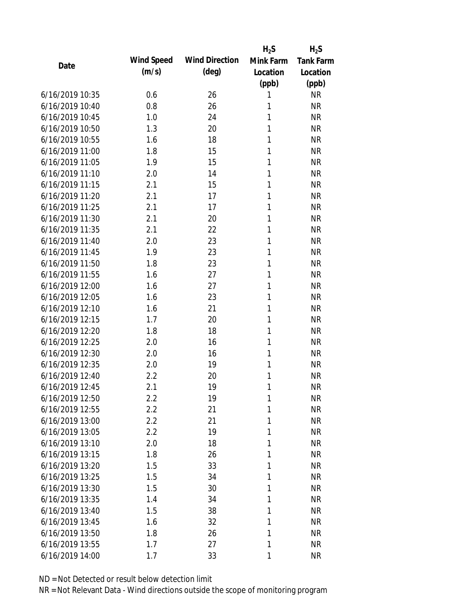|                 |            |                       | $H_2S$       | $H_2S$    |
|-----------------|------------|-----------------------|--------------|-----------|
| Date            | Wind Speed | <b>Wind Direction</b> | Mink Farm    | Tank Farm |
|                 | (m/s)      | $(\text{deg})$        | Location     | Location  |
|                 |            |                       | (ppb)        | (ppb)     |
| 6/16/2019 10:35 | 0.6        | 26                    | 1            | <b>NR</b> |
| 6/16/2019 10:40 | 0.8        | 26                    | 1            | <b>NR</b> |
| 6/16/2019 10:45 | 1.0        | 24                    | 1            | <b>NR</b> |
| 6/16/2019 10:50 | 1.3        | 20                    | 1            | <b>NR</b> |
| 6/16/2019 10:55 | 1.6        | 18                    | 1            | <b>NR</b> |
| 6/16/2019 11:00 | 1.8        | 15                    | 1            | <b>NR</b> |
| 6/16/2019 11:05 | 1.9        | 15                    | 1            | <b>NR</b> |
| 6/16/2019 11:10 | 2.0        | 14                    | 1            | <b>NR</b> |
| 6/16/2019 11:15 | 2.1        | 15                    | 1            | <b>NR</b> |
| 6/16/2019 11:20 | 2.1        | 17                    | 1            | <b>NR</b> |
| 6/16/2019 11:25 | 2.1        | 17                    | 1            | <b>NR</b> |
| 6/16/2019 11:30 | 2.1        | 20                    | 1            | <b>NR</b> |
| 6/16/2019 11:35 | 2.1        | 22                    | $\mathbf{1}$ | <b>NR</b> |
| 6/16/2019 11:40 | 2.0        | 23                    | 1            | <b>NR</b> |
| 6/16/2019 11:45 | 1.9        | 23                    | 1            | <b>NR</b> |
| 6/16/2019 11:50 | 1.8        | 23                    | 1            | <b>NR</b> |
| 6/16/2019 11:55 | 1.6        | 27                    | 1            | <b>NR</b> |
| 6/16/2019 12:00 | 1.6        | 27                    | $\mathbf{1}$ | <b>NR</b> |
| 6/16/2019 12:05 | 1.6        | 23                    | 1            | <b>NR</b> |
| 6/16/2019 12:10 | 1.6        | 21                    | 1            | <b>NR</b> |
| 6/16/2019 12:15 | 1.7        | 20                    | 1            | <b>NR</b> |
| 6/16/2019 12:20 | 1.8        | 18                    | 1            | <b>NR</b> |
| 6/16/2019 12:25 | 2.0        | 16                    | 1            | <b>NR</b> |
| 6/16/2019 12:30 | 2.0        | 16                    | 1            | <b>NR</b> |
| 6/16/2019 12:35 | 2.0        | 19                    | 1            | <b>NR</b> |
| 6/16/2019 12:40 | 2.2        | 20                    | 1            | <b>NR</b> |
| 6/16/2019 12:45 | 2.1        | 19                    | 1            | <b>NR</b> |
| 6/16/2019 12:50 | 2.2        | 19                    | 1            | <b>NR</b> |
| 6/16/2019 12:55 | 2.2        | 21                    | 1            | <b>NR</b> |
| 6/16/2019 13:00 | 2.2        | 21                    | 1            | <b>NR</b> |
| 6/16/2019 13:05 | 2.2        | 19                    | 1            | <b>NR</b> |
| 6/16/2019 13:10 | 2.0        | 18                    | 1            | <b>NR</b> |
| 6/16/2019 13:15 | 1.8        | 26                    | 1            | <b>NR</b> |
| 6/16/2019 13:20 | 1.5        | 33                    | 1            | <b>NR</b> |
| 6/16/2019 13:25 | 1.5        | 34                    | 1            | <b>NR</b> |
| 6/16/2019 13:30 | 1.5        | 30                    | 1            | <b>NR</b> |
| 6/16/2019 13:35 | 1.4        | 34                    | 1            | <b>NR</b> |
| 6/16/2019 13:40 | 1.5        | 38                    | 1            | <b>NR</b> |
| 6/16/2019 13:45 | 1.6        | 32                    | 1            | <b>NR</b> |
| 6/16/2019 13:50 | 1.8        | 26                    | 1            | <b>NR</b> |
| 6/16/2019 13:55 | 1.7        | 27                    | 1            | <b>NR</b> |
| 6/16/2019 14:00 | 1.7        | 33                    | 1            | <b>NR</b> |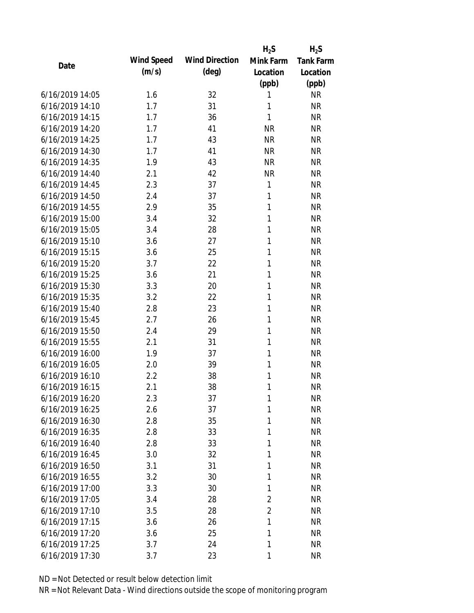|                 |            |                       | $H_2S$         | $H_2S$           |
|-----------------|------------|-----------------------|----------------|------------------|
| Date            | Wind Speed | <b>Wind Direction</b> | Mink Farm      | <b>Tank Farm</b> |
|                 | (m/s)      | $(\text{deg})$        | Location       | Location         |
|                 |            |                       | (ppb)          | (ppb)            |
| 6/16/2019 14:05 | 1.6        | 32                    | 1              | <b>NR</b>        |
| 6/16/2019 14:10 | 1.7        | 31                    | 1              | <b>NR</b>        |
| 6/16/2019 14:15 | 1.7        | 36                    | 1              | <b>NR</b>        |
| 6/16/2019 14:20 | 1.7        | 41                    | <b>NR</b>      | <b>NR</b>        |
| 6/16/2019 14:25 | 1.7        | 43                    | <b>NR</b>      | <b>NR</b>        |
| 6/16/2019 14:30 | 1.7        | 41                    | <b>NR</b>      | <b>NR</b>        |
| 6/16/2019 14:35 | 1.9        | 43                    | <b>NR</b>      | <b>NR</b>        |
| 6/16/2019 14:40 | 2.1        | 42                    | <b>NR</b>      | <b>NR</b>        |
| 6/16/2019 14:45 | 2.3        | 37                    | 1              | <b>NR</b>        |
| 6/16/2019 14:50 | 2.4        | 37                    | 1              | <b>NR</b>        |
| 6/16/2019 14:55 | 2.9        | 35                    | 1              | <b>NR</b>        |
| 6/16/2019 15:00 | 3.4        | 32                    | 1              | <b>NR</b>        |
| 6/16/2019 15:05 | 3.4        | 28                    | 1              | <b>NR</b>        |
| 6/16/2019 15:10 | 3.6        | 27                    | 1              | <b>NR</b>        |
| 6/16/2019 15:15 | 3.6        | 25                    | 1              | <b>NR</b>        |
| 6/16/2019 15:20 | 3.7        | 22                    | 1              | <b>NR</b>        |
| 6/16/2019 15:25 | 3.6        | 21                    | 1              | <b>NR</b>        |
| 6/16/2019 15:30 | 3.3        | 20                    | 1              | <b>NR</b>        |
| 6/16/2019 15:35 | 3.2        | 22                    | 1              | <b>NR</b>        |
| 6/16/2019 15:40 | 2.8        | 23                    | 1              | <b>NR</b>        |
| 6/16/2019 15:45 | 2.7        | 26                    | $\mathbf{1}$   | <b>NR</b>        |
| 6/16/2019 15:50 | 2.4        | 29                    | 1              | <b>NR</b>        |
| 6/16/2019 15:55 | 2.1        | 31                    | 1              | <b>NR</b>        |
| 6/16/2019 16:00 | 1.9        | 37                    | 1              | <b>NR</b>        |
| 6/16/2019 16:05 | 2.0        | 39                    | 1              | <b>NR</b>        |
| 6/16/2019 16:10 | 2.2        | 38                    | 1              | <b>NR</b>        |
| 6/16/2019 16:15 | 2.1        | 38                    | 1              | <b>NR</b>        |
| 6/16/2019 16:20 | 2.3        | 37                    | 1              | <b>NR</b>        |
| 6/16/2019 16:25 | 2.6        | 37                    | 1              | <b>NR</b>        |
| 6/16/2019 16:30 | 2.8        | 35                    | 1              | <b>NR</b>        |
| 6/16/2019 16:35 | 2.8        | 33                    | 1              | <b>NR</b>        |
| 6/16/2019 16:40 | 2.8        | 33                    | 1              | <b>NR</b>        |
| 6/16/2019 16:45 | 3.0        | 32                    | 1              | <b>NR</b>        |
| 6/16/2019 16:50 | 3.1        | 31                    | 1              | <b>NR</b>        |
| 6/16/2019 16:55 | 3.2        | 30                    | 1              | <b>NR</b>        |
| 6/16/2019 17:00 | 3.3        | 30                    | 1              | <b>NR</b>        |
| 6/16/2019 17:05 | 3.4        | 28                    | $\overline{2}$ | <b>NR</b>        |
| 6/16/2019 17:10 | 3.5        | 28                    | 2              | <b>NR</b>        |
| 6/16/2019 17:15 | 3.6        | 26                    | 1              | <b>NR</b>        |
| 6/16/2019 17:20 | 3.6        | 25                    | 1              | NR               |
| 6/16/2019 17:25 | 3.7        | 24                    | 1              | <b>NR</b>        |
| 6/16/2019 17:30 | 3.7        | 23                    | 1              | <b>NR</b>        |
|                 |            |                       |                |                  |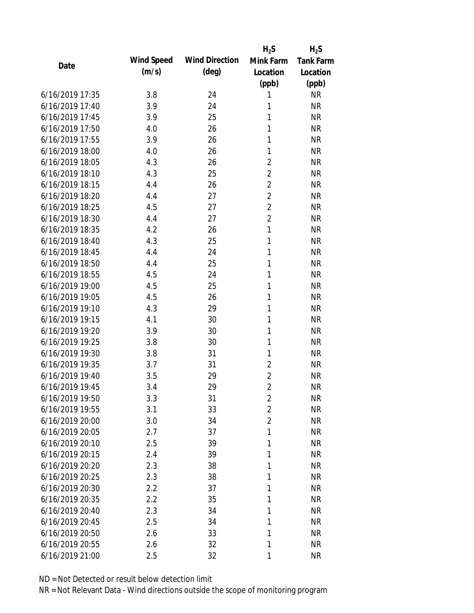|                 |            |                       | $H_2S$         | $H_2S$           |
|-----------------|------------|-----------------------|----------------|------------------|
| Date            | Wind Speed | <b>Wind Direction</b> | Mink Farm      | <b>Tank Farm</b> |
|                 | (m/s)      | $(\text{deg})$        | Location       | Location         |
|                 |            |                       | (ppb)          | (ppb)            |
| 6/16/2019 17:35 | 3.8        | 24                    | 1              | <b>NR</b>        |
| 6/16/2019 17:40 | 3.9        | 24                    | 1              | <b>NR</b>        |
| 6/16/2019 17:45 | 3.9        | 25                    | 1              | <b>NR</b>        |
| 6/16/2019 17:50 | 4.0        | 26                    | $\mathbf{1}$   | <b>NR</b>        |
| 6/16/2019 17:55 | 3.9        | 26                    | 1              | <b>NR</b>        |
| 6/16/2019 18:00 | 4.0        | 26                    | $\mathbf{1}$   | <b>NR</b>        |
| 6/16/2019 18:05 | 4.3        | 26                    | $\sqrt{2}$     | <b>NR</b>        |
| 6/16/2019 18:10 | 4.3        | 25                    | $\overline{2}$ | <b>NR</b>        |
| 6/16/2019 18:15 | 4.4        | 26                    | $\overline{2}$ | <b>NR</b>        |
| 6/16/2019 18:20 | 4.4        | 27                    | $\overline{2}$ | <b>NR</b>        |
| 6/16/2019 18:25 | 4.5        | 27                    | $\overline{2}$ | <b>NR</b>        |
| 6/16/2019 18:30 | 4.4        | 27                    | $\overline{2}$ | <b>NR</b>        |
| 6/16/2019 18:35 | 4.2        | 26                    | $\mathbf{1}$   | <b>NR</b>        |
| 6/16/2019 18:40 | 4.3        | 25                    | $\mathbf{1}$   | <b>NR</b>        |
| 6/16/2019 18:45 | 4.4        | 24                    | 1              | <b>NR</b>        |
| 6/16/2019 18:50 | 4.4        | 25                    | 1              | <b>NR</b>        |
| 6/16/2019 18:55 | 4.5        | 24                    | $\mathbf{1}$   | <b>NR</b>        |
| 6/16/2019 19:00 | 4.5        | 25                    | $\mathbf{1}$   | <b>NR</b>        |
| 6/16/2019 19:05 | 4.5        | 26                    | $\mathbf{1}$   | <b>NR</b>        |
| 6/16/2019 19:10 | 4.3        | 29                    | 1              | <b>NR</b>        |
| 6/16/2019 19:15 | 4.1        | 30                    | $\mathbf{1}$   | <b>NR</b>        |
| 6/16/2019 19:20 | 3.9        | 30                    | $\mathbf{1}$   | <b>NR</b>        |
| 6/16/2019 19:25 | 3.8        | 30                    | $\mathbf{1}$   | <b>NR</b>        |
| 6/16/2019 19:30 | 3.8        | 31                    | $\mathbf{1}$   | <b>NR</b>        |
| 6/16/2019 19:35 | 3.7        | 31                    | $\overline{2}$ | <b>NR</b>        |
| 6/16/2019 19:40 | 3.5        | 29                    | $\overline{2}$ | <b>NR</b>        |
| 6/16/2019 19:45 | 3.4        | 29                    | $\overline{2}$ | <b>NR</b>        |
| 6/16/2019 19:50 | 3.3        | 31                    | $\overline{2}$ | <b>NR</b>        |
| 6/16/2019 19:55 | 3.1        | 33                    | $\overline{2}$ | <b>NR</b>        |
| 6/16/2019 20:00 | 3.0        | 34                    | $\overline{2}$ | <b>NR</b>        |
| 6/16/2019 20:05 | 2.7        | 37                    | 1              | <b>NR</b>        |
| 6/16/2019 20:10 | 2.5        | 39                    | 1              | <b>NR</b>        |
| 6/16/2019 20:15 | 2.4        | 39                    | 1              | <b>NR</b>        |
| 6/16/2019 20:20 | 2.3        | 38                    | 1              | <b>NR</b>        |
| 6/16/2019 20:25 | 2.3        | 38                    | 1              | <b>NR</b>        |
| 6/16/2019 20:30 | 2.2        | 37                    | 1              | <b>NR</b>        |
| 6/16/2019 20:35 | 2.2        | 35                    | 1              | <b>NR</b>        |
| 6/16/2019 20:40 | 2.3        | 34                    | 1              | <b>NR</b>        |
| 6/16/2019 20:45 | 2.5        | 34                    | 1              | <b>NR</b>        |
| 6/16/2019 20:50 | 2.6        | 33                    | 1              | <b>NR</b>        |
| 6/16/2019 20:55 | 2.6        | 32                    | 1              | <b>NR</b>        |
| 6/16/2019 21:00 | 2.5        | 32                    | 1              | <b>NR</b>        |
|                 |            |                       |                |                  |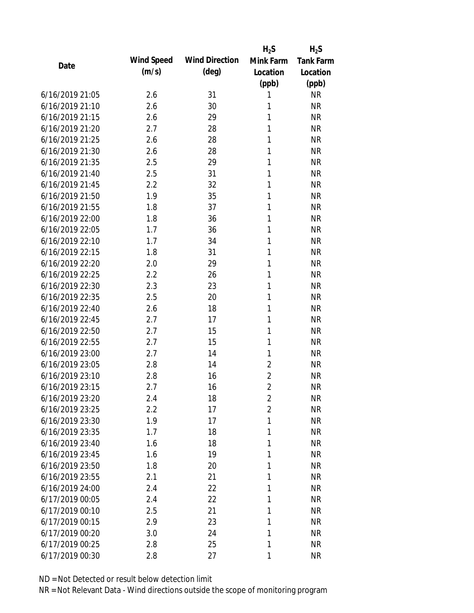|                 |            |                       | $H_2S$         | $H_2S$           |
|-----------------|------------|-----------------------|----------------|------------------|
| Date            | Wind Speed | <b>Wind Direction</b> | Mink Farm      | <b>Tank Farm</b> |
|                 | (m/s)      | $(\text{deg})$        | Location       | Location         |
|                 |            |                       | (ppb)          | (ppb)            |
| 6/16/2019 21:05 | 2.6        | 31                    | 1              | <b>NR</b>        |
| 6/16/2019 21:10 | 2.6        | 30                    | 1              | <b>NR</b>        |
| 6/16/2019 21:15 | 2.6        | 29                    | 1              | <b>NR</b>        |
| 6/16/2019 21:20 | 2.7        | 28                    | 1              | <b>NR</b>        |
| 6/16/2019 21:25 | 2.6        | 28                    | 1              | <b>NR</b>        |
| 6/16/2019 21:30 | 2.6        | 28                    | 1              | <b>NR</b>        |
| 6/16/2019 21:35 | 2.5        | 29                    | 1              | <b>NR</b>        |
| 6/16/2019 21:40 | 2.5        | 31                    | 1              | <b>NR</b>        |
| 6/16/2019 21:45 | 2.2        | 32                    | 1              | <b>NR</b>        |
| 6/16/2019 21:50 | 1.9        | 35                    | 1              | <b>NR</b>        |
| 6/16/2019 21:55 | 1.8        | 37                    | 1              | <b>NR</b>        |
| 6/16/2019 22:00 | 1.8        | 36                    | 1              | <b>NR</b>        |
| 6/16/2019 22:05 | 1.7        | 36                    | 1              | <b>NR</b>        |
| 6/16/2019 22:10 | 1.7        | 34                    | 1              | <b>NR</b>        |
| 6/16/2019 22:15 | 1.8        | 31                    | 1              | <b>NR</b>        |
| 6/16/2019 22:20 | 2.0        | 29                    | 1              | <b>NR</b>        |
| 6/16/2019 22:25 | 2.2        | 26                    | 1              | <b>NR</b>        |
| 6/16/2019 22:30 | 2.3        | 23                    | 1              | <b>NR</b>        |
| 6/16/2019 22:35 | 2.5        | 20                    | 1              | <b>NR</b>        |
| 6/16/2019 22:40 | 2.6        | 18                    | 1              | <b>NR</b>        |
| 6/16/2019 22:45 | 2.7        | 17                    | 1              | <b>NR</b>        |
| 6/16/2019 22:50 | 2.7        | 15                    | $\mathbf{1}$   | <b>NR</b>        |
| 6/16/2019 22:55 | 2.7        | 15                    | $\mathbf{1}$   | <b>NR</b>        |
| 6/16/2019 23:00 | 2.7        | 14                    | 1              | <b>NR</b>        |
| 6/16/2019 23:05 | 2.8        | 14                    | $\overline{c}$ | <b>NR</b>        |
| 6/16/2019 23:10 | 2.8        | 16                    | $\overline{c}$ | <b>NR</b>        |
| 6/16/2019 23:15 | 2.7        | 16                    | $\overline{2}$ | <b>NR</b>        |
| 6/16/2019 23:20 | 2.4        | 18                    | $\overline{2}$ | <b>NR</b>        |
| 6/16/2019 23:25 | 2.2        | 17                    | $\overline{2}$ | <b>NR</b>        |
| 6/16/2019 23:30 | 1.9        | 17                    | 1              | <b>NR</b>        |
| 6/16/2019 23:35 | 1.7        | 18                    | 1              | <b>NR</b>        |
| 6/16/2019 23:40 | 1.6        | 18                    | 1              | <b>NR</b>        |
| 6/16/2019 23:45 | 1.6        | 19                    | 1              | <b>NR</b>        |
| 6/16/2019 23:50 | 1.8        | 20                    | 1              | <b>NR</b>        |
| 6/16/2019 23:55 | 2.1        | 21                    | 1              | <b>NR</b>        |
| 6/16/2019 24:00 | 2.4        | 22                    | 1              | <b>NR</b>        |
| 6/17/2019 00:05 | 2.4        | 22                    | 1              | <b>NR</b>        |
| 6/17/2019 00:10 | 2.5        | 21                    | 1              | <b>NR</b>        |
| 6/17/2019 00:15 | 2.9        | 23                    | 1              | <b>NR</b>        |
| 6/17/2019 00:20 | 3.0        | 24                    | 1              | <b>NR</b>        |
| 6/17/2019 00:25 | 2.8        | 25                    | 1              | <b>NR</b>        |
| 6/17/2019 00:30 | 2.8        | 27                    | 1              | <b>NR</b>        |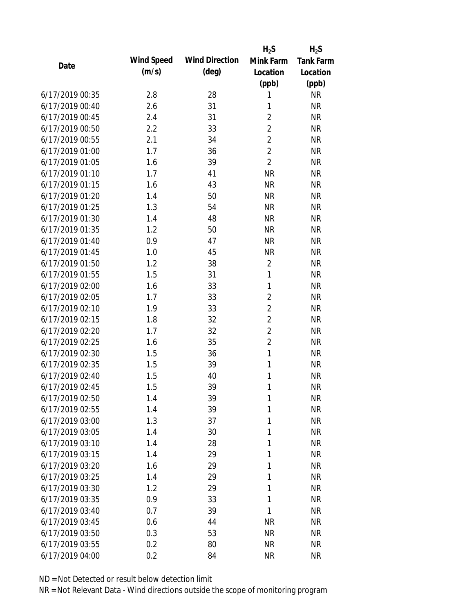|                 |            |                       | $H_2S$         | $H_2S$    |
|-----------------|------------|-----------------------|----------------|-----------|
| Date            | Wind Speed | <b>Wind Direction</b> | Mink Farm      | Tank Farm |
|                 | (m/s)      | $(\text{deg})$        | Location       | Location  |
|                 |            |                       | (ppb)          | (ppb)     |
| 6/17/2019 00:35 | 2.8        | 28                    | 1              | <b>NR</b> |
| 6/17/2019 00:40 | 2.6        | 31                    | 1              | <b>NR</b> |
| 6/17/2019 00:45 | 2.4        | 31                    | $\overline{2}$ | <b>NR</b> |
| 6/17/2019 00:50 | 2.2        | 33                    | $\overline{2}$ | <b>NR</b> |
| 6/17/2019 00:55 | 2.1        | 34                    | $\overline{2}$ | <b>NR</b> |
| 6/17/2019 01:00 | 1.7        | 36                    | $\overline{2}$ | <b>NR</b> |
| 6/17/2019 01:05 | 1.6        | 39                    | $\overline{2}$ | <b>NR</b> |
| 6/17/2019 01:10 | 1.7        | 41                    | <b>NR</b>      | <b>NR</b> |
| 6/17/2019 01:15 | 1.6        | 43                    | <b>NR</b>      | <b>NR</b> |
| 6/17/2019 01:20 | 1.4        | 50                    | <b>NR</b>      | <b>NR</b> |
| 6/17/2019 01:25 | 1.3        | 54                    | <b>NR</b>      | <b>NR</b> |
| 6/17/2019 01:30 | 1.4        | 48                    | <b>NR</b>      | <b>NR</b> |
| 6/17/2019 01:35 | 1.2        | 50                    | <b>NR</b>      | <b>NR</b> |
| 6/17/2019 01:40 | 0.9        | 47                    | <b>NR</b>      | <b>NR</b> |
| 6/17/2019 01:45 | 1.0        | 45                    | <b>NR</b>      | <b>NR</b> |
| 6/17/2019 01:50 | 1.2        | 38                    | $\sqrt{2}$     | <b>NR</b> |
| 6/17/2019 01:55 | 1.5        | 31                    | $\mathbf{1}$   | <b>NR</b> |
| 6/17/2019 02:00 | 1.6        | 33                    | $\mathbf{1}$   | <b>NR</b> |
| 6/17/2019 02:05 | 1.7        | 33                    | $\overline{2}$ | <b>NR</b> |
| 6/17/2019 02:10 | 1.9        | 33                    | $\overline{2}$ | <b>NR</b> |
| 6/17/2019 02:15 | 1.8        | 32                    | $\overline{2}$ | <b>NR</b> |
| 6/17/2019 02:20 | 1.7        | 32                    | $\overline{2}$ | <b>NR</b> |
| 6/17/2019 02:25 | 1.6        | 35                    | $\overline{2}$ | <b>NR</b> |
| 6/17/2019 02:30 | 1.5        | 36                    | $\mathbf{1}$   | <b>NR</b> |
| 6/17/2019 02:35 | 1.5        | 39                    | $\mathbf{1}$   | <b>NR</b> |
| 6/17/2019 02:40 | 1.5        | 40                    | 1              | <b>NR</b> |
| 6/17/2019 02:45 | 1.5        | 39                    | 1              | <b>NR</b> |
| 6/17/2019 02:50 | 1.4        | 39                    | 1              | <b>NR</b> |
| 6/17/2019 02:55 | 1.4        | 39                    | 1              | <b>NR</b> |
| 6/17/2019 03:00 | 1.3        | 37                    | 1              | <b>NR</b> |
| 6/17/2019 03:05 | 1.4        | 30                    | 1              | <b>NR</b> |
| 6/17/2019 03:10 | 1.4        | 28                    | 1              | <b>NR</b> |
| 6/17/2019 03:15 | 1.4        | 29                    | 1              | <b>NR</b> |
| 6/17/2019 03:20 | 1.6        | 29                    | 1              | <b>NR</b> |
| 6/17/2019 03:25 | 1.4        | 29                    | 1              | <b>NR</b> |
| 6/17/2019 03:30 | 1.2        | 29                    | 1              | <b>NR</b> |
| 6/17/2019 03:35 | 0.9        | 33                    | $\mathbf{1}$   | <b>NR</b> |
| 6/17/2019 03:40 | 0.7        | 39                    | 1              | <b>NR</b> |
| 6/17/2019 03:45 | 0.6        | 44                    | <b>NR</b>      | <b>NR</b> |
| 6/17/2019 03:50 | 0.3        | 53                    | <b>NR</b>      | <b>NR</b> |
| 6/17/2019 03:55 | 0.2        | 80                    | <b>NR</b>      | <b>NR</b> |
| 6/17/2019 04:00 | 0.2        | 84                    | <b>NR</b>      | <b>NR</b> |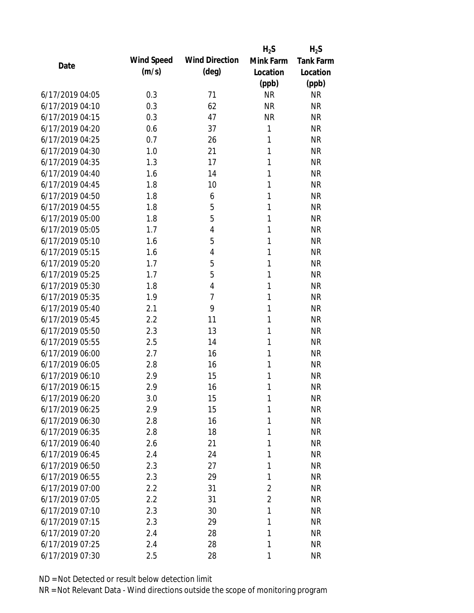|                 |            |                       | $H_2S$         | $H_2S$           |
|-----------------|------------|-----------------------|----------------|------------------|
| Date            | Wind Speed | <b>Wind Direction</b> | Mink Farm      | <b>Tank Farm</b> |
|                 | (m/s)      | $(\text{deg})$        | Location       | Location         |
|                 |            |                       | (ppb)          | (ppb)            |
| 6/17/2019 04:05 | 0.3        | 71                    | <b>NR</b>      | <b>NR</b>        |
| 6/17/2019 04:10 | 0.3        | 62                    | <b>NR</b>      | <b>NR</b>        |
| 6/17/2019 04:15 | 0.3        | 47                    | <b>NR</b>      | <b>NR</b>        |
| 6/17/2019 04:20 | 0.6        | 37                    | $\mathbf{1}$   | <b>NR</b>        |
| 6/17/2019 04:25 | 0.7        | 26                    | 1              | <b>NR</b>        |
| 6/17/2019 04:30 | 1.0        | 21                    | 1              | <b>NR</b>        |
| 6/17/2019 04:35 | 1.3        | 17                    | 1              | <b>NR</b>        |
| 6/17/2019 04:40 | 1.6        | 14                    | 1              | <b>NR</b>        |
| 6/17/2019 04:45 | 1.8        | 10                    | 1              | <b>NR</b>        |
| 6/17/2019 04:50 | 1.8        | 6                     | 1              | <b>NR</b>        |
| 6/17/2019 04:55 | 1.8        | 5                     | 1              | <b>NR</b>        |
| 6/17/2019 05:00 | 1.8        | 5                     | 1              | <b>NR</b>        |
| 6/17/2019 05:05 | 1.7        | $\overline{4}$        | 1              | <b>NR</b>        |
| 6/17/2019 05:10 | 1.6        | 5                     | 1              | <b>NR</b>        |
| 6/17/2019 05:15 | 1.6        | $\overline{4}$        | 1              | <b>NR</b>        |
| 6/17/2019 05:20 | 1.7        | 5                     | 1              | <b>NR</b>        |
| 6/17/2019 05:25 | 1.7        | 5                     | 1              | <b>NR</b>        |
| 6/17/2019 05:30 | 1.8        | $\overline{4}$        | 1              | <b>NR</b>        |
| 6/17/2019 05:35 | 1.9        | $\overline{7}$        | 1              | <b>NR</b>        |
| 6/17/2019 05:40 | 2.1        | 9                     | 1              | <b>NR</b>        |
| 6/17/2019 05:45 | 2.2        | 11                    | 1              | <b>NR</b>        |
| 6/17/2019 05:50 | 2.3        | 13                    | 1              | <b>NR</b>        |
| 6/17/2019 05:55 | 2.5        | 14                    | 1              | <b>NR</b>        |
| 6/17/2019 06:00 | 2.7        | 16                    | 1              | <b>NR</b>        |
| 6/17/2019 06:05 | 2.8        | 16                    | 1              | <b>NR</b>        |
| 6/17/2019 06:10 | 2.9        | 15                    | 1              | <b>NR</b>        |
| 6/17/2019 06:15 | 2.9        | 16                    | 1              | <b>NR</b>        |
| 6/17/2019 06:20 | 3.0        | 15                    | 1              | <b>NR</b>        |
| 6/17/2019 06:25 | 2.9        | 15                    | 1              | <b>NR</b>        |
| 6/17/2019 06:30 | 2.8        | 16                    | 1              | <b>NR</b>        |
| 6/17/2019 06:35 | 2.8        | 18                    | 1              | <b>NR</b>        |
| 6/17/2019 06:40 | 2.6        | 21                    | 1              | <b>NR</b>        |
| 6/17/2019 06:45 | 2.4        | 24                    | 1              | <b>NR</b>        |
| 6/17/2019 06:50 | 2.3        | 27                    | 1              | <b>NR</b>        |
| 6/17/2019 06:55 | 2.3        | 29                    | 1              | <b>NR</b>        |
| 6/17/2019 07:00 | 2.2        | 31                    | $\overline{2}$ | <b>NR</b>        |
| 6/17/2019 07:05 | 2.2        | 31                    | $\overline{2}$ | <b>NR</b>        |
| 6/17/2019 07:10 | 2.3        | 30                    | 1              | <b>NR</b>        |
| 6/17/2019 07:15 | 2.3        | 29                    | 1              | <b>NR</b>        |
| 6/17/2019 07:20 | 2.4        | 28                    | 1              | <b>NR</b>        |
| 6/17/2019 07:25 | 2.4        | 28                    | 1              | <b>NR</b>        |
| 6/17/2019 07:30 | 2.5        | 28                    | 1              | <b>NR</b>        |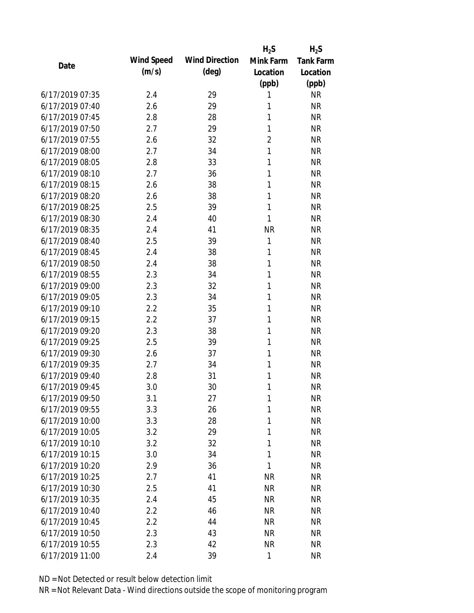|                 |            |                       | $H_2S$         | $H_2S$           |
|-----------------|------------|-----------------------|----------------|------------------|
| Date            | Wind Speed | <b>Wind Direction</b> | Mink Farm      | <b>Tank Farm</b> |
|                 | (m/s)      | $(\text{deg})$        | Location       | Location         |
|                 |            |                       | (ppb)          | (ppb)            |
| 6/17/2019 07:35 | 2.4        | 29                    | 1              | <b>NR</b>        |
| 6/17/2019 07:40 | 2.6        | 29                    | 1              | <b>NR</b>        |
| 6/17/2019 07:45 | 2.8        | 28                    | 1              | <b>NR</b>        |
| 6/17/2019 07:50 | 2.7        | 29                    | 1              | <b>NR</b>        |
| 6/17/2019 07:55 | 2.6        | 32                    | $\overline{2}$ | <b>NR</b>        |
| 6/17/2019 08:00 | 2.7        | 34                    | 1              | <b>NR</b>        |
| 6/17/2019 08:05 | 2.8        | 33                    | 1              | <b>NR</b>        |
| 6/17/2019 08:10 | 2.7        | 36                    | 1              | <b>NR</b>        |
| 6/17/2019 08:15 | 2.6        | 38                    | 1              | <b>NR</b>        |
| 6/17/2019 08:20 | 2.6        | 38                    | 1              | <b>NR</b>        |
| 6/17/2019 08:25 | 2.5        | 39                    | $\mathbf{1}$   | <b>NR</b>        |
| 6/17/2019 08:30 | 2.4        | 40                    | 1              | <b>NR</b>        |
| 6/17/2019 08:35 | 2.4        | 41                    | <b>NR</b>      | <b>NR</b>        |
| 6/17/2019 08:40 | 2.5        | 39                    | 1              | <b>NR</b>        |
| 6/17/2019 08:45 | 2.4        | 38                    | 1              | <b>NR</b>        |
| 6/17/2019 08:50 | 2.4        | 38                    | 1              | <b>NR</b>        |
| 6/17/2019 08:55 | 2.3        | 34                    | 1              | <b>NR</b>        |
| 6/17/2019 09:00 | 2.3        | 32                    | 1              | <b>NR</b>        |
| 6/17/2019 09:05 | 2.3        | 34                    | 1              | <b>NR</b>        |
| 6/17/2019 09:10 | 2.2        | 35                    | 1              | <b>NR</b>        |
| 6/17/2019 09:15 | 2.2        | 37                    | 1              | <b>NR</b>        |
| 6/17/2019 09:20 | 2.3        | 38                    | 1              | <b>NR</b>        |
| 6/17/2019 09:25 | 2.5        | 39                    | 1              | <b>NR</b>        |
| 6/17/2019 09:30 | 2.6        | 37                    | 1              | <b>NR</b>        |
| 6/17/2019 09:35 | 2.7        | 34                    | 1              | <b>NR</b>        |
| 6/17/2019 09:40 | 2.8        | 31                    | 1              | <b>NR</b>        |
| 6/17/2019 09:45 | 3.0        | 30                    | 1              | <b>NR</b>        |
| 6/17/2019 09:50 | 3.1        | 27                    | 1              | <b>NR</b>        |
| 6/17/2019 09:55 | 3.3        | 26                    | 1              | <b>NR</b>        |
| 6/17/2019 10:00 | 3.3        | 28                    | 1              | <b>NR</b>        |
| 6/17/2019 10:05 | 3.2        | 29                    | 1              | <b>NR</b>        |
| 6/17/2019 10:10 | 3.2        | 32                    | 1              | <b>NR</b>        |
| 6/17/2019 10:15 | 3.0        | 34                    | 1              | <b>NR</b>        |
| 6/17/2019 10:20 | 2.9        | 36                    | 1              | <b>NR</b>        |
| 6/17/2019 10:25 | 2.7        | 41                    | <b>NR</b>      | <b>NR</b>        |
| 6/17/2019 10:30 | 2.5        | 41                    | <b>NR</b>      | <b>NR</b>        |
| 6/17/2019 10:35 | 2.4        | 45                    | <b>NR</b>      | <b>NR</b>        |
| 6/17/2019 10:40 | 2.2        | 46                    | <b>NR</b>      | <b>NR</b>        |
| 6/17/2019 10:45 | 2.2        | 44                    | <b>NR</b>      | <b>NR</b>        |
| 6/17/2019 10:50 | 2.3        | 43                    | <b>NR</b>      | <b>NR</b>        |
| 6/17/2019 10:55 | 2.3        | 42                    | <b>NR</b>      | <b>NR</b>        |
|                 |            |                       |                |                  |
| 6/17/2019 11:00 | 2.4        | 39                    | $\mathbf{1}$   | <b>NR</b>        |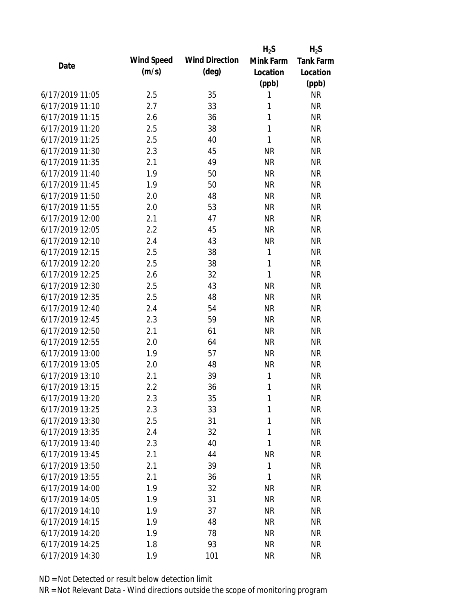|                 |            |                       | $H_2S$       | $H_2S$    |
|-----------------|------------|-----------------------|--------------|-----------|
| Date            | Wind Speed | <b>Wind Direction</b> | Mink Farm    | Tank Farm |
|                 | (m/s)      | $(\text{deg})$        | Location     | Location  |
|                 |            |                       | (ppb)        | (ppb)     |
| 6/17/2019 11:05 | 2.5        | 35                    | 1            | <b>NR</b> |
| 6/17/2019 11:10 | 2.7        | 33                    | 1            | <b>NR</b> |
| 6/17/2019 11:15 | 2.6        | 36                    | 1            | <b>NR</b> |
| 6/17/2019 11:20 | 2.5        | 38                    | 1            | <b>NR</b> |
| 6/17/2019 11:25 | 2.5        | 40                    | $\mathbf{1}$ | <b>NR</b> |
| 6/17/2019 11:30 | 2.3        | 45                    | <b>NR</b>    | <b>NR</b> |
| 6/17/2019 11:35 | 2.1        | 49                    | <b>NR</b>    | <b>NR</b> |
| 6/17/2019 11:40 | 1.9        | 50                    | <b>NR</b>    | <b>NR</b> |
| 6/17/2019 11:45 | 1.9        | 50                    | <b>NR</b>    | <b>NR</b> |
| 6/17/2019 11:50 | 2.0        | 48                    | <b>NR</b>    | <b>NR</b> |
| 6/17/2019 11:55 | 2.0        | 53                    | <b>NR</b>    | <b>NR</b> |
| 6/17/2019 12:00 | 2.1        | 47                    | <b>NR</b>    | <b>NR</b> |
| 6/17/2019 12:05 | 2.2        | 45                    | <b>NR</b>    | <b>NR</b> |
| 6/17/2019 12:10 | 2.4        | 43                    | <b>NR</b>    | <b>NR</b> |
| 6/17/2019 12:15 | 2.5        | 38                    | 1            | <b>NR</b> |
| 6/17/2019 12:20 | 2.5        | 38                    | 1            | <b>NR</b> |
| 6/17/2019 12:25 | 2.6        | 32                    | $\mathbf{1}$ | <b>NR</b> |
| 6/17/2019 12:30 | 2.5        | 43                    | <b>NR</b>    | <b>NR</b> |
| 6/17/2019 12:35 | 2.5        | 48                    | <b>NR</b>    | <b>NR</b> |
| 6/17/2019 12:40 | 2.4        | 54                    | <b>NR</b>    | <b>NR</b> |
| 6/17/2019 12:45 | 2.3        | 59                    | <b>NR</b>    | <b>NR</b> |
| 6/17/2019 12:50 | 2.1        | 61                    | <b>NR</b>    | <b>NR</b> |
| 6/17/2019 12:55 | 2.0        | 64                    | <b>NR</b>    | <b>NR</b> |
| 6/17/2019 13:00 | 1.9        | 57                    | <b>NR</b>    | <b>NR</b> |
| 6/17/2019 13:05 | 2.0        | 48                    | <b>NR</b>    | <b>NR</b> |
| 6/17/2019 13:10 | 2.1        | 39                    | 1            | <b>NR</b> |
| 6/17/2019 13:15 | 2.2        | 36                    | 1            | <b>NR</b> |
| 6/17/2019 13:20 | 2.3        | 35                    | 1            | <b>NR</b> |
| 6/17/2019 13:25 | 2.3        | 33                    | 1            | <b>NR</b> |
| 6/17/2019 13:30 | 2.5        | 31                    | $\mathbf{1}$ | <b>NR</b> |
| 6/17/2019 13:35 | 2.4        | 32                    | 1            | <b>NR</b> |
| 6/17/2019 13:40 | 2.3        | 40                    | 1            | <b>NR</b> |
| 6/17/2019 13:45 | 2.1        | 44                    | <b>NR</b>    | <b>NR</b> |
| 6/17/2019 13:50 | 2.1        | 39                    | 1            | <b>NR</b> |
| 6/17/2019 13:55 | 2.1        | 36                    | 1            | <b>NR</b> |
| 6/17/2019 14:00 | 1.9        | 32                    | <b>NR</b>    | <b>NR</b> |
| 6/17/2019 14:05 | 1.9        | 31                    | <b>NR</b>    | <b>NR</b> |
| 6/17/2019 14:10 | 1.9        | 37                    | <b>NR</b>    | <b>NR</b> |
| 6/17/2019 14:15 | 1.9        | 48                    | <b>NR</b>    | <b>NR</b> |
| 6/17/2019 14:20 | 1.9        | 78                    | <b>NR</b>    | <b>NR</b> |
| 6/17/2019 14:25 | 1.8        | 93                    | <b>NR</b>    | <b>NR</b> |
| 6/17/2019 14:30 | 1.9        | 101                   | <b>NR</b>    | <b>NR</b> |
|                 |            |                       |              |           |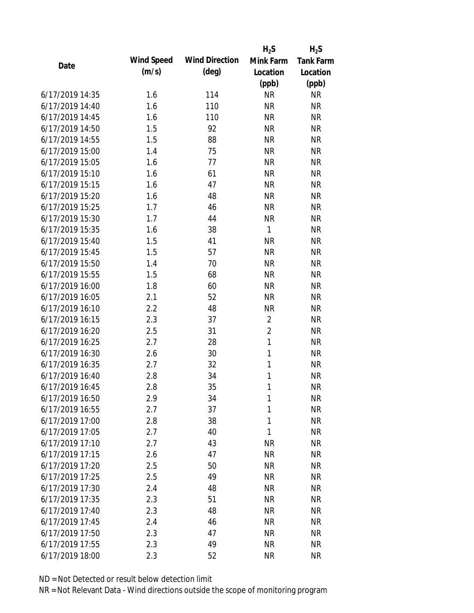|                 |            |                       | $H_2S$         | $H_2S$           |
|-----------------|------------|-----------------------|----------------|------------------|
| Date            | Wind Speed | <b>Wind Direction</b> | Mink Farm      | <b>Tank Farm</b> |
|                 | (m/s)      | $(\text{deg})$        | Location       | Location         |
|                 |            |                       | (ppb)          | (ppb)            |
| 6/17/2019 14:35 | 1.6        | 114                   | <b>NR</b>      | <b>NR</b>        |
| 6/17/2019 14:40 | 1.6        | 110                   | <b>NR</b>      | <b>NR</b>        |
| 6/17/2019 14:45 | 1.6        | 110                   | <b>NR</b>      | <b>NR</b>        |
| 6/17/2019 14:50 | 1.5        | 92                    | <b>NR</b>      | <b>NR</b>        |
| 6/17/2019 14:55 | 1.5        | 88                    | <b>NR</b>      | <b>NR</b>        |
| 6/17/2019 15:00 | 1.4        | 75                    | <b>NR</b>      | <b>NR</b>        |
| 6/17/2019 15:05 | 1.6        | 77                    | <b>NR</b>      | <b>NR</b>        |
| 6/17/2019 15:10 | 1.6        | 61                    | <b>NR</b>      | <b>NR</b>        |
| 6/17/2019 15:15 | 1.6        | 47                    | <b>NR</b>      | <b>NR</b>        |
| 6/17/2019 15:20 | 1.6        | 48                    | <b>NR</b>      | <b>NR</b>        |
| 6/17/2019 15:25 | 1.7        | 46                    | <b>NR</b>      | <b>NR</b>        |
| 6/17/2019 15:30 | 1.7        | 44                    | <b>NR</b>      | <b>NR</b>        |
| 6/17/2019 15:35 | 1.6        | 38                    | $\mathbf{1}$   | <b>NR</b>        |
| 6/17/2019 15:40 | 1.5        | 41                    | <b>NR</b>      | <b>NR</b>        |
| 6/17/2019 15:45 | 1.5        | 57                    | <b>NR</b>      | <b>NR</b>        |
| 6/17/2019 15:50 | 1.4        | 70                    | <b>NR</b>      | <b>NR</b>        |
| 6/17/2019 15:55 | 1.5        | 68                    | <b>NR</b>      | <b>NR</b>        |
| 6/17/2019 16:00 | 1.8        | 60                    | <b>NR</b>      | <b>NR</b>        |
| 6/17/2019 16:05 | 2.1        | 52                    | <b>NR</b>      | <b>NR</b>        |
| 6/17/2019 16:10 | 2.2        | 48                    | <b>NR</b>      | <b>NR</b>        |
| 6/17/2019 16:15 | 2.3        | 37                    | $\sqrt{2}$     | <b>NR</b>        |
| 6/17/2019 16:20 | 2.5        | 31                    | $\overline{2}$ | <b>NR</b>        |
| 6/17/2019 16:25 | 2.7        | 28                    | $\mathbf{1}$   | <b>NR</b>        |
| 6/17/2019 16:30 | 2.6        | 30                    | $\mathbf{1}$   | <b>NR</b>        |
| 6/17/2019 16:35 | 2.7        | 32                    | $\mathbf{1}$   | <b>NR</b>        |
| 6/17/2019 16:40 | 2.8        | 34                    | $\mathbf{1}$   | <b>NR</b>        |
| 6/17/2019 16:45 | 2.8        | 35                    | $\mathbf{1}$   | <b>NR</b>        |
| 6/17/2019 16:50 | 2.9        | 34                    | 1              | <b>NR</b>        |
| 6/17/2019 16:55 | 2.7        | 37                    | $\mathbf{1}$   | <b>NR</b>        |
| 6/17/2019 17:00 | 2.8        | 38                    | $\mathbf{1}$   | <b>NR</b>        |
| 6/17/2019 17:05 | 2.7        | 40                    | 1              | <b>NR</b>        |
| 6/17/2019 17:10 | 2.7        | 43                    | <b>NR</b>      | <b>NR</b>        |
| 6/17/2019 17:15 | 2.6        | 47                    | <b>NR</b>      | <b>NR</b>        |
| 6/17/2019 17:20 | 2.5        | 50                    | <b>NR</b>      | <b>NR</b>        |
| 6/17/2019 17:25 | 2.5        | 49                    | <b>NR</b>      | <b>NR</b>        |
| 6/17/2019 17:30 | 2.4        | 48                    | <b>NR</b>      | <b>NR</b>        |
| 6/17/2019 17:35 | 2.3        | 51                    | <b>NR</b>      | <b>NR</b>        |
| 6/17/2019 17:40 | 2.3        | 48                    | <b>NR</b>      | <b>NR</b>        |
| 6/17/2019 17:45 | 2.4        | 46                    | <b>NR</b>      | <b>NR</b>        |
| 6/17/2019 17:50 | 2.3        | 47                    | <b>NR</b>      | <b>NR</b>        |
| 6/17/2019 17:55 | 2.3        | 49                    | <b>NR</b>      | <b>NR</b>        |
| 6/17/2019 18:00 | 2.3        | 52                    | <b>NR</b>      | <b>NR</b>        |
|                 |            |                       |                |                  |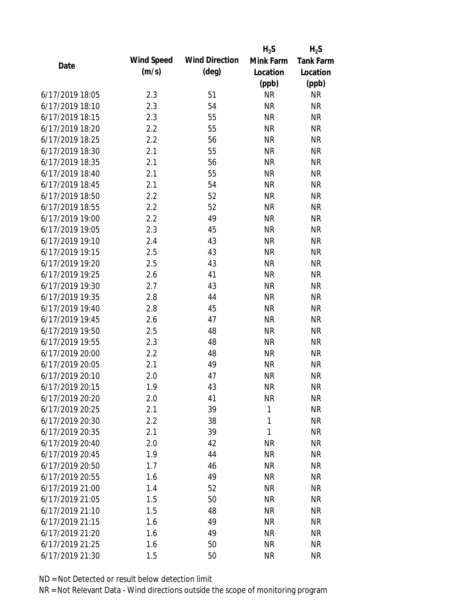|                 |            |                       | $H_2S$       | $H_2S$           |
|-----------------|------------|-----------------------|--------------|------------------|
| Date            | Wind Speed | <b>Wind Direction</b> | Mink Farm    | <b>Tank Farm</b> |
|                 | (m/s)      | $(\text{deg})$        | Location     | Location         |
|                 |            |                       | (ppb)        | (ppb)            |
| 6/17/2019 18:05 | 2.3        | 51                    | <b>NR</b>    | <b>NR</b>        |
| 6/17/2019 18:10 | 2.3        | 54                    | <b>NR</b>    | <b>NR</b>        |
| 6/17/2019 18:15 | 2.3        | 55                    | <b>NR</b>    | <b>NR</b>        |
| 6/17/2019 18:20 | 2.2        | 55                    | <b>NR</b>    | <b>NR</b>        |
| 6/17/2019 18:25 | 2.2        | 56                    | <b>NR</b>    | <b>NR</b>        |
| 6/17/2019 18:30 | 2.1        | 55                    | <b>NR</b>    | <b>NR</b>        |
| 6/17/2019 18:35 | 2.1        | 56                    | <b>NR</b>    | <b>NR</b>        |
| 6/17/2019 18:40 | 2.1        | 55                    | <b>NR</b>    | <b>NR</b>        |
| 6/17/2019 18:45 | 2.1        | 54                    | <b>NR</b>    | <b>NR</b>        |
| 6/17/2019 18:50 | 2.2        | 52                    | <b>NR</b>    | <b>NR</b>        |
| 6/17/2019 18:55 | 2.2        | 52                    | <b>NR</b>    | <b>NR</b>        |
| 6/17/2019 19:00 | 2.2        | 49                    | <b>NR</b>    | <b>NR</b>        |
| 6/17/2019 19:05 | 2.3        | 45                    | <b>NR</b>    | <b>NR</b>        |
| 6/17/2019 19:10 | 2.4        | 43                    | <b>NR</b>    | <b>NR</b>        |
| 6/17/2019 19:15 | 2.5        | 43                    | <b>NR</b>    | <b>NR</b>        |
| 6/17/2019 19:20 | 2.5        | 43                    | <b>NR</b>    | <b>NR</b>        |
| 6/17/2019 19:25 | 2.6        | 41                    | <b>NR</b>    | <b>NR</b>        |
| 6/17/2019 19:30 | 2.7        | 43                    | <b>NR</b>    | <b>NR</b>        |
| 6/17/2019 19:35 | 2.8        | 44                    | <b>NR</b>    | <b>NR</b>        |
| 6/17/2019 19:40 | 2.8        | 45                    | <b>NR</b>    | <b>NR</b>        |
| 6/17/2019 19:45 | 2.6        | 47                    | <b>NR</b>    | <b>NR</b>        |
| 6/17/2019 19:50 | 2.5        | 48                    | <b>NR</b>    | <b>NR</b>        |
| 6/17/2019 19:55 | 2.3        | 48                    | <b>NR</b>    | <b>NR</b>        |
| 6/17/2019 20:00 | 2.2        | 48                    | <b>NR</b>    | <b>NR</b>        |
| 6/17/2019 20:05 | 2.1        | 49                    | <b>NR</b>    | <b>NR</b>        |
| 6/17/2019 20:10 | 2.0        | 47                    | <b>NR</b>    | <b>NR</b>        |
| 6/17/2019 20:15 | 1.9        | 43                    | <b>NR</b>    | <b>NR</b>        |
| 6/17/2019 20:20 | 2.0        | 41                    | <b>NR</b>    | <b>NR</b>        |
| 6/17/2019 20:25 | 2.1        | 39                    | 1            | <b>NR</b>        |
| 6/17/2019 20:30 | 2.2        | 38                    | $\mathbf{1}$ | <b>NR</b>        |
| 6/17/2019 20:35 | 2.1        | 39                    | 1            | <b>NR</b>        |
| 6/17/2019 20:40 | 2.0        | 42                    | <b>NR</b>    | <b>NR</b>        |
| 6/17/2019 20:45 | 1.9        | 44                    | <b>NR</b>    | <b>NR</b>        |
| 6/17/2019 20:50 | 1.7        | 46                    | <b>NR</b>    | <b>NR</b>        |
| 6/17/2019 20:55 | 1.6        | 49                    | <b>NR</b>    | <b>NR</b>        |
| 6/17/2019 21:00 | 1.4        | 52                    | <b>NR</b>    | <b>NR</b>        |
| 6/17/2019 21:05 | 1.5        | 50                    | <b>NR</b>    | <b>NR</b>        |
| 6/17/2019 21:10 | 1.5        | 48                    | <b>NR</b>    | <b>NR</b>        |
| 6/17/2019 21:15 | 1.6        | 49                    | <b>NR</b>    | <b>NR</b>        |
| 6/17/2019 21:20 | 1.6        | 49                    | <b>NR</b>    | <b>NR</b>        |
| 6/17/2019 21:25 | 1.6        | 50                    | <b>NR</b>    | <b>NR</b>        |
| 6/17/2019 21:30 | 1.5        | 50                    | <b>NR</b>    | <b>NR</b>        |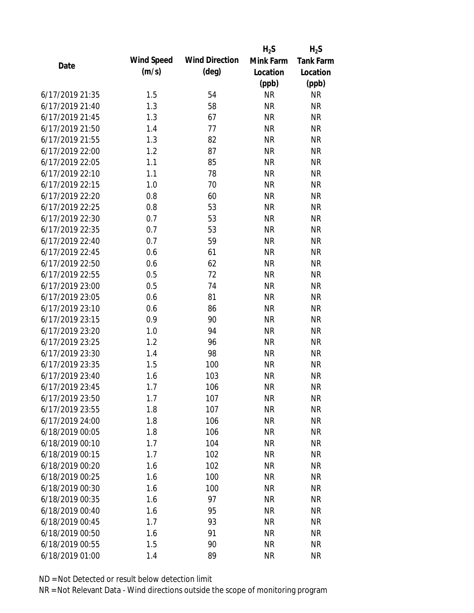|                 |            |                       | $H_2S$    | $H_2S$           |
|-----------------|------------|-----------------------|-----------|------------------|
| Date            | Wind Speed | <b>Wind Direction</b> | Mink Farm | <b>Tank Farm</b> |
|                 | (m/s)      | $(\text{deg})$        | Location  | Location         |
|                 |            |                       | (ppb)     | (ppb)            |
| 6/17/2019 21:35 | 1.5        | 54                    | <b>NR</b> | <b>NR</b>        |
| 6/17/2019 21:40 | 1.3        | 58                    | <b>NR</b> | <b>NR</b>        |
| 6/17/2019 21:45 | 1.3        | 67                    | <b>NR</b> | <b>NR</b>        |
| 6/17/2019 21:50 | 1.4        | 77                    | <b>NR</b> | <b>NR</b>        |
| 6/17/2019 21:55 | 1.3        | 82                    | <b>NR</b> | <b>NR</b>        |
| 6/17/2019 22:00 | 1.2        | 87                    | <b>NR</b> | <b>NR</b>        |
| 6/17/2019 22:05 | 1.1        | 85                    | <b>NR</b> | <b>NR</b>        |
| 6/17/2019 22:10 | 1.1        | 78                    | <b>NR</b> | <b>NR</b>        |
| 6/17/2019 22:15 | 1.0        | 70                    | <b>NR</b> | <b>NR</b>        |
| 6/17/2019 22:20 | 0.8        | 60                    | <b>NR</b> | <b>NR</b>        |
| 6/17/2019 22:25 | 0.8        | 53                    | <b>NR</b> | <b>NR</b>        |
| 6/17/2019 22:30 | 0.7        | 53                    | <b>NR</b> | <b>NR</b>        |
| 6/17/2019 22:35 | 0.7        | 53                    | <b>NR</b> | <b>NR</b>        |
| 6/17/2019 22:40 | 0.7        | 59                    | <b>NR</b> | <b>NR</b>        |
| 6/17/2019 22:45 | 0.6        | 61                    | <b>NR</b> | <b>NR</b>        |
| 6/17/2019 22:50 | 0.6        | 62                    | <b>NR</b> | <b>NR</b>        |
| 6/17/2019 22:55 | 0.5        | 72                    | <b>NR</b> | <b>NR</b>        |
| 6/17/2019 23:00 | 0.5        | 74                    | <b>NR</b> | <b>NR</b>        |
| 6/17/2019 23:05 | 0.6        | 81                    | <b>NR</b> | <b>NR</b>        |
| 6/17/2019 23:10 | 0.6        | 86                    | <b>NR</b> | <b>NR</b>        |
| 6/17/2019 23:15 | 0.9        | 90                    | <b>NR</b> | <b>NR</b>        |
| 6/17/2019 23:20 | 1.0        | 94                    | <b>NR</b> | <b>NR</b>        |
| 6/17/2019 23:25 | 1.2        | 96                    | <b>NR</b> | <b>NR</b>        |
| 6/17/2019 23:30 | 1.4        | 98                    | <b>NR</b> | <b>NR</b>        |
| 6/17/2019 23:35 | 1.5        | 100                   | <b>NR</b> | <b>NR</b>        |
| 6/17/2019 23:40 | 1.6        | 103                   | <b>NR</b> | <b>NR</b>        |
| 6/17/2019 23:45 | 1.7        | 106                   | <b>NR</b> | <b>NR</b>        |
| 6/17/2019 23:50 | 1.7        | 107                   | <b>NR</b> | <b>NR</b>        |
| 6/17/2019 23:55 | 1.8        | 107                   | <b>NR</b> | <b>NR</b>        |
| 6/17/2019 24:00 | 1.8        | 106                   | <b>NR</b> | <b>NR</b>        |
| 6/18/2019 00:05 | 1.8        | 106                   | <b>NR</b> | <b>NR</b>        |
| 6/18/2019 00:10 | 1.7        | 104                   | <b>NR</b> | <b>NR</b>        |
| 6/18/2019 00:15 | 1.7        | 102                   | <b>NR</b> | <b>NR</b>        |
| 6/18/2019 00:20 | 1.6        | 102                   | <b>NR</b> | <b>NR</b>        |
| 6/18/2019 00:25 | 1.6        | 100                   | <b>NR</b> | <b>NR</b>        |
| 6/18/2019 00:30 | 1.6        | 100                   | <b>NR</b> | <b>NR</b>        |
| 6/18/2019 00:35 | 1.6        | 97                    | <b>NR</b> | <b>NR</b>        |
| 6/18/2019 00:40 | 1.6        | 95                    | <b>NR</b> | <b>NR</b>        |
| 6/18/2019 00:45 | 1.7        | 93                    | <b>NR</b> | <b>NR</b>        |
| 6/18/2019 00:50 | 1.6        | 91                    | <b>NR</b> | <b>NR</b>        |
| 6/18/2019 00:55 | 1.5        | 90                    | <b>NR</b> | <b>NR</b>        |
|                 |            |                       |           |                  |
| 6/18/2019 01:00 | 1.4        | 89                    | <b>NR</b> | <b>NR</b>        |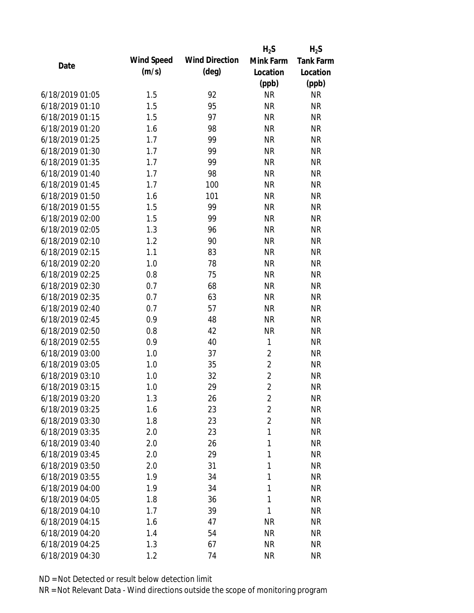|                 |            |                       | $H_2S$         | $H_2S$    |
|-----------------|------------|-----------------------|----------------|-----------|
| Date            | Wind Speed | <b>Wind Direction</b> | Mink Farm      | Tank Farm |
|                 | (m/s)      | $(\text{deg})$        | Location       | Location  |
|                 |            |                       | (ppb)          | (ppb)     |
| 6/18/2019 01:05 | 1.5        | 92                    | <b>NR</b>      | <b>NR</b> |
| 6/18/2019 01:10 | 1.5        | 95                    | <b>NR</b>      | <b>NR</b> |
| 6/18/2019 01:15 | 1.5        | 97                    | <b>NR</b>      | <b>NR</b> |
| 6/18/2019 01:20 | 1.6        | 98                    | <b>NR</b>      | <b>NR</b> |
| 6/18/2019 01:25 | 1.7        | 99                    | <b>NR</b>      | <b>NR</b> |
| 6/18/2019 01:30 | 1.7        | 99                    | <b>NR</b>      | <b>NR</b> |
| 6/18/2019 01:35 | 1.7        | 99                    | <b>NR</b>      | <b>NR</b> |
| 6/18/2019 01:40 | 1.7        | 98                    | <b>NR</b>      | <b>NR</b> |
| 6/18/2019 01:45 | 1.7        | 100                   | <b>NR</b>      | <b>NR</b> |
| 6/18/2019 01:50 | 1.6        | 101                   | <b>NR</b>      | <b>NR</b> |
| 6/18/2019 01:55 | 1.5        | 99                    | <b>NR</b>      | <b>NR</b> |
| 6/18/2019 02:00 | 1.5        | 99                    | <b>NR</b>      | <b>NR</b> |
| 6/18/2019 02:05 | 1.3        | 96                    | <b>NR</b>      | <b>NR</b> |
| 6/18/2019 02:10 | 1.2        | 90                    | <b>NR</b>      | <b>NR</b> |
| 6/18/2019 02:15 | 1.1        | 83                    | <b>NR</b>      | <b>NR</b> |
| 6/18/2019 02:20 | 1.0        | 78                    | <b>NR</b>      | <b>NR</b> |
| 6/18/2019 02:25 | 0.8        | 75                    | <b>NR</b>      | <b>NR</b> |
| 6/18/2019 02:30 | 0.7        | 68                    | <b>NR</b>      | <b>NR</b> |
| 6/18/2019 02:35 | 0.7        | 63                    | <b>NR</b>      | <b>NR</b> |
| 6/18/2019 02:40 | 0.7        | 57                    | <b>NR</b>      | <b>NR</b> |
| 6/18/2019 02:45 | 0.9        | 48                    | <b>NR</b>      | <b>NR</b> |
| 6/18/2019 02:50 | 0.8        | 42                    | <b>NR</b>      | <b>NR</b> |
| 6/18/2019 02:55 | 0.9        | 40                    | $\mathbf{1}$   | <b>NR</b> |
| 6/18/2019 03:00 | 1.0        | 37                    | $\overline{2}$ | <b>NR</b> |
| 6/18/2019 03:05 | 1.0        | 35                    | $\overline{2}$ | <b>NR</b> |
| 6/18/2019 03:10 | 1.0        | 32                    | $\overline{2}$ | <b>NR</b> |
| 6/18/2019 03:15 | 1.0        | 29                    | $\overline{2}$ | <b>NR</b> |
| 6/18/2019 03:20 | 1.3        | 26                    | $\overline{2}$ | <b>NR</b> |
| 6/18/2019 03:25 | 1.6        | 23                    | $\overline{2}$ | <b>NR</b> |
| 6/18/2019 03:30 | 1.8        | 23                    | $\overline{2}$ | <b>NR</b> |
| 6/18/2019 03:35 | 2.0        | 23                    | $\mathbf{1}$   | <b>NR</b> |
| 6/18/2019 03:40 | 2.0        | 26                    | $\mathbf{1}$   | <b>NR</b> |
| 6/18/2019 03:45 | 2.0        | 29                    | 1              | <b>NR</b> |
| 6/18/2019 03:50 | 2.0        | 31                    | 1              | <b>NR</b> |
| 6/18/2019 03:55 | 1.9        | 34                    | 1              | <b>NR</b> |
| 6/18/2019 04:00 | 1.9        | 34                    | $\mathbf{1}$   | <b>NR</b> |
| 6/18/2019 04:05 | 1.8        | 36                    | 1              | <b>NR</b> |
| 6/18/2019 04:10 | 1.7        | 39                    | 1              | <b>NR</b> |
| 6/18/2019 04:15 | 1.6        | 47                    | <b>NR</b>      | <b>NR</b> |
| 6/18/2019 04:20 | 1.4        | 54                    | <b>NR</b>      | <b>NR</b> |
| 6/18/2019 04:25 | 1.3        | 67                    | <b>NR</b>      | <b>NR</b> |
| 6/18/2019 04:30 | 1.2        | 74                    | <b>NR</b>      | <b>NR</b> |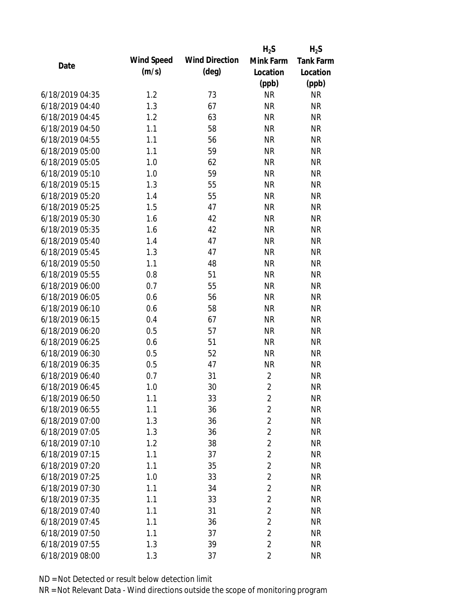|                 |            |                       | $H_2S$         | $H_2S$           |
|-----------------|------------|-----------------------|----------------|------------------|
| Date            | Wind Speed | <b>Wind Direction</b> | Mink Farm      | <b>Tank Farm</b> |
|                 | (m/s)      | $(\text{deg})$        | Location       | Location         |
|                 |            |                       | (ppb)          | (ppb)            |
| 6/18/2019 04:35 | 1.2        | 73                    | <b>NR</b>      | <b>NR</b>        |
| 6/18/2019 04:40 | 1.3        | 67                    | <b>NR</b>      | <b>NR</b>        |
| 6/18/2019 04:45 | 1.2        | 63                    | <b>NR</b>      | <b>NR</b>        |
| 6/18/2019 04:50 | 1.1        | 58                    | <b>NR</b>      | <b>NR</b>        |
| 6/18/2019 04:55 | 1.1        | 56                    | <b>NR</b>      | <b>NR</b>        |
| 6/18/2019 05:00 | 1.1        | 59                    | <b>NR</b>      | <b>NR</b>        |
| 6/18/2019 05:05 | 1.0        | 62                    | <b>NR</b>      | <b>NR</b>        |
| 6/18/2019 05:10 | 1.0        | 59                    | <b>NR</b>      | <b>NR</b>        |
| 6/18/2019 05:15 | 1.3        | 55                    | <b>NR</b>      | <b>NR</b>        |
| 6/18/2019 05:20 | 1.4        | 55                    | <b>NR</b>      | <b>NR</b>        |
| 6/18/2019 05:25 | 1.5        | 47                    | <b>NR</b>      | <b>NR</b>        |
| 6/18/2019 05:30 | 1.6        | 42                    | <b>NR</b>      | <b>NR</b>        |
| 6/18/2019 05:35 | 1.6        | 42                    | <b>NR</b>      | <b>NR</b>        |
| 6/18/2019 05:40 | 1.4        | 47                    | <b>NR</b>      | <b>NR</b>        |
| 6/18/2019 05:45 | 1.3        | 47                    | <b>NR</b>      | <b>NR</b>        |
| 6/18/2019 05:50 | 1.1        | 48                    | <b>NR</b>      | <b>NR</b>        |
| 6/18/2019 05:55 | 0.8        | 51                    | <b>NR</b>      | <b>NR</b>        |
| 6/18/2019 06:00 | 0.7        | 55                    | <b>NR</b>      | <b>NR</b>        |
| 6/18/2019 06:05 | 0.6        | 56                    | <b>NR</b>      | <b>NR</b>        |
| 6/18/2019 06:10 | 0.6        | 58                    | <b>NR</b>      | <b>NR</b>        |
| 6/18/2019 06:15 | 0.4        | 67                    | <b>NR</b>      | <b>NR</b>        |
| 6/18/2019 06:20 | 0.5        | 57                    | <b>NR</b>      | <b>NR</b>        |
| 6/18/2019 06:25 | 0.6        | 51                    | <b>NR</b>      | <b>NR</b>        |
| 6/18/2019 06:30 | 0.5        | 52                    | <b>NR</b>      | <b>NR</b>        |
| 6/18/2019 06:35 | 0.5        | 47                    | <b>NR</b>      | <b>NR</b>        |
| 6/18/2019 06:40 | 0.7        | 31                    | $\overline{2}$ | <b>NR</b>        |
| 6/18/2019 06:45 | 1.0        | 30                    | $\overline{2}$ | <b>NR</b>        |
| 6/18/2019 06:50 | 1.1        | 33                    | $\overline{2}$ | <b>NR</b>        |
| 6/18/2019 06:55 | 1.1        | 36                    | $\overline{2}$ | <b>NR</b>        |
| 6/18/2019 07:00 | 1.3        | 36                    | $\overline{2}$ | <b>NR</b>        |
| 6/18/2019 07:05 | 1.3        | 36                    | $\overline{2}$ | <b>NR</b>        |
| 6/18/2019 07:10 | 1.2        | 38                    | $\overline{2}$ | <b>NR</b>        |
| 6/18/2019 07:15 | 1.1        | 37                    | $\overline{2}$ | <b>NR</b>        |
| 6/18/2019 07:20 | 1.1        | 35                    | $\overline{2}$ | <b>NR</b>        |
| 6/18/2019 07:25 | 1.0        | 33                    | $\overline{2}$ | <b>NR</b>        |
| 6/18/2019 07:30 | 1.1        | 34                    | $\overline{2}$ | <b>NR</b>        |
| 6/18/2019 07:35 | 1.1        | 33                    | $\overline{2}$ | <b>NR</b>        |
| 6/18/2019 07:40 | 1.1        | 31                    | $\overline{2}$ | <b>NR</b>        |
| 6/18/2019 07:45 | 1.1        | 36                    | $\overline{2}$ | <b>NR</b>        |
| 6/18/2019 07:50 | 1.1        | 37                    | $\overline{2}$ | <b>NR</b>        |
| 6/18/2019 07:55 | 1.3        | 39                    | $\overline{2}$ | <b>NR</b>        |
| 6/18/2019 08:00 | 1.3        | 37                    | $\overline{2}$ | <b>NR</b>        |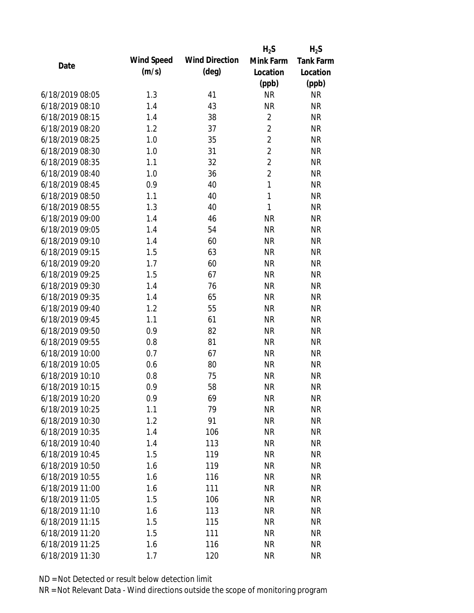|                 |            |                       | $H_2S$         | $H_2S$           |
|-----------------|------------|-----------------------|----------------|------------------|
| Date            | Wind Speed | <b>Wind Direction</b> | Mink Farm      | <b>Tank Farm</b> |
|                 | (m/s)      | $(\text{deg})$        | Location       | Location         |
|                 |            |                       | (ppb)          | (ppb)            |
| 6/18/2019 08:05 | 1.3        | 41                    | <b>NR</b>      | <b>NR</b>        |
| 6/18/2019 08:10 | 1.4        | 43                    | <b>NR</b>      | <b>NR</b>        |
| 6/18/2019 08:15 | 1.4        | 38                    | $\overline{2}$ | <b>NR</b>        |
| 6/18/2019 08:20 | 1.2        | 37                    | $\overline{2}$ | <b>NR</b>        |
| 6/18/2019 08:25 | 1.0        | 35                    | $\overline{2}$ | <b>NR</b>        |
| 6/18/2019 08:30 | 1.0        | 31                    | $\overline{2}$ | <b>NR</b>        |
| 6/18/2019 08:35 | 1.1        | 32                    | $\overline{2}$ | <b>NR</b>        |
| 6/18/2019 08:40 | 1.0        | 36                    | $\overline{2}$ | <b>NR</b>        |
| 6/18/2019 08:45 | 0.9        | 40                    | 1              | <b>NR</b>        |
| 6/18/2019 08:50 | 1.1        | 40                    | 1              | <b>NR</b>        |
| 6/18/2019 08:55 | 1.3        | 40                    | $\mathbf{1}$   | <b>NR</b>        |
| 6/18/2019 09:00 | 1.4        | 46                    | <b>NR</b>      | <b>NR</b>        |
| 6/18/2019 09:05 | 1.4        | 54                    | <b>NR</b>      | <b>NR</b>        |
| 6/18/2019 09:10 | 1.4        | 60                    | <b>NR</b>      | <b>NR</b>        |
| 6/18/2019 09:15 | 1.5        | 63                    | <b>NR</b>      | <b>NR</b>        |
| 6/18/2019 09:20 | 1.7        | 60                    | <b>NR</b>      | <b>NR</b>        |
| 6/18/2019 09:25 | 1.5        | 67                    | <b>NR</b>      | <b>NR</b>        |
| 6/18/2019 09:30 | 1.4        | 76                    | <b>NR</b>      | <b>NR</b>        |
| 6/18/2019 09:35 | 1.4        | 65                    | <b>NR</b>      | <b>NR</b>        |
| 6/18/2019 09:40 | 1.2        | 55                    | <b>NR</b>      | <b>NR</b>        |
| 6/18/2019 09:45 | 1.1        | 61                    | <b>NR</b>      | <b>NR</b>        |
| 6/18/2019 09:50 | 0.9        | 82                    | <b>NR</b>      | <b>NR</b>        |
| 6/18/2019 09:55 | 0.8        | 81                    | <b>NR</b>      | <b>NR</b>        |
| 6/18/2019 10:00 | 0.7        | 67                    | <b>NR</b>      | <b>NR</b>        |
| 6/18/2019 10:05 | 0.6        | 80                    | <b>NR</b>      | <b>NR</b>        |
| 6/18/2019 10:10 | 0.8        | 75                    | <b>NR</b>      | <b>NR</b>        |
| 6/18/2019 10:15 | 0.9        | 58                    | <b>NR</b>      | <b>NR</b>        |
| 6/18/2019 10:20 | 0.9        | 69                    | <b>NR</b>      | <b>NR</b>        |
| 6/18/2019 10:25 | 1.1        | 79                    | <b>NR</b>      | <b>NR</b>        |
| 6/18/2019 10:30 | 1.2        | 91                    | <b>NR</b>      | <b>NR</b>        |
| 6/18/2019 10:35 | 1.4        | 106                   | <b>NR</b>      | <b>NR</b>        |
| 6/18/2019 10:40 | 1.4        | 113                   | <b>NR</b>      | <b>NR</b>        |
| 6/18/2019 10:45 | 1.5        | 119                   | <b>NR</b>      | <b>NR</b>        |
| 6/18/2019 10:50 | 1.6        | 119                   | <b>NR</b>      | <b>NR</b>        |
| 6/18/2019 10:55 | 1.6        | 116                   | <b>NR</b>      | <b>NR</b>        |
| 6/18/2019 11:00 | 1.6        | 111                   | <b>NR</b>      | <b>NR</b>        |
| 6/18/2019 11:05 | 1.5        | 106                   | <b>NR</b>      | <b>NR</b>        |
| 6/18/2019 11:10 | 1.6        | 113                   | <b>NR</b>      | <b>NR</b>        |
| 6/18/2019 11:15 | 1.5        | 115                   | <b>NR</b>      | <b>NR</b>        |
| 6/18/2019 11:20 | 1.5        | 111                   | <b>NR</b>      | <b>NR</b>        |
| 6/18/2019 11:25 | 1.6        | 116                   | <b>NR</b>      | <b>NR</b>        |
| 6/18/2019 11:30 | 1.7        | 120                   | <b>NR</b>      | <b>NR</b>        |
|                 |            |                       |                |                  |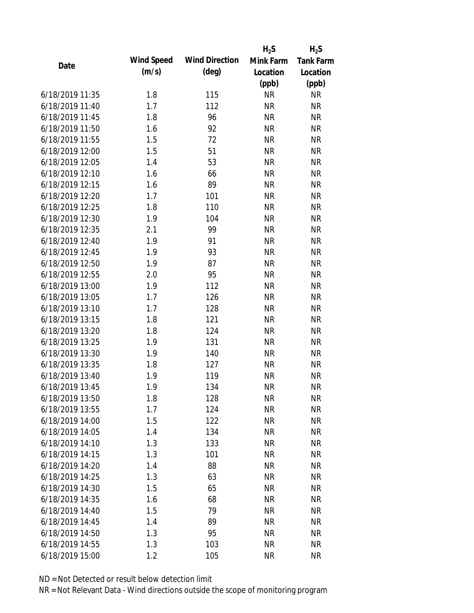|                 |            |                       | $H_2S$    | $H_2S$           |
|-----------------|------------|-----------------------|-----------|------------------|
| Date            | Wind Speed | <b>Wind Direction</b> | Mink Farm | <b>Tank Farm</b> |
|                 | (m/s)      | $(\text{deg})$        | Location  | Location         |
|                 |            |                       | (ppb)     | (ppb)            |
| 6/18/2019 11:35 | 1.8        | 115                   | <b>NR</b> | <b>NR</b>        |
| 6/18/2019 11:40 | 1.7        | 112                   | <b>NR</b> | <b>NR</b>        |
| 6/18/2019 11:45 | 1.8        | 96                    | <b>NR</b> | <b>NR</b>        |
| 6/18/2019 11:50 | 1.6        | 92                    | <b>NR</b> | <b>NR</b>        |
| 6/18/2019 11:55 | 1.5        | 72                    | <b>NR</b> | <b>NR</b>        |
| 6/18/2019 12:00 | 1.5        | 51                    | <b>NR</b> | <b>NR</b>        |
| 6/18/2019 12:05 | 1.4        | 53                    | <b>NR</b> | <b>NR</b>        |
| 6/18/2019 12:10 | 1.6        | 66                    | <b>NR</b> | <b>NR</b>        |
| 6/18/2019 12:15 | 1.6        | 89                    | <b>NR</b> | <b>NR</b>        |
| 6/18/2019 12:20 | 1.7        | 101                   | <b>NR</b> | <b>NR</b>        |
| 6/18/2019 12:25 | 1.8        | 110                   | <b>NR</b> | <b>NR</b>        |
| 6/18/2019 12:30 | 1.9        | 104                   | <b>NR</b> | <b>NR</b>        |
| 6/18/2019 12:35 | 2.1        | 99                    | <b>NR</b> | <b>NR</b>        |
| 6/18/2019 12:40 | 1.9        | 91                    | <b>NR</b> | <b>NR</b>        |
| 6/18/2019 12:45 | 1.9        | 93                    | <b>NR</b> | <b>NR</b>        |
| 6/18/2019 12:50 | 1.9        | 87                    | <b>NR</b> | <b>NR</b>        |
| 6/18/2019 12:55 | 2.0        | 95                    | <b>NR</b> | <b>NR</b>        |
| 6/18/2019 13:00 | 1.9        | 112                   | <b>NR</b> | <b>NR</b>        |
| 6/18/2019 13:05 | 1.7        | 126                   | <b>NR</b> | <b>NR</b>        |
| 6/18/2019 13:10 | 1.7        | 128                   | <b>NR</b> | <b>NR</b>        |
| 6/18/2019 13:15 | 1.8        | 121                   | <b>NR</b> | <b>NR</b>        |
| 6/18/2019 13:20 | 1.8        | 124                   | <b>NR</b> | <b>NR</b>        |
| 6/18/2019 13:25 | 1.9        | 131                   | <b>NR</b> | <b>NR</b>        |
| 6/18/2019 13:30 | 1.9        | 140                   | <b>NR</b> | <b>NR</b>        |
| 6/18/2019 13:35 | 1.8        | 127                   | <b>NR</b> | <b>NR</b>        |
| 6/18/2019 13:40 | 1.9        | 119                   | <b>NR</b> | <b>NR</b>        |
| 6/18/2019 13:45 | 1.9        | 134                   | <b>NR</b> | <b>NR</b>        |
| 6/18/2019 13:50 | 1.8        | 128                   | <b>NR</b> | <b>NR</b>        |
| 6/18/2019 13:55 | 1.7        | 124                   | <b>NR</b> | <b>NR</b>        |
| 6/18/2019 14:00 | 1.5        | 122                   | <b>NR</b> | <b>NR</b>        |
| 6/18/2019 14:05 | 1.4        | 134                   | <b>NR</b> | <b>NR</b>        |
| 6/18/2019 14:10 | 1.3        | 133                   | <b>NR</b> | <b>NR</b>        |
| 6/18/2019 14:15 | 1.3        | 101                   | <b>NR</b> | <b>NR</b>        |
| 6/18/2019 14:20 | 1.4        | 88                    | <b>NR</b> | <b>NR</b>        |
| 6/18/2019 14:25 | 1.3        | 63                    | <b>NR</b> | <b>NR</b>        |
| 6/18/2019 14:30 | 1.5        | 65                    | <b>NR</b> | <b>NR</b>        |
| 6/18/2019 14:35 | 1.6        | 68                    | <b>NR</b> | <b>NR</b>        |
| 6/18/2019 14:40 | 1.5        | 79                    | <b>NR</b> | <b>NR</b>        |
| 6/18/2019 14:45 | 1.4        | 89                    | <b>NR</b> | <b>NR</b>        |
| 6/18/2019 14:50 | 1.3        | 95                    | <b>NR</b> | <b>NR</b>        |
| 6/18/2019 14:55 | 1.3        | 103                   | <b>NR</b> | <b>NR</b>        |
| 6/18/2019 15:00 | 1.2        | 105                   | <b>NR</b> | <b>NR</b>        |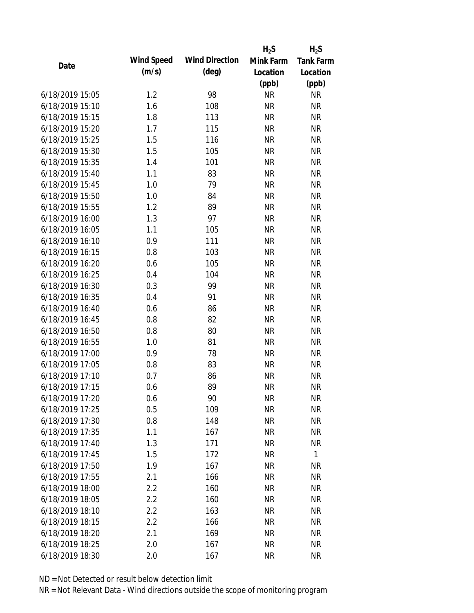|                 |            |                       | $H_2S$    | $H_2S$           |
|-----------------|------------|-----------------------|-----------|------------------|
| Date            | Wind Speed | <b>Wind Direction</b> | Mink Farm | <b>Tank Farm</b> |
|                 | (m/s)      | $(\text{deg})$        | Location  | Location         |
|                 |            |                       | (ppb)     | (ppb)            |
| 6/18/2019 15:05 | 1.2        | 98                    | <b>NR</b> | <b>NR</b>        |
| 6/18/2019 15:10 | 1.6        | 108                   | <b>NR</b> | <b>NR</b>        |
| 6/18/2019 15:15 | 1.8        | 113                   | <b>NR</b> | <b>NR</b>        |
| 6/18/2019 15:20 | 1.7        | 115                   | <b>NR</b> | <b>NR</b>        |
| 6/18/2019 15:25 | 1.5        | 116                   | <b>NR</b> | <b>NR</b>        |
| 6/18/2019 15:30 | 1.5        | 105                   | <b>NR</b> | <b>NR</b>        |
| 6/18/2019 15:35 | 1.4        | 101                   | <b>NR</b> | <b>NR</b>        |
| 6/18/2019 15:40 | 1.1        | 83                    | <b>NR</b> | <b>NR</b>        |
| 6/18/2019 15:45 | 1.0        | 79                    | <b>NR</b> | <b>NR</b>        |
| 6/18/2019 15:50 | 1.0        | 84                    | <b>NR</b> | <b>NR</b>        |
| 6/18/2019 15:55 | 1.2        | 89                    | <b>NR</b> | <b>NR</b>        |
| 6/18/2019 16:00 | 1.3        | 97                    | <b>NR</b> | <b>NR</b>        |
| 6/18/2019 16:05 | 1.1        | 105                   | <b>NR</b> | <b>NR</b>        |
| 6/18/2019 16:10 | 0.9        | 111                   | <b>NR</b> | <b>NR</b>        |
| 6/18/2019 16:15 | 0.8        | 103                   | <b>NR</b> | <b>NR</b>        |
| 6/18/2019 16:20 | 0.6        | 105                   | <b>NR</b> | <b>NR</b>        |
| 6/18/2019 16:25 | 0.4        | 104                   | <b>NR</b> | <b>NR</b>        |
| 6/18/2019 16:30 | 0.3        | 99                    | <b>NR</b> | <b>NR</b>        |
| 6/18/2019 16:35 | 0.4        | 91                    | <b>NR</b> | <b>NR</b>        |
| 6/18/2019 16:40 | 0.6        | 86                    | <b>NR</b> | <b>NR</b>        |
| 6/18/2019 16:45 | 0.8        | 82                    | <b>NR</b> | <b>NR</b>        |
| 6/18/2019 16:50 | 0.8        | 80                    | <b>NR</b> | <b>NR</b>        |
| 6/18/2019 16:55 | 1.0        | 81                    | <b>NR</b> | <b>NR</b>        |
| 6/18/2019 17:00 | 0.9        | 78                    | <b>NR</b> | <b>NR</b>        |
| 6/18/2019 17:05 | 0.8        | 83                    | <b>NR</b> | <b>NR</b>        |
| 6/18/2019 17:10 | 0.7        | 86                    | <b>NR</b> | <b>NR</b>        |
| 6/18/2019 17:15 | 0.6        | 89                    | <b>NR</b> | <b>NR</b>        |
| 6/18/2019 17:20 | 0.6        | 90                    | <b>NR</b> | <b>NR</b>        |
| 6/18/2019 17:25 | 0.5        | 109                   | <b>NR</b> | <b>NR</b>        |
| 6/18/2019 17:30 | 0.8        | 148                   | <b>NR</b> | <b>NR</b>        |
| 6/18/2019 17:35 | 1.1        | 167                   | <b>NR</b> | <b>NR</b>        |
| 6/18/2019 17:40 | 1.3        | 171                   | <b>NR</b> | <b>NR</b>        |
| 6/18/2019 17:45 | 1.5        | 172                   | <b>NR</b> | $\mathbf{1}$     |
| 6/18/2019 17:50 | 1.9        | 167                   | <b>NR</b> | <b>NR</b>        |
| 6/18/2019 17:55 | 2.1        | 166                   | <b>NR</b> | <b>NR</b>        |
| 6/18/2019 18:00 | 2.2        | 160                   | <b>NR</b> | <b>NR</b>        |
| 6/18/2019 18:05 | 2.2        | 160                   | <b>NR</b> | <b>NR</b>        |
| 6/18/2019 18:10 | 2.2        | 163                   | <b>NR</b> | <b>NR</b>        |
| 6/18/2019 18:15 | 2.2        | 166                   | <b>NR</b> | <b>NR</b>        |
| 6/18/2019 18:20 | 2.1        | 169                   | ΝR        | <b>NR</b>        |
| 6/18/2019 18:25 | 2.0        | 167                   | <b>NR</b> | <b>NR</b>        |
| 6/18/2019 18:30 | 2.0        | 167                   | <b>NR</b> | <b>NR</b>        |
|                 |            |                       |           |                  |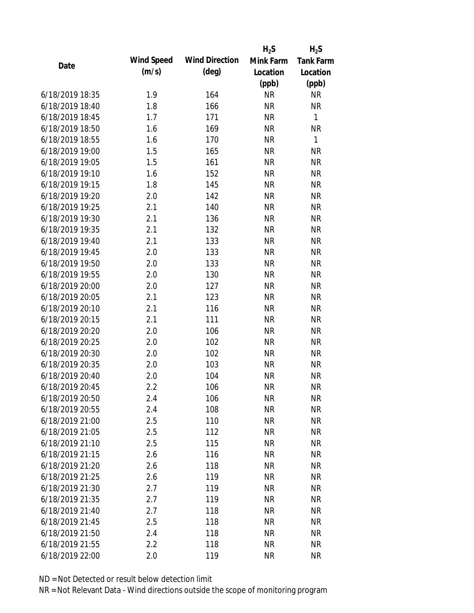|                 |            |                       | $H_2S$    | $H_2S$           |
|-----------------|------------|-----------------------|-----------|------------------|
| Date            | Wind Speed | <b>Wind Direction</b> | Mink Farm | <b>Tank Farm</b> |
|                 | (m/s)      | $(\text{deg})$        | Location  | Location         |
|                 |            |                       | (ppb)     | (ppb)            |
| 6/18/2019 18:35 | 1.9        | 164                   | <b>NR</b> | <b>NR</b>        |
| 6/18/2019 18:40 | 1.8        | 166                   | <b>NR</b> | <b>NR</b>        |
| 6/18/2019 18:45 | 1.7        | 171                   | <b>NR</b> | $\mathbf{1}$     |
| 6/18/2019 18:50 | 1.6        | 169                   | <b>NR</b> | <b>NR</b>        |
| 6/18/2019 18:55 | 1.6        | 170                   | <b>NR</b> | 1                |
| 6/18/2019 19:00 | 1.5        | 165                   | <b>NR</b> | <b>NR</b>        |
| 6/18/2019 19:05 | 1.5        | 161                   | <b>NR</b> | <b>NR</b>        |
| 6/18/2019 19:10 | 1.6        | 152                   | <b>NR</b> | <b>NR</b>        |
| 6/18/2019 19:15 | 1.8        | 145                   | <b>NR</b> | <b>NR</b>        |
| 6/18/2019 19:20 | 2.0        | 142                   | <b>NR</b> | <b>NR</b>        |
| 6/18/2019 19:25 | 2.1        | 140                   | <b>NR</b> | <b>NR</b>        |
| 6/18/2019 19:30 | 2.1        | 136                   | <b>NR</b> | <b>NR</b>        |
| 6/18/2019 19:35 | 2.1        | 132                   | <b>NR</b> | <b>NR</b>        |
| 6/18/2019 19:40 | 2.1        | 133                   | <b>NR</b> | <b>NR</b>        |
| 6/18/2019 19:45 | 2.0        | 133                   | <b>NR</b> | <b>NR</b>        |
| 6/18/2019 19:50 | 2.0        | 133                   | <b>NR</b> | <b>NR</b>        |
| 6/18/2019 19:55 | 2.0        | 130                   | <b>NR</b> | <b>NR</b>        |
| 6/18/2019 20:00 | 2.0        | 127                   | <b>NR</b> | <b>NR</b>        |
| 6/18/2019 20:05 | 2.1        | 123                   | <b>NR</b> | <b>NR</b>        |
| 6/18/2019 20:10 | 2.1        | 116                   | <b>NR</b> | <b>NR</b>        |
| 6/18/2019 20:15 | 2.1        | 111                   | <b>NR</b> | <b>NR</b>        |
| 6/18/2019 20:20 | 2.0        | 106                   | <b>NR</b> | <b>NR</b>        |
| 6/18/2019 20:25 | 2.0        | 102                   | <b>NR</b> | <b>NR</b>        |
| 6/18/2019 20:30 | 2.0        | 102                   | <b>NR</b> | <b>NR</b>        |
| 6/18/2019 20:35 | 2.0        | 103                   | <b>NR</b> | <b>NR</b>        |
| 6/18/2019 20:40 | 2.0        | 104                   | <b>NR</b> | <b>NR</b>        |
| 6/18/2019 20:45 | 2.2        | 106                   | <b>NR</b> | <b>NR</b>        |
| 6/18/2019 20:50 | 2.4        | 106                   | <b>NR</b> | <b>NR</b>        |
| 6/18/2019 20:55 | 2.4        | 108                   | <b>NR</b> | <b>NR</b>        |
| 6/18/2019 21:00 | 2.5        | 110                   | <b>NR</b> | <b>NR</b>        |
| 6/18/2019 21:05 | 2.5        | 112                   | <b>NR</b> | <b>NR</b>        |
| 6/18/2019 21:10 | 2.5        | 115                   | <b>NR</b> | <b>NR</b>        |
| 6/18/2019 21:15 | 2.6        | 116                   | <b>NR</b> | <b>NR</b>        |
| 6/18/2019 21:20 | 2.6        | 118                   | <b>NR</b> | <b>NR</b>        |
| 6/18/2019 21:25 | 2.6        | 119                   | <b>NR</b> | <b>NR</b>        |
| 6/18/2019 21:30 | 2.7        | 119                   | <b>NR</b> | <b>NR</b>        |
| 6/18/2019 21:35 | 2.7        | 119                   | <b>NR</b> | <b>NR</b>        |
| 6/18/2019 21:40 | 2.7        | 118                   | <b>NR</b> | <b>NR</b>        |
| 6/18/2019 21:45 | 2.5        | 118                   | <b>NR</b> | <b>NR</b>        |
| 6/18/2019 21:50 | 2.4        | 118                   | <b>NR</b> | <b>NR</b>        |
| 6/18/2019 21:55 | 2.2        | 118                   | <b>NR</b> | <b>NR</b>        |
| 6/18/2019 22:00 | 2.0        | 119                   | <b>NR</b> | <b>NR</b>        |
|                 |            |                       |           |                  |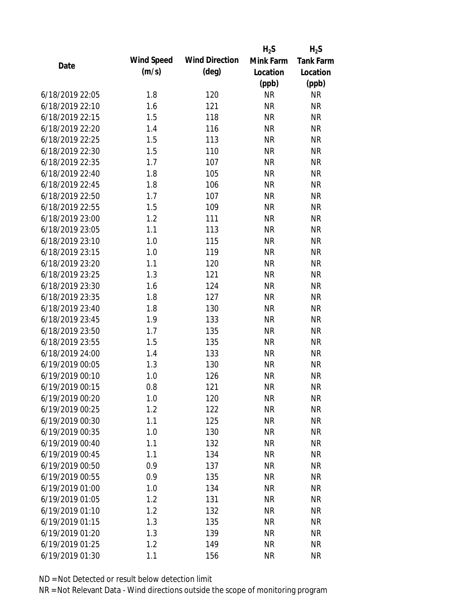|                 |            |                       | $H_2S$    | $H_2S$           |
|-----------------|------------|-----------------------|-----------|------------------|
| Date            | Wind Speed | <b>Wind Direction</b> | Mink Farm | <b>Tank Farm</b> |
|                 | (m/s)      | $(\text{deg})$        | Location  | Location         |
|                 |            |                       | (ppb)     | (ppb)            |
| 6/18/2019 22:05 | 1.8        | 120                   | <b>NR</b> | <b>NR</b>        |
| 6/18/2019 22:10 | 1.6        | 121                   | <b>NR</b> | <b>NR</b>        |
| 6/18/2019 22:15 | 1.5        | 118                   | <b>NR</b> | <b>NR</b>        |
| 6/18/2019 22:20 | 1.4        | 116                   | <b>NR</b> | <b>NR</b>        |
| 6/18/2019 22:25 | 1.5        | 113                   | <b>NR</b> | <b>NR</b>        |
| 6/18/2019 22:30 | 1.5        | 110                   | <b>NR</b> | <b>NR</b>        |
| 6/18/2019 22:35 | 1.7        | 107                   | <b>NR</b> | <b>NR</b>        |
| 6/18/2019 22:40 | 1.8        | 105                   | <b>NR</b> | <b>NR</b>        |
| 6/18/2019 22:45 | 1.8        | 106                   | <b>NR</b> | <b>NR</b>        |
| 6/18/2019 22:50 | 1.7        | 107                   | <b>NR</b> | <b>NR</b>        |
| 6/18/2019 22:55 | 1.5        | 109                   | <b>NR</b> | <b>NR</b>        |
| 6/18/2019 23:00 | 1.2        | 111                   | <b>NR</b> | <b>NR</b>        |
| 6/18/2019 23:05 | 1.1        | 113                   | <b>NR</b> | <b>NR</b>        |
| 6/18/2019 23:10 | 1.0        | 115                   | <b>NR</b> | <b>NR</b>        |
| 6/18/2019 23:15 | 1.0        | 119                   | <b>NR</b> | <b>NR</b>        |
| 6/18/2019 23:20 | 1.1        | 120                   | <b>NR</b> | <b>NR</b>        |
| 6/18/2019 23:25 | 1.3        | 121                   | <b>NR</b> | <b>NR</b>        |
| 6/18/2019 23:30 | 1.6        | 124                   | <b>NR</b> | <b>NR</b>        |
| 6/18/2019 23:35 | 1.8        | 127                   | <b>NR</b> | <b>NR</b>        |
| 6/18/2019 23:40 | 1.8        | 130                   | <b>NR</b> | <b>NR</b>        |
| 6/18/2019 23:45 | 1.9        | 133                   | <b>NR</b> | <b>NR</b>        |
| 6/18/2019 23:50 | 1.7        | 135                   | <b>NR</b> | <b>NR</b>        |
| 6/18/2019 23:55 | 1.5        | 135                   | <b>NR</b> | <b>NR</b>        |
| 6/18/2019 24:00 | 1.4        | 133                   | <b>NR</b> | <b>NR</b>        |
| 6/19/2019 00:05 | 1.3        | 130                   | <b>NR</b> | <b>NR</b>        |
| 6/19/2019 00:10 | 1.0        | 126                   | <b>NR</b> | <b>NR</b>        |
| 6/19/2019 00:15 | 0.8        | 121                   | <b>NR</b> | <b>NR</b>        |
| 6/19/2019 00:20 | 1.0        | 120                   | <b>NR</b> | <b>NR</b>        |
| 6/19/2019 00:25 | 1.2        | 122                   | <b>NR</b> | <b>NR</b>        |
| 6/19/2019 00:30 | 1.1        | 125                   | <b>NR</b> | <b>NR</b>        |
| 6/19/2019 00:35 | 1.0        | 130                   | <b>NR</b> | <b>NR</b>        |
| 6/19/2019 00:40 | 1.1        | 132                   | <b>NR</b> | <b>NR</b>        |
| 6/19/2019 00:45 | 1.1        | 134                   | <b>NR</b> | <b>NR</b>        |
| 6/19/2019 00:50 | 0.9        | 137                   | <b>NR</b> | <b>NR</b>        |
| 6/19/2019 00:55 | 0.9        | 135                   | <b>NR</b> | <b>NR</b>        |
| 6/19/2019 01:00 | 1.0        | 134                   | <b>NR</b> | <b>NR</b>        |
| 6/19/2019 01:05 | 1.2        | 131                   | <b>NR</b> | <b>NR</b>        |
| 6/19/2019 01:10 | 1.2        | 132                   | <b>NR</b> | <b>NR</b>        |
| 6/19/2019 01:15 | 1.3        | 135                   | <b>NR</b> | <b>NR</b>        |
| 6/19/2019 01:20 | 1.3        | 139                   | <b>NR</b> | <b>NR</b>        |
| 6/19/2019 01:25 | 1.2        | 149                   | <b>NR</b> | <b>NR</b>        |
| 6/19/2019 01:30 | 1.1        | 156                   | <b>NR</b> | <b>NR</b>        |
|                 |            |                       |           |                  |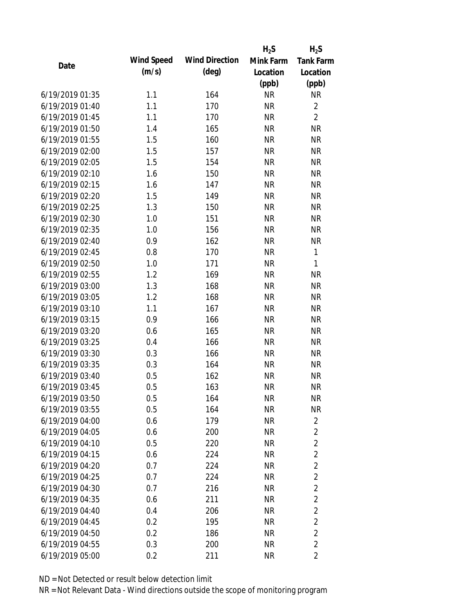|                 |            |                       | $H_2S$    | $H_2S$           |
|-----------------|------------|-----------------------|-----------|------------------|
| Date            | Wind Speed | <b>Wind Direction</b> | Mink Farm | <b>Tank Farm</b> |
|                 | (m/s)      | $(\text{deg})$        | Location  | Location         |
|                 |            |                       | (ppb)     | (ppb)            |
| 6/19/2019 01:35 | 1.1        | 164                   | <b>NR</b> | <b>NR</b>        |
| 6/19/2019 01:40 | 1.1        | 170                   | <b>NR</b> | $\overline{2}$   |
| 6/19/2019 01:45 | 1.1        | 170                   | <b>NR</b> | $\overline{2}$   |
| 6/19/2019 01:50 | 1.4        | 165                   | <b>NR</b> | <b>NR</b>        |
| 6/19/2019 01:55 | 1.5        | 160                   | <b>NR</b> | <b>NR</b>        |
| 6/19/2019 02:00 | 1.5        | 157                   | <b>NR</b> | <b>NR</b>        |
| 6/19/2019 02:05 | 1.5        | 154                   | <b>NR</b> | <b>NR</b>        |
| 6/19/2019 02:10 | 1.6        | 150                   | <b>NR</b> | <b>NR</b>        |
| 6/19/2019 02:15 | 1.6        | 147                   | <b>NR</b> | <b>NR</b>        |
| 6/19/2019 02:20 | 1.5        | 149                   | <b>NR</b> | <b>NR</b>        |
| 6/19/2019 02:25 | 1.3        | 150                   | <b>NR</b> | <b>NR</b>        |
| 6/19/2019 02:30 | 1.0        | 151                   | <b>NR</b> | <b>NR</b>        |
| 6/19/2019 02:35 | 1.0        | 156                   | <b>NR</b> | <b>NR</b>        |
| 6/19/2019 02:40 | 0.9        | 162                   | <b>NR</b> | <b>NR</b>        |
| 6/19/2019 02:45 | 0.8        | 170                   | <b>NR</b> | $\mathbf{1}$     |
| 6/19/2019 02:50 | 1.0        | 171                   | <b>NR</b> | $\mathbf{1}$     |
| 6/19/2019 02:55 | 1.2        | 169                   | <b>NR</b> | <b>NR</b>        |
| 6/19/2019 03:00 | 1.3        | 168                   | <b>NR</b> | <b>NR</b>        |
| 6/19/2019 03:05 | 1.2        | 168                   | <b>NR</b> | <b>NR</b>        |
| 6/19/2019 03:10 | 1.1        | 167                   | <b>NR</b> | <b>NR</b>        |
| 6/19/2019 03:15 | 0.9        | 166                   | <b>NR</b> | <b>NR</b>        |
| 6/19/2019 03:20 | 0.6        | 165                   | <b>NR</b> | <b>NR</b>        |
| 6/19/2019 03:25 | 0.4        | 166                   | <b>NR</b> | <b>NR</b>        |
| 6/19/2019 03:30 | 0.3        | 166                   | <b>NR</b> | <b>NR</b>        |
| 6/19/2019 03:35 | 0.3        | 164                   | <b>NR</b> | <b>NR</b>        |
| 6/19/2019 03:40 | 0.5        | 162                   | <b>NR</b> | <b>NR</b>        |
| 6/19/2019 03:45 | 0.5        | 163                   | <b>NR</b> | <b>NR</b>        |
| 6/19/2019 03:50 | 0.5        | 164                   | <b>NR</b> | <b>NR</b>        |
| 6/19/2019 03:55 | 0.5        | 164                   | <b>NR</b> | <b>NR</b>        |
| 6/19/2019 04:00 | 0.6        | 179                   | <b>NR</b> | $\overline{2}$   |
| 6/19/2019 04:05 | 0.6        | 200                   | <b>NR</b> | 2                |
| 6/19/2019 04:10 | 0.5        | 220                   | <b>NR</b> | $\overline{2}$   |
| 6/19/2019 04:15 | 0.6        | 224                   | <b>NR</b> | $\overline{2}$   |
| 6/19/2019 04:20 | 0.7        | 224                   | <b>NR</b> | $\overline{2}$   |
| 6/19/2019 04:25 | 0.7        | 224                   | <b>NR</b> | $\overline{2}$   |
| 6/19/2019 04:30 | 0.7        | 216                   | <b>NR</b> | $\overline{2}$   |
| 6/19/2019 04:35 | 0.6        | 211                   | <b>NR</b> | $\overline{2}$   |
| 6/19/2019 04:40 | 0.4        | 206                   | <b>NR</b> | $\overline{2}$   |
| 6/19/2019 04:45 | 0.2        | 195                   | <b>NR</b> | $\overline{2}$   |
| 6/19/2019 04:50 | 0.2        | 186                   | ΝR        | $\overline{2}$   |
| 6/19/2019 04:55 | 0.3        | 200                   | <b>NR</b> | $\overline{2}$   |
| 6/19/2019 05:00 | 0.2        | 211                   | <b>NR</b> | 2                |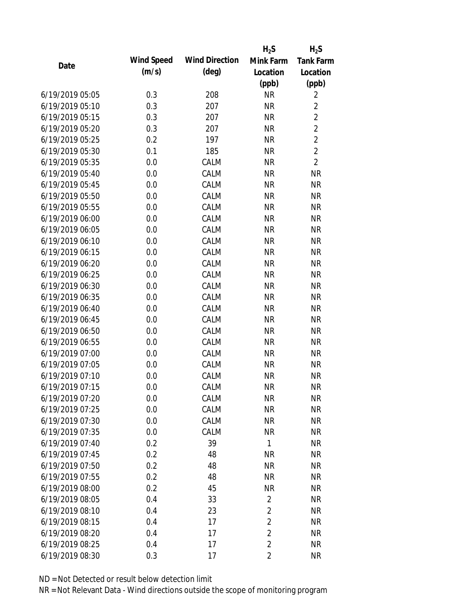|                 |            |                       | $H_2S$         | $H_2S$           |
|-----------------|------------|-----------------------|----------------|------------------|
| Date            | Wind Speed | <b>Wind Direction</b> | Mink Farm      | <b>Tank Farm</b> |
|                 | (m/s)      | $(\text{deg})$        | Location       | Location         |
|                 |            |                       | (ppb)          | (ppb)            |
| 6/19/2019 05:05 | 0.3        | 208                   | <b>NR</b>      | $\overline{2}$   |
| 6/19/2019 05:10 | 0.3        | 207                   | <b>NR</b>      | $\overline{2}$   |
| 6/19/2019 05:15 | 0.3        | 207                   | <b>NR</b>      | $\overline{2}$   |
| 6/19/2019 05:20 | 0.3        | 207                   | <b>NR</b>      | $\overline{2}$   |
| 6/19/2019 05:25 | 0.2        | 197                   | <b>NR</b>      | $\overline{2}$   |
| 6/19/2019 05:30 | 0.1        | 185                   | <b>NR</b>      | $\overline{2}$   |
| 6/19/2019 05:35 | 0.0        | CALM                  | <b>NR</b>      | $\overline{2}$   |
| 6/19/2019 05:40 | 0.0        | CALM                  | <b>NR</b>      | <b>NR</b>        |
| 6/19/2019 05:45 | 0.0        | CALM                  | <b>NR</b>      | <b>NR</b>        |
| 6/19/2019 05:50 | 0.0        | CALM                  | <b>NR</b>      | <b>NR</b>        |
| 6/19/2019 05:55 | 0.0        | CALM                  | <b>NR</b>      | <b>NR</b>        |
| 6/19/2019 06:00 | 0.0        | CALM                  | <b>NR</b>      | <b>NR</b>        |
| 6/19/2019 06:05 | 0.0        | CALM                  | <b>NR</b>      | <b>NR</b>        |
| 6/19/2019 06:10 | 0.0        | CALM                  | <b>NR</b>      | <b>NR</b>        |
| 6/19/2019 06:15 | 0.0        | CALM                  | <b>NR</b>      | <b>NR</b>        |
| 6/19/2019 06:20 | 0.0        | CALM                  | <b>NR</b>      | <b>NR</b>        |
| 6/19/2019 06:25 | 0.0        | CALM                  | <b>NR</b>      | <b>NR</b>        |
| 6/19/2019 06:30 | 0.0        | CALM                  | <b>NR</b>      | <b>NR</b>        |
| 6/19/2019 06:35 | 0.0        | CALM                  | <b>NR</b>      | <b>NR</b>        |
| 6/19/2019 06:40 | 0.0        | CALM                  | <b>NR</b>      | <b>NR</b>        |
| 6/19/2019 06:45 | 0.0        | CALM                  | <b>NR</b>      | <b>NR</b>        |
| 6/19/2019 06:50 | 0.0        | CALM                  | <b>NR</b>      | <b>NR</b>        |
| 6/19/2019 06:55 | 0.0        | CALM                  | <b>NR</b>      | <b>NR</b>        |
| 6/19/2019 07:00 | 0.0        | CALM                  | <b>NR</b>      | <b>NR</b>        |
| 6/19/2019 07:05 | 0.0        | CALM                  | <b>NR</b>      | <b>NR</b>        |
| 6/19/2019 07:10 | 0.0        | CALM                  | <b>NR</b>      | <b>NR</b>        |
| 6/19/2019 07:15 | 0.0        | CALM                  | <b>NR</b>      | <b>NR</b>        |
| 6/19/2019 07:20 | 0.0        | CALM                  | <b>NR</b>      | <b>NR</b>        |
| 6/19/2019 07:25 | 0.0        | CALM                  | <b>NR</b>      | <b>NR</b>        |
| 6/19/2019 07:30 | 0.0        | CALM                  | <b>NR</b>      | <b>NR</b>        |
| 6/19/2019 07:35 | 0.0        | CALM                  | <b>NR</b>      | <b>NR</b>        |
| 6/19/2019 07:40 | 0.2        | 39                    | $\mathbf{1}$   | <b>NR</b>        |
| 6/19/2019 07:45 | 0.2        | 48                    | <b>NR</b>      | <b>NR</b>        |
| 6/19/2019 07:50 | 0.2        | 48                    | <b>NR</b>      | <b>NR</b>        |
| 6/19/2019 07:55 | 0.2        | 48                    | <b>NR</b>      | <b>NR</b>        |
| 6/19/2019 08:00 | 0.2        | 45                    | <b>NR</b>      | <b>NR</b>        |
| 6/19/2019 08:05 | 0.4        | 33                    | $\overline{2}$ | <b>NR</b>        |
| 6/19/2019 08:10 | 0.4        | 23                    | $\overline{2}$ | <b>NR</b>        |
| 6/19/2019 08:15 | 0.4        | 17                    | $\overline{2}$ | <b>NR</b>        |
| 6/19/2019 08:20 | 0.4        | 17                    | $\overline{2}$ | <b>NR</b>        |
| 6/19/2019 08:25 | 0.4        | 17                    | $\overline{2}$ | <b>NR</b>        |
| 6/19/2019 08:30 | 0.3        | 17                    | $\overline{2}$ | <b>NR</b>        |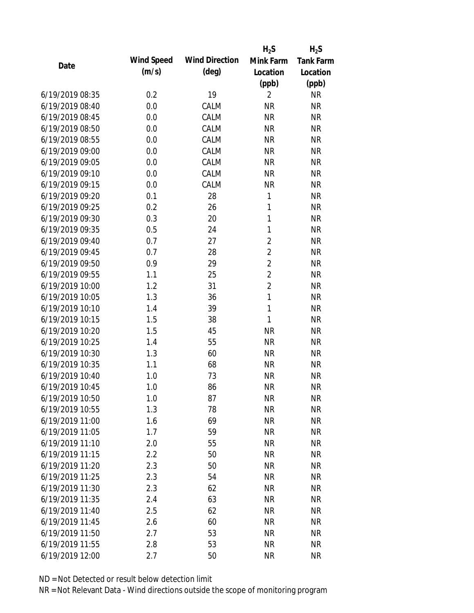|            |                          |                | $H_2S$                                                                             |
|------------|--------------------------|----------------|------------------------------------------------------------------------------------|
| Wind Speed | <b>Wind Direction</b>    | Mink Farm      | <b>Tank Farm</b>                                                                   |
| (m/s)      | $(\text{deg})$           | Location       | Location                                                                           |
|            |                          |                | (ppb)                                                                              |
| 0.2        | 19                       | $\overline{2}$ | <b>NR</b>                                                                          |
| 0.0        | CALM                     | <b>NR</b>      | <b>NR</b>                                                                          |
| 0.0        | CALM                     | <b>NR</b>      | <b>NR</b>                                                                          |
| 0.0        | CALM                     | <b>NR</b>      | <b>NR</b>                                                                          |
| 0.0        | CALM                     | <b>NR</b>      | <b>NR</b>                                                                          |
| 0.0        | CALM                     | <b>NR</b>      | <b>NR</b>                                                                          |
| 0.0        | CALM                     | <b>NR</b>      | <b>NR</b>                                                                          |
| 0.0        | CALM                     | <b>NR</b>      | <b>NR</b>                                                                          |
| 0.0        | CALM                     | <b>NR</b>      | <b>NR</b>                                                                          |
| 0.1        | 28                       | 1              | <b>NR</b>                                                                          |
| 0.2        | 26                       | 1              | <b>NR</b>                                                                          |
| 0.3        | 20                       | $\mathbf{1}$   | <b>NR</b>                                                                          |
| 0.5        | 24                       | $\mathbf{1}$   | <b>NR</b>                                                                          |
| 0.7        | 27                       |                | <b>NR</b>                                                                          |
| 0.7        | 28                       | $\overline{2}$ | <b>NR</b>                                                                          |
| 0.9        | 29                       | $\overline{2}$ | <b>NR</b>                                                                          |
| 1.1        | 25                       |                | <b>NR</b>                                                                          |
| 1.2        | 31                       |                | <b>NR</b>                                                                          |
| 1.3        | 36                       | $\mathbf{1}$   | <b>NR</b>                                                                          |
| 1.4        | 39                       | $\mathbf{1}$   | <b>NR</b>                                                                          |
|            | 38                       | $\mathbf{1}$   | <b>NR</b>                                                                          |
| 1.5        | 45                       | <b>NR</b>      | <b>NR</b>                                                                          |
| 1.4        | 55                       | <b>NR</b>      | <b>NR</b>                                                                          |
| 1.3        | 60                       | <b>NR</b>      | <b>NR</b>                                                                          |
| 1.1        | 68                       | <b>NR</b>      | <b>NR</b>                                                                          |
| 1.0        | 73                       | <b>NR</b>      | <b>NR</b>                                                                          |
| 1.0        | 86                       | <b>NR</b>      | <b>NR</b>                                                                          |
| 1.0        | 87                       | <b>NR</b>      | <b>NR</b>                                                                          |
| 1.3        | 78                       | <b>NR</b>      | <b>NR</b>                                                                          |
| 1.6        | 69                       | <b>NR</b>      | <b>NR</b>                                                                          |
| 1.7        | 59                       | <b>NR</b>      | <b>NR</b>                                                                          |
| 2.0        | 55                       | <b>NR</b>      | <b>NR</b>                                                                          |
| 2.2        | 50                       | <b>NR</b>      | <b>NR</b>                                                                          |
| 2.3        | 50                       | <b>NR</b>      | <b>NR</b>                                                                          |
| 2.3        | 54                       | <b>NR</b>      | <b>NR</b>                                                                          |
| 2.3        | 62                       | <b>NR</b>      | <b>NR</b>                                                                          |
|            |                          | <b>NR</b>      | <b>NR</b>                                                                          |
|            |                          |                | <b>NR</b>                                                                          |
|            | 60                       | <b>NR</b>      | <b>NR</b>                                                                          |
| 2.7        | 53                       | <b>NR</b>      | <b>NR</b>                                                                          |
| 2.8        | 53                       | <b>NR</b>      | <b>NR</b>                                                                          |
| 2.7        | 50                       | <b>NR</b>      | <b>NR</b>                                                                          |
|            | 1.5<br>2.4<br>2.5<br>2.6 | 63<br>62       | $H_2S$<br>(ppb)<br>$\overline{2}$<br>$\overline{2}$<br>$\overline{2}$<br><b>NR</b> |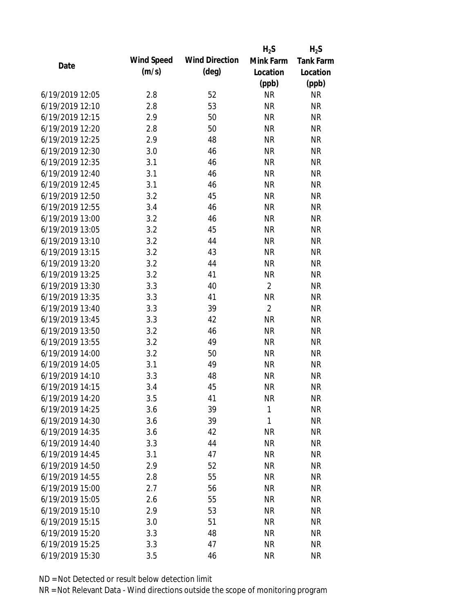|                 |            |                       | $H_2S$         | $H_2S$           |
|-----------------|------------|-----------------------|----------------|------------------|
| Date            | Wind Speed | <b>Wind Direction</b> | Mink Farm      | <b>Tank Farm</b> |
|                 | (m/s)      | $(\text{deg})$        | Location       | Location         |
|                 |            |                       | (ppb)          | (ppb)            |
| 6/19/2019 12:05 | 2.8        | 52                    | <b>NR</b>      | <b>NR</b>        |
| 6/19/2019 12:10 | 2.8        | 53                    | <b>NR</b>      | <b>NR</b>        |
| 6/19/2019 12:15 | 2.9        | 50                    | <b>NR</b>      | <b>NR</b>        |
| 6/19/2019 12:20 | 2.8        | 50                    | <b>NR</b>      | <b>NR</b>        |
| 6/19/2019 12:25 | 2.9        | 48                    | <b>NR</b>      | <b>NR</b>        |
| 6/19/2019 12:30 | 3.0        | 46                    | <b>NR</b>      | <b>NR</b>        |
| 6/19/2019 12:35 | 3.1        | 46                    | <b>NR</b>      | <b>NR</b>        |
| 6/19/2019 12:40 | 3.1        | 46                    | <b>NR</b>      | <b>NR</b>        |
| 6/19/2019 12:45 | 3.1        | 46                    | <b>NR</b>      | <b>NR</b>        |
| 6/19/2019 12:50 | 3.2        | 45                    | <b>NR</b>      | <b>NR</b>        |
| 6/19/2019 12:55 | 3.4        | 46                    | <b>NR</b>      | <b>NR</b>        |
| 6/19/2019 13:00 | 3.2        | 46                    | <b>NR</b>      | <b>NR</b>        |
| 6/19/2019 13:05 | 3.2        | 45                    | <b>NR</b>      | <b>NR</b>        |
| 6/19/2019 13:10 | 3.2        | 44                    | <b>NR</b>      | <b>NR</b>        |
| 6/19/2019 13:15 | 3.2        | 43                    | <b>NR</b>      | <b>NR</b>        |
| 6/19/2019 13:20 | 3.2        | 44                    | <b>NR</b>      | <b>NR</b>        |
| 6/19/2019 13:25 | 3.2        | 41                    | <b>NR</b>      | <b>NR</b>        |
| 6/19/2019 13:30 | 3.3        | 40                    | $\overline{2}$ | <b>NR</b>        |
| 6/19/2019 13:35 | 3.3        | 41                    | <b>NR</b>      | <b>NR</b>        |
| 6/19/2019 13:40 | 3.3        | 39                    | $\overline{2}$ | <b>NR</b>        |
| 6/19/2019 13:45 | 3.3        | 42                    | <b>NR</b>      | <b>NR</b>        |
| 6/19/2019 13:50 | 3.2        | 46                    | <b>NR</b>      | <b>NR</b>        |
| 6/19/2019 13:55 | 3.2        | 49                    | <b>NR</b>      | <b>NR</b>        |
| 6/19/2019 14:00 | 3.2        | 50                    | <b>NR</b>      | <b>NR</b>        |
| 6/19/2019 14:05 | 3.1        | 49                    | <b>NR</b>      | <b>NR</b>        |
| 6/19/2019 14:10 | 3.3        | 48                    | <b>NR</b>      | <b>NR</b>        |
| 6/19/2019 14:15 | 3.4        | 45                    | <b>NR</b>      | <b>NR</b>        |
| 6/19/2019 14:20 | 3.5        | 41                    | <b>NR</b>      | <b>NR</b>        |
| 6/19/2019 14:25 | 3.6        | 39                    | $\mathbf{1}$   | <b>NR</b>        |
| 6/19/2019 14:30 | 3.6        | 39                    | $\mathbf{1}$   | <b>NR</b>        |
| 6/19/2019 14:35 | 3.6        | 42                    | <b>NR</b>      | <b>NR</b>        |
| 6/19/2019 14:40 | 3.3        | 44                    | <b>NR</b>      | <b>NR</b>        |
| 6/19/2019 14:45 | 3.1        | 47                    | <b>NR</b>      | <b>NR</b>        |
| 6/19/2019 14:50 | 2.9        | 52                    | <b>NR</b>      | <b>NR</b>        |
| 6/19/2019 14:55 | 2.8        | 55                    | <b>NR</b>      | <b>NR</b>        |
| 6/19/2019 15:00 | 2.7        | 56                    | <b>NR</b>      | <b>NR</b>        |
| 6/19/2019 15:05 | 2.6        | 55                    | <b>NR</b>      | <b>NR</b>        |
| 6/19/2019 15:10 | 2.9        | 53                    | <b>NR</b>      | <b>NR</b>        |
| 6/19/2019 15:15 | 3.0        | 51                    | <b>NR</b>      | <b>NR</b>        |
| 6/19/2019 15:20 | 3.3        | 48                    | <b>NR</b>      | <b>NR</b>        |
| 6/19/2019 15:25 | 3.3        | 47                    | <b>NR</b>      | <b>NR</b>        |
| 6/19/2019 15:30 | 3.5        | 46                    | <b>NR</b>      | <b>NR</b>        |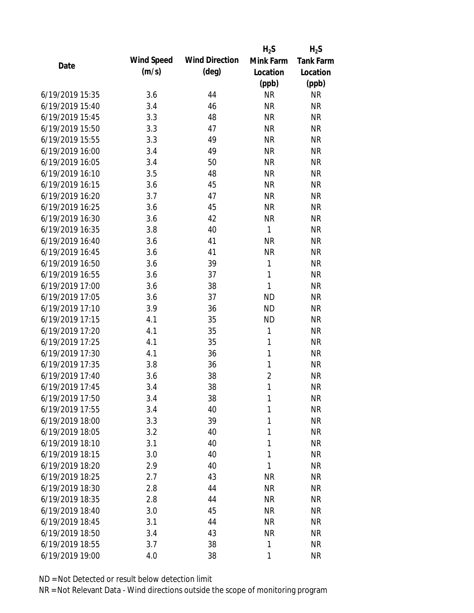|                 |            |                       | $H_2S$         | $H_2S$           |
|-----------------|------------|-----------------------|----------------|------------------|
| Date            | Wind Speed | <b>Wind Direction</b> | Mink Farm      | <b>Tank Farm</b> |
|                 | (m/s)      | $(\text{deg})$        | Location       | Location         |
|                 |            |                       | (ppb)          | (ppb)            |
| 6/19/2019 15:35 | 3.6        | 44                    | <b>NR</b>      | <b>NR</b>        |
| 6/19/2019 15:40 | 3.4        | 46                    | <b>NR</b>      | <b>NR</b>        |
| 6/19/2019 15:45 | 3.3        | 48                    | <b>NR</b>      | <b>NR</b>        |
| 6/19/2019 15:50 | 3.3        | 47                    | <b>NR</b>      | <b>NR</b>        |
| 6/19/2019 15:55 | 3.3        | 49                    | <b>NR</b>      | <b>NR</b>        |
| 6/19/2019 16:00 | 3.4        | 49                    | <b>NR</b>      | <b>NR</b>        |
| 6/19/2019 16:05 | 3.4        | 50                    | <b>NR</b>      | <b>NR</b>        |
| 6/19/2019 16:10 | 3.5        | 48                    | <b>NR</b>      | <b>NR</b>        |
| 6/19/2019 16:15 | 3.6        | 45                    | <b>NR</b>      | <b>NR</b>        |
| 6/19/2019 16:20 | 3.7        | 47                    | <b>NR</b>      | <b>NR</b>        |
| 6/19/2019 16:25 | 3.6        | 45                    | <b>NR</b>      | <b>NR</b>        |
| 6/19/2019 16:30 | 3.6        | 42                    | <b>NR</b>      | <b>NR</b>        |
| 6/19/2019 16:35 | 3.8        | 40                    | $\mathbf{1}$   | <b>NR</b>        |
| 6/19/2019 16:40 | 3.6        | 41                    | <b>NR</b>      | <b>NR</b>        |
| 6/19/2019 16:45 | 3.6        | 41                    | <b>NR</b>      | <b>NR</b>        |
| 6/19/2019 16:50 | 3.6        | 39                    | $\mathbf{1}$   | <b>NR</b>        |
| 6/19/2019 16:55 | 3.6        | 37                    | $\mathbf{1}$   | <b>NR</b>        |
| 6/19/2019 17:00 | 3.6        | 38                    | $\mathbf{1}$   | <b>NR</b>        |
| 6/19/2019 17:05 | 3.6        | 37                    | <b>ND</b>      | <b>NR</b>        |
| 6/19/2019 17:10 | 3.9        | 36                    | <b>ND</b>      | <b>NR</b>        |
| 6/19/2019 17:15 | 4.1        | 35                    | <b>ND</b>      | <b>NR</b>        |
| 6/19/2019 17:20 | 4.1        | 35                    | $\mathbf{1}$   | <b>NR</b>        |
| 6/19/2019 17:25 | 4.1        | 35                    | $\mathbf{1}$   | <b>NR</b>        |
| 6/19/2019 17:30 | 4.1        | 36                    | $\mathbf{1}$   | <b>NR</b>        |
| 6/19/2019 17:35 | 3.8        | 36                    | 1              | <b>NR</b>        |
| 6/19/2019 17:40 | 3.6        | 38                    | $\overline{2}$ | <b>NR</b>        |
| 6/19/2019 17:45 | 3.4        | 38                    | $\mathbf{1}$   | <b>NR</b>        |
| 6/19/2019 17:50 | 3.4        | 38                    | 1              | <b>NR</b>        |
| 6/19/2019 17:55 | 3.4        | 40                    | 1              | <b>NR</b>        |
| 6/19/2019 18:00 | 3.3        | 39                    | 1              | <b>NR</b>        |
| 6/19/2019 18:05 | 3.2        | 40                    | 1              | <b>NR</b>        |
| 6/19/2019 18:10 | 3.1        | 40                    | 1              | <b>NR</b>        |
| 6/19/2019 18:15 | 3.0        | 40                    | 1              | <b>NR</b>        |
| 6/19/2019 18:20 | 2.9        | 40                    | 1              | <b>NR</b>        |
| 6/19/2019 18:25 | 2.7        | 43                    | <b>NR</b>      | <b>NR</b>        |
| 6/19/2019 18:30 | 2.8        | 44                    | <b>NR</b>      | <b>NR</b>        |
| 6/19/2019 18:35 | 2.8        | 44                    | <b>NR</b>      | <b>NR</b>        |
| 6/19/2019 18:40 | 3.0        | 45                    | <b>NR</b>      | <b>NR</b>        |
| 6/19/2019 18:45 | 3.1        | 44                    | <b>NR</b>      | <b>NR</b>        |
| 6/19/2019 18:50 | 3.4        | 43                    | <b>NR</b>      | <b>NR</b>        |
| 6/19/2019 18:55 | 3.7        | 38                    | 1              | <b>NR</b>        |
| 6/19/2019 19:00 | 4.0        | 38                    | 1              | <b>NR</b>        |
|                 |            |                       |                |                  |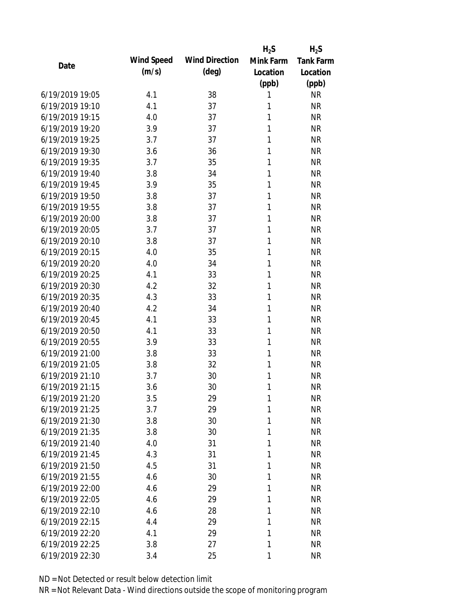|                 |            |                       | $H_2S$       | $H_2S$           |
|-----------------|------------|-----------------------|--------------|------------------|
| Date            | Wind Speed | <b>Wind Direction</b> | Mink Farm    | <b>Tank Farm</b> |
|                 | (m/s)      | $(\text{deg})$        | Location     | Location         |
|                 |            |                       | (ppb)        | (ppb)            |
| 6/19/2019 19:05 | 4.1        | 38                    | 1            | <b>NR</b>        |
| 6/19/2019 19:10 | 4.1        | 37                    | 1            | <b>NR</b>        |
| 6/19/2019 19:15 | 4.0        | 37                    | 1            | <b>NR</b>        |
| 6/19/2019 19:20 | 3.9        | 37                    | 1            | <b>NR</b>        |
| 6/19/2019 19:25 | 3.7        | 37                    | 1            | <b>NR</b>        |
| 6/19/2019 19:30 | 3.6        | 36                    | 1            | <b>NR</b>        |
| 6/19/2019 19:35 | 3.7        | 35                    | 1            | <b>NR</b>        |
| 6/19/2019 19:40 | 3.8        | 34                    | 1            | <b>NR</b>        |
| 6/19/2019 19:45 | 3.9        | 35                    | 1            | <b>NR</b>        |
| 6/19/2019 19:50 | 3.8        | 37                    | 1            | <b>NR</b>        |
| 6/19/2019 19:55 | 3.8        | 37                    | 1            | <b>NR</b>        |
| 6/19/2019 20:00 | 3.8        | 37                    | 1            | <b>NR</b>        |
| 6/19/2019 20:05 | 3.7        | 37                    | 1            | <b>NR</b>        |
| 6/19/2019 20:10 | 3.8        | 37                    | 1            | <b>NR</b>        |
| 6/19/2019 20:15 | 4.0        | 35                    | 1            | <b>NR</b>        |
| 6/19/2019 20:20 | 4.0        | 34                    | 1            | <b>NR</b>        |
| 6/19/2019 20:25 | 4.1        | 33                    | 1            | <b>NR</b>        |
| 6/19/2019 20:30 | 4.2        | 32                    | 1            | <b>NR</b>        |
| 6/19/2019 20:35 | 4.3        | 33                    | 1            | <b>NR</b>        |
| 6/19/2019 20:40 | 4.2        | 34                    | 1            | <b>NR</b>        |
| 6/19/2019 20:45 | 4.1        | 33                    | $\mathbf{1}$ | <b>NR</b>        |
| 6/19/2019 20:50 | 4.1        | 33                    | $\mathbf{1}$ | <b>NR</b>        |
| 6/19/2019 20:55 | 3.9        | 33                    | 1            | <b>NR</b>        |
| 6/19/2019 21:00 | 3.8        | 33                    | 1            | <b>NR</b>        |
| 6/19/2019 21:05 | 3.8        | 32                    | 1            | <b>NR</b>        |
| 6/19/2019 21:10 | 3.7        | 30                    | 1            | <b>NR</b>        |
| 6/19/2019 21:15 | 3.6        | 30                    | 1            | <b>NR</b>        |
| 6/19/2019 21:20 | 3.5        | 29                    | 1            | <b>NR</b>        |
| 6/19/2019 21:25 | 3.7        | 29                    | 1            | <b>NR</b>        |
| 6/19/2019 21:30 | 3.8        | 30                    | 1            | <b>NR</b>        |
| 6/19/2019 21:35 | 3.8        | 30                    | 1            | <b>NR</b>        |
| 6/19/2019 21:40 | 4.0        | 31                    | 1            | <b>NR</b>        |
| 6/19/2019 21:45 | 4.3        | 31                    | 1            | <b>NR</b>        |
| 6/19/2019 21:50 | 4.5        | 31                    | 1            | <b>NR</b>        |
| 6/19/2019 21:55 | 4.6        | 30                    | 1            | <b>NR</b>        |
| 6/19/2019 22:00 | 4.6        | 29                    | 1            | <b>NR</b>        |
| 6/19/2019 22:05 | 4.6        | 29                    | 1            | <b>NR</b>        |
| 6/19/2019 22:10 | 4.6        | 28                    | 1            | <b>NR</b>        |
| 6/19/2019 22:15 | 4.4        | 29                    | 1            | <b>NR</b>        |
| 6/19/2019 22:20 | 4.1        | 29                    | 1            | <b>NR</b>        |
| 6/19/2019 22:25 | 3.8        | 27                    | 1            | <b>NR</b>        |
| 6/19/2019 22:30 | 3.4        | 25                    | 1            | <b>NR</b>        |
|                 |            |                       |              |                  |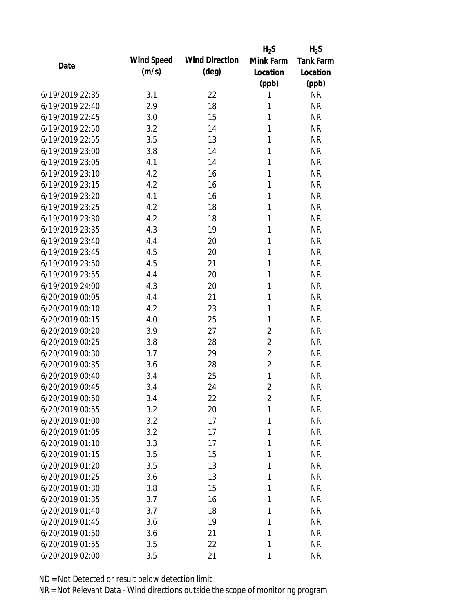|                 |            |                       | $H_2S$         | $H_2S$           |
|-----------------|------------|-----------------------|----------------|------------------|
| Date            | Wind Speed | <b>Wind Direction</b> | Mink Farm      | <b>Tank Farm</b> |
|                 | (m/s)      | $(\text{deg})$        | Location       | Location         |
|                 |            |                       | (ppb)          | (ppb)            |
| 6/19/2019 22:35 | 3.1        | 22                    | 1              | <b>NR</b>        |
| 6/19/2019 22:40 | 2.9        | 18                    | 1              | <b>NR</b>        |
| 6/19/2019 22:45 | 3.0        | 15                    | 1              | <b>NR</b>        |
| 6/19/2019 22:50 | 3.2        | 14                    | 1              | <b>NR</b>        |
| 6/19/2019 22:55 | 3.5        | 13                    | 1              | <b>NR</b>        |
| 6/19/2019 23:00 | 3.8        | 14                    | 1              | <b>NR</b>        |
| 6/19/2019 23:05 | 4.1        | 14                    | 1              | <b>NR</b>        |
| 6/19/2019 23:10 | 4.2        | 16                    | 1              | <b>NR</b>        |
| 6/19/2019 23:15 | 4.2        | 16                    | 1              | <b>NR</b>        |
| 6/19/2019 23:20 | 4.1        | 16                    | 1              | <b>NR</b>        |
| 6/19/2019 23:25 | 4.2        | 18                    | 1              | <b>NR</b>        |
| 6/19/2019 23:30 | 4.2        | 18                    | 1              | <b>NR</b>        |
| 6/19/2019 23:35 | 4.3        | 19                    | 1              | <b>NR</b>        |
| 6/19/2019 23:40 | 4.4        | 20                    | 1              | <b>NR</b>        |
| 6/19/2019 23:45 | 4.5        | 20                    | 1              | <b>NR</b>        |
| 6/19/2019 23:50 | 4.5        | 21                    | 1              | <b>NR</b>        |
| 6/19/2019 23:55 | 4.4        | 20                    | 1              | <b>NR</b>        |
| 6/19/2019 24:00 | 4.3        | 20                    | $\mathbf{1}$   | <b>NR</b>        |
| 6/20/2019 00:05 | 4.4        | 21                    | 1              | <b>NR</b>        |
| 6/20/2019 00:10 | 4.2        | 23                    | 1              | <b>NR</b>        |
| 6/20/2019 00:15 | 4.0        | 25                    | $\mathbf{1}$   | <b>NR</b>        |
| 6/20/2019 00:20 | 3.9        | 27                    | $\overline{2}$ | <b>NR</b>        |
| 6/20/2019 00:25 | 3.8        | 28                    | $\overline{2}$ | <b>NR</b>        |
| 6/20/2019 00:30 | 3.7        | 29                    | $\overline{2}$ | <b>NR</b>        |
| 6/20/2019 00:35 | 3.6        | 28                    | $\overline{2}$ | <b>NR</b>        |
| 6/20/2019 00:40 | 3.4        | 25                    | $\mathbf{1}$   | <b>NR</b>        |
| 6/20/2019 00:45 | 3.4        | 24                    | $\overline{2}$ | <b>NR</b>        |
| 6/20/2019 00:50 | 3.4        | 22                    | $\overline{2}$ | <b>NR</b>        |
| 6/20/2019 00:55 | 3.2        | 20                    | 1              | <b>NR</b>        |
| 6/20/2019 01:00 | 3.2        | 17                    | 1              | <b>NR</b>        |
| 6/20/2019 01:05 | 3.2        | 17                    | 1              | <b>NR</b>        |
| 6/20/2019 01:10 | 3.3        | 17                    | 1              | <b>NR</b>        |
| 6/20/2019 01:15 | 3.5        | 15                    | 1              | <b>NR</b>        |
| 6/20/2019 01:20 | 3.5        | 13                    | 1              | <b>NR</b>        |
| 6/20/2019 01:25 | 3.6        | 13                    | 1              | <b>NR</b>        |
| 6/20/2019 01:30 | 3.8        | 15                    | 1              | <b>NR</b>        |
| 6/20/2019 01:35 | 3.7        | 16                    | 1              | <b>NR</b>        |
| 6/20/2019 01:40 | 3.7        | 18                    | 1              | <b>NR</b>        |
| 6/20/2019 01:45 | 3.6        | 19                    | 1              | <b>NR</b>        |
| 6/20/2019 01:50 | 3.6        | 21                    | 1              | <b>NR</b>        |
| 6/20/2019 01:55 | 3.5        | 22                    | 1              | <b>NR</b>        |
| 6/20/2019 02:00 | 3.5        | 21                    | 1              | <b>NR</b>        |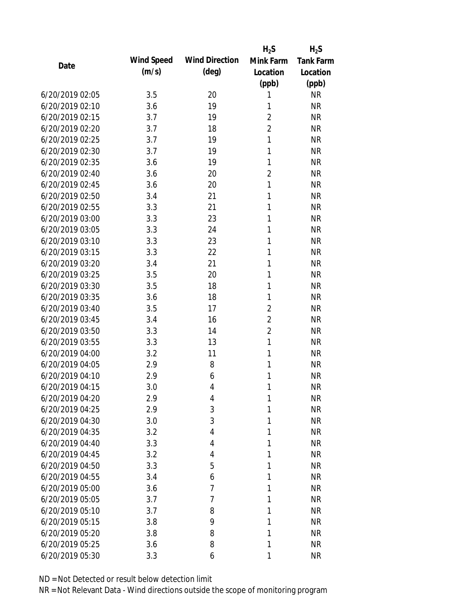|                 |            |                       | $H_2S$         | $H_2S$           |
|-----------------|------------|-----------------------|----------------|------------------|
| Date            | Wind Speed | <b>Wind Direction</b> | Mink Farm      | <b>Tank Farm</b> |
|                 | (m/s)      | $(\text{deg})$        | Location       | Location         |
|                 |            |                       | (ppb)          | (ppb)            |
| 6/20/2019 02:05 | 3.5        | 20                    | 1              | <b>NR</b>        |
| 6/20/2019 02:10 | 3.6        | 19                    | 1              | <b>NR</b>        |
| 6/20/2019 02:15 | 3.7        | 19                    | $\overline{2}$ | <b>NR</b>        |
| 6/20/2019 02:20 | 3.7        | 18                    | $\overline{2}$ | <b>NR</b>        |
| 6/20/2019 02:25 | 3.7        | 19                    | $\mathbf{1}$   | <b>NR</b>        |
| 6/20/2019 02:30 | 3.7        | 19                    | $\mathbf{1}$   | <b>NR</b>        |
| 6/20/2019 02:35 | 3.6        | 19                    | 1              | <b>NR</b>        |
| 6/20/2019 02:40 | 3.6        | 20                    | $\overline{c}$ | <b>NR</b>        |
| 6/20/2019 02:45 | 3.6        | 20                    | $\mathbf{1}$   | <b>NR</b>        |
| 6/20/2019 02:50 | 3.4        | 21                    | 1              | <b>NR</b>        |
| 6/20/2019 02:55 | 3.3        | 21                    | 1              | <b>NR</b>        |
| 6/20/2019 03:00 | 3.3        | 23                    | 1              | <b>NR</b>        |
| 6/20/2019 03:05 | 3.3        | 24                    | $\mathbf{1}$   | <b>NR</b>        |
| 6/20/2019 03:10 | 3.3        | 23                    | 1              | <b>NR</b>        |
| 6/20/2019 03:15 | 3.3        | 22                    | 1              | <b>NR</b>        |
| 6/20/2019 03:20 | 3.4        | 21                    | 1              | <b>NR</b>        |
| 6/20/2019 03:25 | 3.5        | 20                    | $\mathbf{1}$   | <b>NR</b>        |
| 6/20/2019 03:30 | 3.5        | 18                    | $\mathbf{1}$   | <b>NR</b>        |
| 6/20/2019 03:35 | 3.6        | 18                    | 1              | <b>NR</b>        |
| 6/20/2019 03:40 | 3.5        | 17                    | $\overline{2}$ | <b>NR</b>        |
| 6/20/2019 03:45 | 3.4        | 16                    | $\overline{2}$ | <b>NR</b>        |
| 6/20/2019 03:50 | 3.3        | 14                    | $\overline{2}$ | <b>NR</b>        |
| 6/20/2019 03:55 | 3.3        | 13                    | $\mathbf{1}$   | <b>NR</b>        |
| 6/20/2019 04:00 | 3.2        | 11                    | $\mathbf{1}$   | <b>NR</b>        |
| 6/20/2019 04:05 | 2.9        | 8                     | 1              | <b>NR</b>        |
| 6/20/2019 04:10 | 2.9        | 6                     | 1              | <b>NR</b>        |
| 6/20/2019 04:15 | 3.0        | 4                     | 1              | <b>NR</b>        |
| 6/20/2019 04:20 | 2.9        | 4                     | 1              | <b>NR</b>        |
| 6/20/2019 04:25 | 2.9        | 3                     | 1              | <b>NR</b>        |
| 6/20/2019 04:30 | 3.0        | 3                     | 1              | <b>NR</b>        |
| 6/20/2019 04:35 | 3.2        | 4                     | 1              | <b>NR</b>        |
| 6/20/2019 04:40 | 3.3        | 4                     | 1              | <b>NR</b>        |
| 6/20/2019 04:45 | 3.2        | 4                     | 1              | <b>NR</b>        |
| 6/20/2019 04:50 | 3.3        | 5                     | 1              | <b>NR</b>        |
| 6/20/2019 04:55 | 3.4        | 6                     | 1              | <b>NR</b>        |
| 6/20/2019 05:00 | 3.6        | 7                     | 1              | <b>NR</b>        |
| 6/20/2019 05:05 | 3.7        | 7                     | 1              | <b>NR</b>        |
| 6/20/2019 05:10 | 3.7        | 8                     | 1              | <b>NR</b>        |
| 6/20/2019 05:15 | 3.8        | 9                     | 1              | <b>NR</b>        |
| 6/20/2019 05:20 | 3.8        | 8                     | 1              | <b>NR</b>        |
| 6/20/2019 05:25 | 3.6        | 8                     | 1              | <b>NR</b>        |
| 6/20/2019 05:30 | 3.3        | 6                     | 1              | <b>NR</b>        |
|                 |            |                       |                |                  |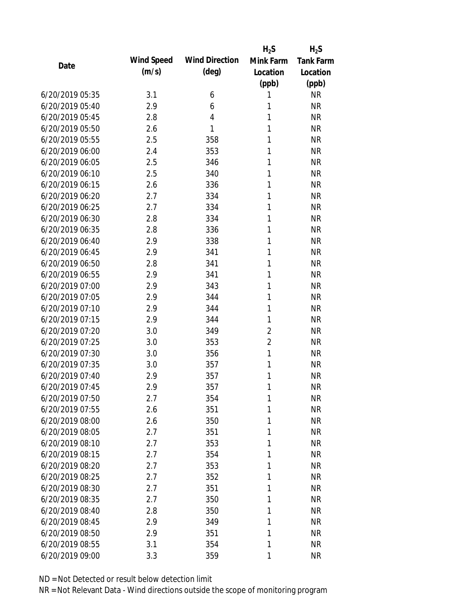|                 |            |                       | $H_2S$         | $H_2S$           |
|-----------------|------------|-----------------------|----------------|------------------|
| Date            | Wind Speed | <b>Wind Direction</b> | Mink Farm      | <b>Tank Farm</b> |
|                 | (m/s)      | $(\text{deg})$        | Location       | Location         |
|                 |            |                       | (ppb)          | (ppb)            |
| 6/20/2019 05:35 | 3.1        | 6                     | 1              | <b>NR</b>        |
| 6/20/2019 05:40 | 2.9        | 6                     | 1              | <b>NR</b>        |
| 6/20/2019 05:45 | 2.8        | 4                     | 1              | <b>NR</b>        |
| 6/20/2019 05:50 | 2.6        | 1                     | 1              | <b>NR</b>        |
| 6/20/2019 05:55 | 2.5        | 358                   | 1              | <b>NR</b>        |
| 6/20/2019 06:00 | 2.4        | 353                   | 1              | <b>NR</b>        |
| 6/20/2019 06:05 | 2.5        | 346                   | 1              | <b>NR</b>        |
| 6/20/2019 06:10 | 2.5        | 340                   | 1              | <b>NR</b>        |
| 6/20/2019 06:15 | 2.6        | 336                   | 1              | <b>NR</b>        |
| 6/20/2019 06:20 | 2.7        | 334                   | 1              | <b>NR</b>        |
| 6/20/2019 06:25 | 2.7        | 334                   | 1              | <b>NR</b>        |
| 6/20/2019 06:30 | 2.8        | 334                   | 1              | <b>NR</b>        |
| 6/20/2019 06:35 | 2.8        | 336                   | 1              | <b>NR</b>        |
| 6/20/2019 06:40 | 2.9        | 338                   | 1              | <b>NR</b>        |
| 6/20/2019 06:45 | 2.9        | 341                   | 1              | <b>NR</b>        |
| 6/20/2019 06:50 | 2.8        | 341                   | 1              | <b>NR</b>        |
| 6/20/2019 06:55 | 2.9        | 341                   | 1              | <b>NR</b>        |
| 6/20/2019 07:00 | 2.9        | 343                   | 1              | <b>NR</b>        |
| 6/20/2019 07:05 | 2.9        | 344                   | 1              | <b>NR</b>        |
| 6/20/2019 07:10 | 2.9        | 344                   | 1              | <b>NR</b>        |
| 6/20/2019 07:15 | 2.9        | 344                   | $\mathbf{1}$   | <b>NR</b>        |
| 6/20/2019 07:20 | 3.0        | 349                   | $\overline{2}$ | <b>NR</b>        |
| 6/20/2019 07:25 | 3.0        | 353                   | $\overline{2}$ | <b>NR</b>        |
| 6/20/2019 07:30 | 3.0        | 356                   | 1              | <b>NR</b>        |
| 6/20/2019 07:35 | 3.0        | 357                   | 1              | <b>NR</b>        |
| 6/20/2019 07:40 | 2.9        | 357                   | 1              | <b>NR</b>        |
| 6/20/2019 07:45 | 2.9        | 357                   | 1              | <b>NR</b>        |
| 6/20/2019 07:50 | 2.7        | 354                   | 1              | <b>NR</b>        |
| 6/20/2019 07:55 | 2.6        | 351                   | 1              | <b>NR</b>        |
| 6/20/2019 08:00 | 2.6        | 350                   | 1              | <b>NR</b>        |
| 6/20/2019 08:05 | 2.7        | 351                   | 1              | <b>NR</b>        |
| 6/20/2019 08:10 | 2.7        | 353                   | 1              | <b>NR</b>        |
| 6/20/2019 08:15 | 2.7        | 354                   | 1              | <b>NR</b>        |
| 6/20/2019 08:20 | 2.7        | 353                   | 1              | <b>NR</b>        |
| 6/20/2019 08:25 | 2.7        | 352                   | 1              | <b>NR</b>        |
| 6/20/2019 08:30 | 2.7        | 351                   | 1              | <b>NR</b>        |
| 6/20/2019 08:35 | 2.7        | 350                   | 1              | <b>NR</b>        |
| 6/20/2019 08:40 | 2.8        | 350                   | 1              | <b>NR</b>        |
| 6/20/2019 08:45 | 2.9        | 349                   | 1              | <b>NR</b>        |
| 6/20/2019 08:50 | 2.9        | 351                   | 1              | <b>NR</b>        |
| 6/20/2019 08:55 | 3.1        | 354                   | 1              | <b>NR</b>        |
| 6/20/2019 09:00 | 3.3        | 359                   | 1              | <b>NR</b>        |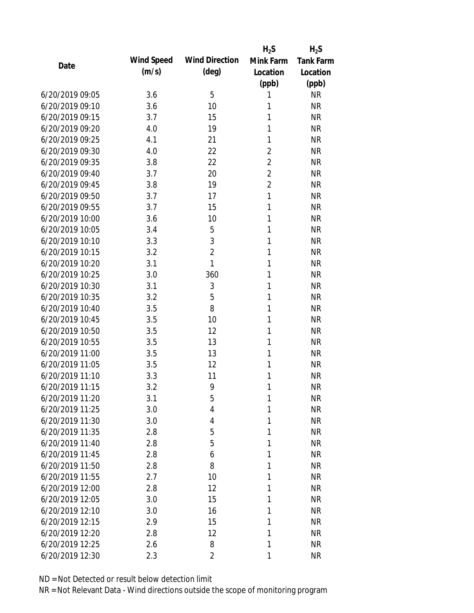|                 |            |                       | $H_2S$         | $H_2S$           |
|-----------------|------------|-----------------------|----------------|------------------|
| Date            | Wind Speed | <b>Wind Direction</b> | Mink Farm      | <b>Tank Farm</b> |
|                 | (m/s)      | $(\text{deg})$        | Location       | Location         |
|                 |            |                       | (ppb)          | (ppb)            |
| 6/20/2019 09:05 | 3.6        | 5                     | 1              | <b>NR</b>        |
| 6/20/2019 09:10 | 3.6        | 10                    | 1              | <b>NR</b>        |
| 6/20/2019 09:15 | 3.7        | 15                    | 1              | <b>NR</b>        |
| 6/20/2019 09:20 | 4.0        | 19                    | 1              | <b>NR</b>        |
| 6/20/2019 09:25 | 4.1        | 21                    | 1              | <b>NR</b>        |
| 6/20/2019 09:30 | 4.0        | 22                    | $\overline{2}$ | <b>NR</b>        |
| 6/20/2019 09:35 | 3.8        | 22                    | $\overline{2}$ | <b>NR</b>        |
| 6/20/2019 09:40 | 3.7        | 20                    | $\overline{2}$ | <b>NR</b>        |
| 6/20/2019 09:45 | 3.8        | 19                    | $\overline{2}$ | <b>NR</b>        |
| 6/20/2019 09:50 | 3.7        | 17                    | $\mathbf{1}$   | <b>NR</b>        |
| 6/20/2019 09:55 | 3.7        | 15                    | 1              | <b>NR</b>        |
| 6/20/2019 10:00 | 3.6        | 10                    | 1              | <b>NR</b>        |
| 6/20/2019 10:05 | 3.4        | 5                     | 1              | <b>NR</b>        |
| 6/20/2019 10:10 | 3.3        | 3                     | 1              | <b>NR</b>        |
| 6/20/2019 10:15 | 3.2        | $\overline{2}$        | 1              | <b>NR</b>        |
| 6/20/2019 10:20 | 3.1        | 1                     | 1              | <b>NR</b>        |
| 6/20/2019 10:25 | 3.0        | 360                   | 1              | <b>NR</b>        |
| 6/20/2019 10:30 | 3.1        | 3                     | 1              | <b>NR</b>        |
| 6/20/2019 10:35 | 3.2        | 5                     | 1              | <b>NR</b>        |
| 6/20/2019 10:40 | 3.5        | 8                     | 1              | <b>NR</b>        |
| 6/20/2019 10:45 | 3.5        | 10                    | 1              | <b>NR</b>        |
| 6/20/2019 10:50 | 3.5        | 12                    | $\mathbf{1}$   | <b>NR</b>        |
| 6/20/2019 10:55 | 3.5        | 13                    | 1              | <b>NR</b>        |
| 6/20/2019 11:00 | 3.5        | 13                    | 1              | <b>NR</b>        |
| 6/20/2019 11:05 | 3.5        | 12                    | 1              | <b>NR</b>        |
| 6/20/2019 11:10 | 3.3        | 11                    | 1              | <b>NR</b>        |
| 6/20/2019 11:15 | 3.2        | 9                     | 1              | <b>NR</b>        |
| 6/20/2019 11:20 | 3.1        | 5                     | 1              | <b>NR</b>        |
| 6/20/2019 11:25 | 3.0        | 4                     | 1              | <b>NR</b>        |
| 6/20/2019 11:30 | 3.0        | 4                     | 1              | <b>NR</b>        |
| 6/20/2019 11:35 | 2.8        | 5                     | 1              | <b>NR</b>        |
| 6/20/2019 11:40 | 2.8        | 5                     | 1              | <b>NR</b>        |
| 6/20/2019 11:45 | 2.8        | 6                     | 1              | <b>NR</b>        |
| 6/20/2019 11:50 | 2.8        | 8                     | 1              | <b>NR</b>        |
| 6/20/2019 11:55 | 2.7        | 10                    | 1              | <b>NR</b>        |
| 6/20/2019 12:00 | 2.8        | 12                    | 1              | <b>NR</b>        |
| 6/20/2019 12:05 | 3.0        | 15                    | 1              | <b>NR</b>        |
| 6/20/2019 12:10 | 3.0        | 16                    | 1              | <b>NR</b>        |
| 6/20/2019 12:15 | 2.9        | 15                    | 1              | <b>NR</b>        |
| 6/20/2019 12:20 | 2.8        | 12                    | 1              | <b>NR</b>        |
| 6/20/2019 12:25 | 2.6        | 8                     | 1              | <b>NR</b>        |
| 6/20/2019 12:30 | 2.3        | 2                     | 1              | <b>NR</b>        |
|                 |            |                       |                |                  |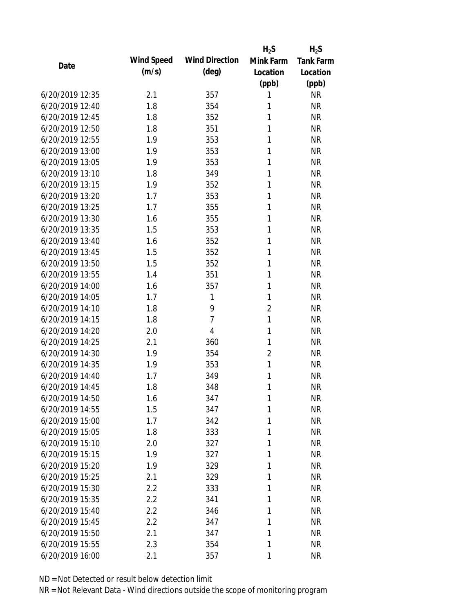|                 |            |                       | $H_2S$         | $H_2S$           |
|-----------------|------------|-----------------------|----------------|------------------|
| Date            | Wind Speed | <b>Wind Direction</b> | Mink Farm      | <b>Tank Farm</b> |
|                 | (m/s)      | $(\text{deg})$        | Location       | Location         |
|                 |            |                       | (ppb)          | (ppb)            |
| 6/20/2019 12:35 | 2.1        | 357                   | 1              | <b>NR</b>        |
| 6/20/2019 12:40 | 1.8        | 354                   | 1              | <b>NR</b>        |
| 6/20/2019 12:45 | 1.8        | 352                   | 1              | <b>NR</b>        |
| 6/20/2019 12:50 | 1.8        | 351                   | 1              | <b>NR</b>        |
| 6/20/2019 12:55 | 1.9        | 353                   | 1              | <b>NR</b>        |
| 6/20/2019 13:00 | 1.9        | 353                   | 1              | <b>NR</b>        |
| 6/20/2019 13:05 | 1.9        | 353                   | 1              | <b>NR</b>        |
| 6/20/2019 13:10 | 1.8        | 349                   | 1              | <b>NR</b>        |
| 6/20/2019 13:15 | 1.9        | 352                   | 1              | <b>NR</b>        |
| 6/20/2019 13:20 | 1.7        | 353                   | 1              | <b>NR</b>        |
| 6/20/2019 13:25 | 1.7        | 355                   | 1              | <b>NR</b>        |
| 6/20/2019 13:30 | 1.6        | 355                   | 1              | <b>NR</b>        |
| 6/20/2019 13:35 | 1.5        | 353                   | 1              | <b>NR</b>        |
| 6/20/2019 13:40 | 1.6        | 352                   | 1              | <b>NR</b>        |
| 6/20/2019 13:45 | 1.5        | 352                   | 1              | <b>NR</b>        |
| 6/20/2019 13:50 | 1.5        | 352                   | 1              | <b>NR</b>        |
| 6/20/2019 13:55 | 1.4        | 351                   | 1              | <b>NR</b>        |
| 6/20/2019 14:00 | 1.6        | 357                   | $\mathbf{1}$   | <b>NR</b>        |
| 6/20/2019 14:05 | 1.7        | 1                     | $\mathbf{1}$   | <b>NR</b>        |
| 6/20/2019 14:10 | 1.8        | 9                     | $\overline{2}$ | <b>NR</b>        |
| 6/20/2019 14:15 | 1.8        | 7                     | $\mathbf{1}$   | <b>NR</b>        |
| 6/20/2019 14:20 | 2.0        | 4                     | $\mathbf{1}$   | <b>NR</b>        |
| 6/20/2019 14:25 | 2.1        | 360                   | $\mathbf{1}$   | <b>NR</b>        |
| 6/20/2019 14:30 | 1.9        | 354                   | $\overline{2}$ | <b>NR</b>        |
| 6/20/2019 14:35 | 1.9        | 353                   | 1              | <b>NR</b>        |
| 6/20/2019 14:40 | 1.7        | 349                   | 1              | <b>NR</b>        |
| 6/20/2019 14:45 | 1.8        | 348                   | 1              | <b>NR</b>        |
| 6/20/2019 14:50 | 1.6        | 347                   | 1              | <b>NR</b>        |
| 6/20/2019 14:55 | 1.5        | 347                   | 1              | <b>NR</b>        |
| 6/20/2019 15:00 | 1.7        | 342                   | 1              | <b>NR</b>        |
| 6/20/2019 15:05 | 1.8        | 333                   | 1              | <b>NR</b>        |
| 6/20/2019 15:10 | 2.0        | 327                   | 1              | <b>NR</b>        |
| 6/20/2019 15:15 | 1.9        | 327                   | 1              | <b>NR</b>        |
| 6/20/2019 15:20 | 1.9        | 329                   | 1              | <b>NR</b>        |
| 6/20/2019 15:25 | 2.1        | 329                   | 1              | <b>NR</b>        |
| 6/20/2019 15:30 | 2.2        | 333                   | 1              | <b>NR</b>        |
| 6/20/2019 15:35 | 2.2        | 341                   | 1              | <b>NR</b>        |
| 6/20/2019 15:40 | 2.2        | 346                   | 1              | <b>NR</b>        |
| 6/20/2019 15:45 | 2.2        | 347                   | 1              | <b>NR</b>        |
| 6/20/2019 15:50 | 2.1        | 347                   | 1              | <b>NR</b>        |
| 6/20/2019 15:55 | 2.3        | 354                   | 1              | <b>NR</b>        |
| 6/20/2019 16:00 | 2.1        | 357                   | 1              | <b>NR</b>        |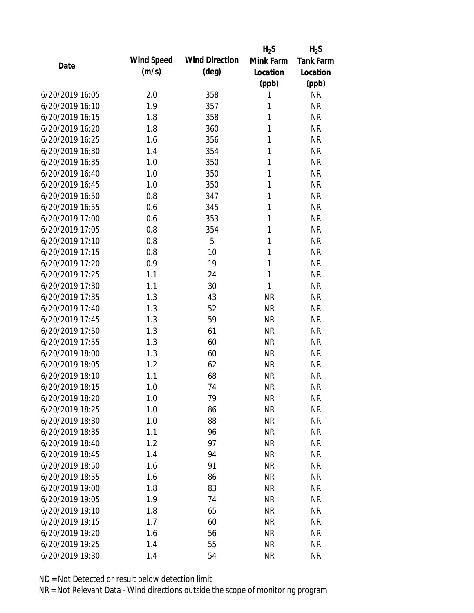|                 |            |                       | $H_2S$       | $H_2S$           |
|-----------------|------------|-----------------------|--------------|------------------|
| Date            | Wind Speed | <b>Wind Direction</b> | Mink Farm    | <b>Tank Farm</b> |
|                 | (m/s)      | $(\text{deg})$        | Location     | Location         |
|                 |            |                       | (ppb)        | (ppb)            |
| 6/20/2019 16:05 | 2.0        | 358                   | 1            | <b>NR</b>        |
| 6/20/2019 16:10 | 1.9        | 357                   | 1            | <b>NR</b>        |
| 6/20/2019 16:15 | 1.8        | 358                   | 1            | <b>NR</b>        |
| 6/20/2019 16:20 | 1.8        | 360                   | $\mathbf{1}$ | <b>NR</b>        |
| 6/20/2019 16:25 | 1.6        | 356                   | 1            | <b>NR</b>        |
| 6/20/2019 16:30 | 1.4        | 354                   | 1            | <b>NR</b>        |
| 6/20/2019 16:35 | 1.0        | 350                   | $\mathbf{1}$ | <b>NR</b>        |
| 6/20/2019 16:40 | 1.0        | 350                   | $\mathbf{1}$ | <b>NR</b>        |
| 6/20/2019 16:45 | 1.0        | 350                   | $\mathbf{1}$ | <b>NR</b>        |
| 6/20/2019 16:50 | 0.8        | 347                   | 1            | <b>NR</b>        |
| 6/20/2019 16:55 | 0.6        | 345                   | 1            | <b>NR</b>        |
| 6/20/2019 17:00 | 0.6        | 353                   | 1            | <b>NR</b>        |
| 6/20/2019 17:05 | 0.8        | 354                   | $\mathbf{1}$ | <b>NR</b>        |
| 6/20/2019 17:10 | 0.8        | 5                     | 1            | <b>NR</b>        |
| 6/20/2019 17:15 | 0.8        | 10                    | 1            | <b>NR</b>        |
| 6/20/2019 17:20 | 0.9        | 19                    | 1            | <b>NR</b>        |
| 6/20/2019 17:25 | 1.1        | 24                    | $\mathbf{1}$ | <b>NR</b>        |
| 6/20/2019 17:30 | 1.1        | 30                    | $\mathbf{1}$ | <b>NR</b>        |
| 6/20/2019 17:35 | 1.3        | 43                    | <b>NR</b>    | <b>NR</b>        |
| 6/20/2019 17:40 | 1.3        | 52                    | <b>NR</b>    | <b>NR</b>        |
| 6/20/2019 17:45 | 1.3        | 59                    | <b>NR</b>    | <b>NR</b>        |
| 6/20/2019 17:50 | 1.3        | 61                    | <b>NR</b>    | <b>NR</b>        |
| 6/20/2019 17:55 | 1.3        | 60                    | <b>NR</b>    | <b>NR</b>        |
| 6/20/2019 18:00 | 1.3        | 60                    | <b>NR</b>    | <b>NR</b>        |
| 6/20/2019 18:05 | 1.2        | 62                    | <b>NR</b>    | <b>NR</b>        |
| 6/20/2019 18:10 | 1.1        | 68                    | <b>NR</b>    | <b>NR</b>        |
| 6/20/2019 18:15 | 1.0        | 74                    | <b>NR</b>    | <b>NR</b>        |
| 6/20/2019 18:20 | 1.0        | 79                    | <b>NR</b>    | <b>NR</b>        |
| 6/20/2019 18:25 | 1.0        | 86                    | <b>NR</b>    | <b>NR</b>        |
| 6/20/2019 18:30 | 1.0        | 88                    | <b>NR</b>    | <b>NR</b>        |
| 6/20/2019 18:35 | 1.1        | 96                    | <b>NR</b>    | <b>NR</b>        |
| 6/20/2019 18:40 | 1.2        | 97                    | <b>NR</b>    | <b>NR</b>        |
| 6/20/2019 18:45 | 1.4        | 94                    | <b>NR</b>    | <b>NR</b>        |
| 6/20/2019 18:50 | 1.6        | 91                    | <b>NR</b>    | <b>NR</b>        |
| 6/20/2019 18:55 | 1.6        | 86                    | <b>NR</b>    | <b>NR</b>        |
| 6/20/2019 19:00 | 1.8        | 83                    | <b>NR</b>    | <b>NR</b>        |
| 6/20/2019 19:05 | 1.9        | 74                    | <b>NR</b>    | <b>NR</b>        |
| 6/20/2019 19:10 | 1.8        | 65                    | <b>NR</b>    | <b>NR</b>        |
| 6/20/2019 19:15 | 1.7        | 60                    | <b>NR</b>    | <b>NR</b>        |
| 6/20/2019 19:20 | 1.6        | 56                    | <b>NR</b>    | <b>NR</b>        |
| 6/20/2019 19:25 | 1.4        | 55                    | <b>NR</b>    | <b>NR</b>        |
| 6/20/2019 19:30 | 1.4        | 54                    | <b>NR</b>    | <b>NR</b>        |
|                 |            |                       |              |                  |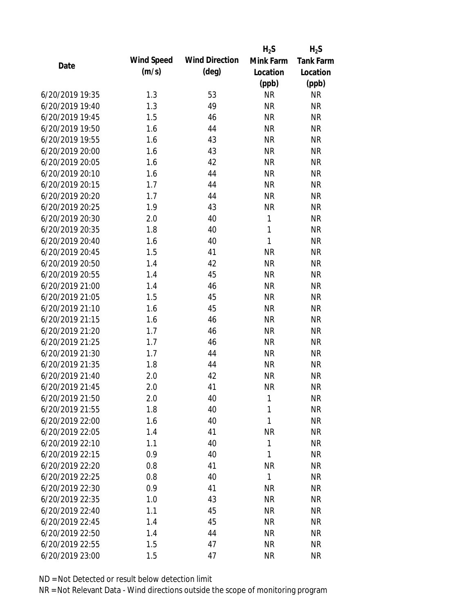|                 |            |                       | $H_2S$       | $H_2S$           |
|-----------------|------------|-----------------------|--------------|------------------|
| Date            | Wind Speed | <b>Wind Direction</b> | Mink Farm    | <b>Tank Farm</b> |
|                 | (m/s)      | $(\text{deg})$        | Location     | Location         |
|                 |            |                       | (ppb)        | (ppb)            |
| 6/20/2019 19:35 | 1.3        | 53                    | <b>NR</b>    | <b>NR</b>        |
| 6/20/2019 19:40 | 1.3        | 49                    | <b>NR</b>    | <b>NR</b>        |
| 6/20/2019 19:45 | 1.5        | 46                    | <b>NR</b>    | <b>NR</b>        |
| 6/20/2019 19:50 | 1.6        | 44                    | <b>NR</b>    | <b>NR</b>        |
| 6/20/2019 19:55 | 1.6        | 43                    | <b>NR</b>    | <b>NR</b>        |
| 6/20/2019 20:00 | 1.6        | 43                    | <b>NR</b>    | <b>NR</b>        |
| 6/20/2019 20:05 | 1.6        | 42                    | <b>NR</b>    | <b>NR</b>        |
| 6/20/2019 20:10 | 1.6        | 44                    | <b>NR</b>    | <b>NR</b>        |
| 6/20/2019 20:15 | 1.7        | 44                    | <b>NR</b>    | <b>NR</b>        |
| 6/20/2019 20:20 | 1.7        | 44                    | <b>NR</b>    | <b>NR</b>        |
| 6/20/2019 20:25 | 1.9        | 43                    | <b>NR</b>    | <b>NR</b>        |
| 6/20/2019 20:30 | 2.0        | 40                    | $\mathbf{1}$ | <b>NR</b>        |
| 6/20/2019 20:35 | 1.8        | 40                    | $\mathbf{1}$ | <b>NR</b>        |
| 6/20/2019 20:40 | 1.6        | 40                    | $\mathbf{1}$ | <b>NR</b>        |
| 6/20/2019 20:45 | 1.5        | 41                    | <b>NR</b>    | <b>NR</b>        |
| 6/20/2019 20:50 | 1.4        | 42                    | <b>NR</b>    | <b>NR</b>        |
| 6/20/2019 20:55 | 1.4        | 45                    | <b>NR</b>    | <b>NR</b>        |
| 6/20/2019 21:00 | 1.4        | 46                    | <b>NR</b>    | <b>NR</b>        |
| 6/20/2019 21:05 | 1.5        | 45                    | <b>NR</b>    | <b>NR</b>        |
| 6/20/2019 21:10 | 1.6        | 45                    | <b>NR</b>    | <b>NR</b>        |
| 6/20/2019 21:15 | 1.6        | 46                    | <b>NR</b>    | <b>NR</b>        |
| 6/20/2019 21:20 | 1.7        | 46                    | <b>NR</b>    | <b>NR</b>        |
| 6/20/2019 21:25 | 1.7        | 46                    | <b>NR</b>    | <b>NR</b>        |
| 6/20/2019 21:30 | 1.7        | 44                    | <b>NR</b>    | <b>NR</b>        |
| 6/20/2019 21:35 | 1.8        | 44                    | <b>NR</b>    | <b>NR</b>        |
| 6/20/2019 21:40 | 2.0        | 42                    | <b>NR</b>    | <b>NR</b>        |
| 6/20/2019 21:45 | 2.0        | 41                    | <b>NR</b>    | <b>NR</b>        |
| 6/20/2019 21:50 | 2.0        | 40                    | 1            | <b>NR</b>        |
| 6/20/2019 21:55 | 1.8        | 40                    | 1            | <b>NR</b>        |
| 6/20/2019 22:00 | 1.6        | 40                    | 1            | <b>NR</b>        |
| 6/20/2019 22:05 | 1.4        | 41                    | <b>NR</b>    | <b>NR</b>        |
| 6/20/2019 22:10 | 1.1        | 40                    | 1            | <b>NR</b>        |
| 6/20/2019 22:15 | 0.9        | 40                    | 1            | <b>NR</b>        |
| 6/20/2019 22:20 | 0.8        | 41                    | <b>NR</b>    | <b>NR</b>        |
| 6/20/2019 22:25 | 0.8        | 40                    | $\mathbf{1}$ | <b>NR</b>        |
| 6/20/2019 22:30 | 0.9        | 41                    | <b>NR</b>    | <b>NR</b>        |
| 6/20/2019 22:35 | 1.0        | 43                    | <b>NR</b>    | <b>NR</b>        |
| 6/20/2019 22:40 | 1.1        | 45                    | <b>NR</b>    | <b>NR</b>        |
| 6/20/2019 22:45 | 1.4        | 45                    | <b>NR</b>    | <b>NR</b>        |
| 6/20/2019 22:50 | 1.4        | 44                    | <b>NR</b>    | <b>NR</b>        |
| 6/20/2019 22:55 | 1.5        | 47                    | <b>NR</b>    | <b>NR</b>        |
| 6/20/2019 23:00 | 1.5        | 47                    | <b>NR</b>    | <b>NR</b>        |
|                 |            |                       |              |                  |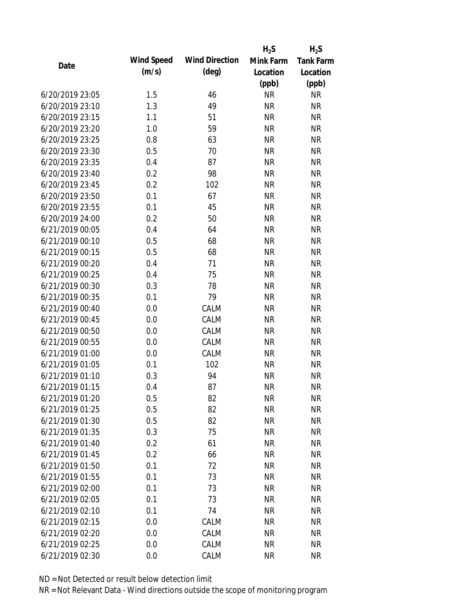|                 |            |                       | $H_2S$    | $H_2S$           |
|-----------------|------------|-----------------------|-----------|------------------|
| Date            | Wind Speed | <b>Wind Direction</b> | Mink Farm | <b>Tank Farm</b> |
|                 | (m/s)      | $(\text{deg})$        | Location  | Location         |
|                 |            |                       | (ppb)     | (ppb)            |
| 6/20/2019 23:05 | 1.5        | 46                    | <b>NR</b> | <b>NR</b>        |
| 6/20/2019 23:10 | 1.3        | 49                    | <b>NR</b> | <b>NR</b>        |
| 6/20/2019 23:15 | 1.1        | 51                    | <b>NR</b> | <b>NR</b>        |
| 6/20/2019 23:20 | 1.0        | 59                    | <b>NR</b> | <b>NR</b>        |
| 6/20/2019 23:25 | 0.8        | 63                    | <b>NR</b> | <b>NR</b>        |
| 6/20/2019 23:30 | 0.5        | 70                    | <b>NR</b> | <b>NR</b>        |
| 6/20/2019 23:35 | 0.4        | 87                    | <b>NR</b> | <b>NR</b>        |
| 6/20/2019 23:40 | 0.2        | 98                    | <b>NR</b> | <b>NR</b>        |
| 6/20/2019 23:45 | 0.2        | 102                   | <b>NR</b> | <b>NR</b>        |
| 6/20/2019 23:50 | 0.1        | 67                    | <b>NR</b> | <b>NR</b>        |
| 6/20/2019 23:55 | 0.1        | 45                    | <b>NR</b> | <b>NR</b>        |
| 6/20/2019 24:00 | 0.2        | 50                    | <b>NR</b> | <b>NR</b>        |
| 6/21/2019 00:05 | 0.4        | 64                    | <b>NR</b> | <b>NR</b>        |
| 6/21/2019 00:10 | 0.5        | 68                    | <b>NR</b> | <b>NR</b>        |
| 6/21/2019 00:15 | 0.5        | 68                    | <b>NR</b> | <b>NR</b>        |
| 6/21/2019 00:20 | 0.4        | 71                    | <b>NR</b> | <b>NR</b>        |
| 6/21/2019 00:25 | 0.4        | 75                    | <b>NR</b> | <b>NR</b>        |
| 6/21/2019 00:30 | 0.3        | 78                    | <b>NR</b> | <b>NR</b>        |
| 6/21/2019 00:35 | 0.1        | 79                    | <b>NR</b> | <b>NR</b>        |
| 6/21/2019 00:40 | 0.0        | CALM                  | <b>NR</b> | <b>NR</b>        |
| 6/21/2019 00:45 | 0.0        | CALM                  | <b>NR</b> | <b>NR</b>        |
| 6/21/2019 00:50 | 0.0        | CALM                  | <b>NR</b> | <b>NR</b>        |
| 6/21/2019 00:55 | 0.0        | CALM                  | <b>NR</b> | <b>NR</b>        |
| 6/21/2019 01:00 | 0.0        | CALM                  | <b>NR</b> | <b>NR</b>        |
| 6/21/2019 01:05 | 0.1        | 102                   | <b>NR</b> | <b>NR</b>        |
| 6/21/2019 01:10 | 0.3        | 94                    | <b>NR</b> | <b>NR</b>        |
| 6/21/2019 01:15 | 0.4        | 87                    | <b>NR</b> | <b>NR</b>        |
| 6/21/2019 01:20 | 0.5        | 82                    | <b>NR</b> | <b>NR</b>        |
| 6/21/2019 01:25 | 0.5        | 82                    | <b>NR</b> | <b>NR</b>        |
| 6/21/2019 01:30 | 0.5        | 82                    | <b>NR</b> | <b>NR</b>        |
| 6/21/2019 01:35 | 0.3        | 75                    | <b>NR</b> | <b>NR</b>        |
| 6/21/2019 01:40 | 0.2        | 61                    | <b>NR</b> | <b>NR</b>        |
| 6/21/2019 01:45 | 0.2        | 66                    | <b>NR</b> | <b>NR</b>        |
| 6/21/2019 01:50 | 0.1        | 72                    | <b>NR</b> | <b>NR</b>        |
| 6/21/2019 01:55 | 0.1        | 73                    | <b>NR</b> | <b>NR</b>        |
| 6/21/2019 02:00 | 0.1        | 73                    | <b>NR</b> | <b>NR</b>        |
| 6/21/2019 02:05 | 0.1        | 73                    | <b>NR</b> | <b>NR</b>        |
| 6/21/2019 02:10 | 0.1        | 74                    | <b>NR</b> | <b>NR</b>        |
| 6/21/2019 02:15 | 0.0        | CALM                  | <b>NR</b> | <b>NR</b>        |
| 6/21/2019 02:20 | 0.0        | CALM                  | <b>NR</b> | <b>NR</b>        |
| 6/21/2019 02:25 | 0.0        | CALM                  | <b>NR</b> | <b>NR</b>        |
| 6/21/2019 02:30 | 0.0        | CALM                  | <b>NR</b> | <b>NR</b>        |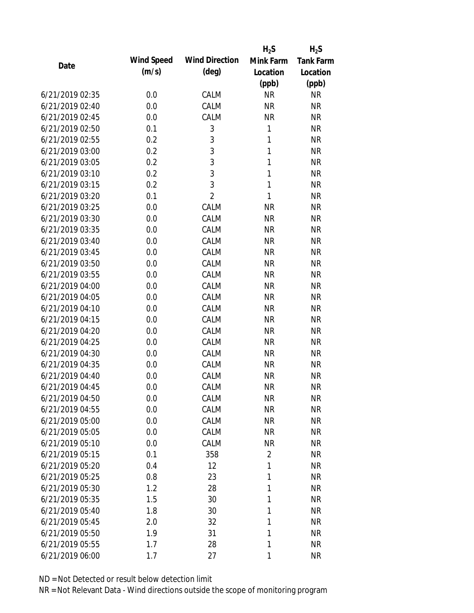|                 |            |                       | $H_2S$         | $H_2S$           |
|-----------------|------------|-----------------------|----------------|------------------|
| Date            | Wind Speed | <b>Wind Direction</b> | Mink Farm      | <b>Tank Farm</b> |
|                 | (m/s)      | $(\text{deg})$        | Location       | Location         |
|                 |            |                       | (ppb)          | (ppb)            |
| 6/21/2019 02:35 | 0.0        | CALM                  | <b>NR</b>      | <b>NR</b>        |
| 6/21/2019 02:40 | 0.0        | CALM                  | <b>NR</b>      | <b>NR</b>        |
| 6/21/2019 02:45 | 0.0        | CALM                  | <b>NR</b>      | <b>NR</b>        |
| 6/21/2019 02:50 | 0.1        | 3                     | 1              | <b>NR</b>        |
| 6/21/2019 02:55 | 0.2        | 3                     | 1              | <b>NR</b>        |
| 6/21/2019 03:00 | 0.2        | 3                     | 1              | <b>NR</b>        |
| 6/21/2019 03:05 | 0.2        | 3                     | 1              | <b>NR</b>        |
| 6/21/2019 03:10 | 0.2        | 3                     | 1              | <b>NR</b>        |
| 6/21/2019 03:15 | 0.2        | 3                     | $\mathbf{1}$   | <b>NR</b>        |
| 6/21/2019 03:20 | 0.1        | $\overline{2}$        | 1              | <b>NR</b>        |
| 6/21/2019 03:25 | 0.0        | CALM                  | <b>NR</b>      | <b>NR</b>        |
| 6/21/2019 03:30 | 0.0        | CALM                  | <b>NR</b>      | <b>NR</b>        |
| 6/21/2019 03:35 | 0.0        | CALM                  | <b>NR</b>      | <b>NR</b>        |
| 6/21/2019 03:40 | 0.0        | CALM                  | <b>NR</b>      | <b>NR</b>        |
| 6/21/2019 03:45 | 0.0        | CALM                  | <b>NR</b>      | <b>NR</b>        |
| 6/21/2019 03:50 | 0.0        | CALM                  | <b>NR</b>      | <b>NR</b>        |
| 6/21/2019 03:55 | 0.0        | CALM                  | <b>NR</b>      | <b>NR</b>        |
| 6/21/2019 04:00 | 0.0        | CALM                  | <b>NR</b>      | <b>NR</b>        |
| 6/21/2019 04:05 | 0.0        | CALM                  | <b>NR</b>      | <b>NR</b>        |
| 6/21/2019 04:10 | 0.0        | CALM                  | <b>NR</b>      | <b>NR</b>        |
| 6/21/2019 04:15 | 0.0        | CALM                  | <b>NR</b>      | <b>NR</b>        |
| 6/21/2019 04:20 | 0.0        | CALM                  | <b>NR</b>      | <b>NR</b>        |
| 6/21/2019 04:25 | 0.0        | CALM                  | <b>NR</b>      | <b>NR</b>        |
| 6/21/2019 04:30 | 0.0        | CALM                  | <b>NR</b>      | <b>NR</b>        |
| 6/21/2019 04:35 | 0.0        | CALM                  | <b>NR</b>      | <b>NR</b>        |
| 6/21/2019 04:40 | 0.0        | CALM                  | <b>NR</b>      | <b>NR</b>        |
| 6/21/2019 04:45 | 0.0        | CALM                  | <b>NR</b>      | <b>NR</b>        |
| 6/21/2019 04:50 | 0.0        | CALM                  | <b>NR</b>      | <b>NR</b>        |
| 6/21/2019 04:55 | 0.0        | CALM                  | <b>NR</b>      | <b>NR</b>        |
| 6/21/2019 05:00 | 0.0        | CALM                  | <b>NR</b>      | <b>NR</b>        |
| 6/21/2019 05:05 | 0.0        | CALM                  | <b>NR</b>      | <b>NR</b>        |
| 6/21/2019 05:10 | 0.0        | CALM                  | <b>NR</b>      | <b>NR</b>        |
| 6/21/2019 05:15 | 0.1        | 358                   | $\overline{2}$ | <b>NR</b>        |
| 6/21/2019 05:20 | 0.4        | 12                    | 1              | <b>NR</b>        |
| 6/21/2019 05:25 | 0.8        | 23                    | 1              | <b>NR</b>        |
| 6/21/2019 05:30 | 1.2        | 28                    | 1              | <b>NR</b>        |
| 6/21/2019 05:35 | 1.5        | 30                    | 1              | <b>NR</b>        |
| 6/21/2019 05:40 | 1.8        | 30                    | 1              | <b>NR</b>        |
| 6/21/2019 05:45 | 2.0        | 32                    | 1              | <b>NR</b>        |
| 6/21/2019 05:50 | 1.9        | 31                    | 1              | <b>NR</b>        |
| 6/21/2019 05:55 | 1.7        | 28                    | 1              | <b>NR</b>        |
| 6/21/2019 06:00 | 1.7        | 27                    | 1              | <b>NR</b>        |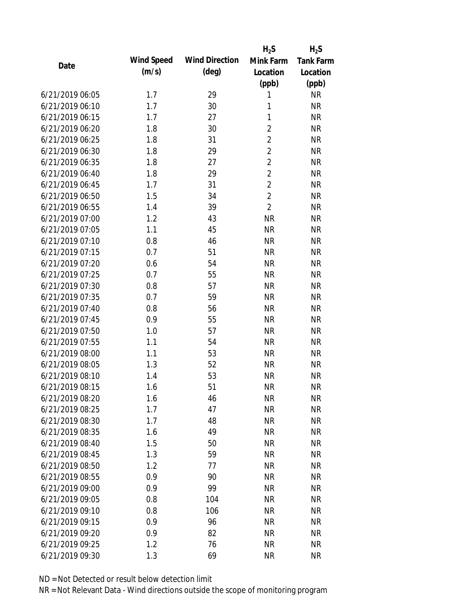|                 |            |                       | $H_2S$         | $H_2S$    |
|-----------------|------------|-----------------------|----------------|-----------|
| Date            | Wind Speed | <b>Wind Direction</b> | Mink Farm      | Tank Farm |
|                 | (m/s)      | $(\text{deg})$        | Location       | Location  |
|                 |            |                       | (ppb)          | (ppb)     |
| 6/21/2019 06:05 | 1.7        | 29                    | 1              | <b>NR</b> |
| 6/21/2019 06:10 | 1.7        | 30                    | 1              | <b>NR</b> |
| 6/21/2019 06:15 | 1.7        | 27                    | $\mathbf{1}$   | <b>NR</b> |
| 6/21/2019 06:20 | 1.8        | 30                    | $\overline{2}$ | <b>NR</b> |
| 6/21/2019 06:25 | 1.8        | 31                    | $\overline{2}$ | <b>NR</b> |
| 6/21/2019 06:30 | 1.8        | 29                    | $\overline{2}$ | <b>NR</b> |
| 6/21/2019 06:35 | 1.8        | 27                    | $\overline{2}$ | <b>NR</b> |
| 6/21/2019 06:40 | 1.8        | 29                    | $\overline{2}$ | <b>NR</b> |
| 6/21/2019 06:45 | 1.7        | 31                    | $\overline{2}$ | <b>NR</b> |
| 6/21/2019 06:50 | 1.5        | 34                    | $\overline{2}$ | <b>NR</b> |
| 6/21/2019 06:55 | 1.4        | 39                    | $\overline{2}$ | <b>NR</b> |
| 6/21/2019 07:00 | 1.2        | 43                    | <b>NR</b>      | <b>NR</b> |
| 6/21/2019 07:05 | 1.1        | 45                    | <b>NR</b>      | <b>NR</b> |
| 6/21/2019 07:10 | 0.8        | 46                    | <b>NR</b>      | <b>NR</b> |
| 6/21/2019 07:15 | 0.7        | 51                    | <b>NR</b>      | <b>NR</b> |
| 6/21/2019 07:20 | 0.6        | 54                    | <b>NR</b>      | <b>NR</b> |
| 6/21/2019 07:25 | 0.7        | 55                    | <b>NR</b>      | <b>NR</b> |
| 6/21/2019 07:30 | 0.8        | 57                    | <b>NR</b>      | <b>NR</b> |
| 6/21/2019 07:35 | 0.7        | 59                    | <b>NR</b>      | <b>NR</b> |
| 6/21/2019 07:40 | 0.8        | 56                    | <b>NR</b>      | <b>NR</b> |
| 6/21/2019 07:45 | 0.9        | 55                    | <b>NR</b>      | <b>NR</b> |
| 6/21/2019 07:50 | 1.0        | 57                    | <b>NR</b>      | <b>NR</b> |
| 6/21/2019 07:55 | 1.1        | 54                    | <b>NR</b>      | <b>NR</b> |
| 6/21/2019 08:00 | 1.1        | 53                    | <b>NR</b>      | <b>NR</b> |
| 6/21/2019 08:05 | 1.3        | 52                    | <b>NR</b>      | <b>NR</b> |
| 6/21/2019 08:10 | 1.4        | 53                    | <b>NR</b>      | <b>NR</b> |
| 6/21/2019 08:15 | 1.6        | 51                    | <b>NR</b>      | <b>NR</b> |
| 6/21/2019 08:20 | 1.6        | 46                    | <b>NR</b>      | <b>NR</b> |
| 6/21/2019 08:25 | 1.7        | 47                    | <b>NR</b>      | <b>NR</b> |
| 6/21/2019 08:30 | 1.7        | 48                    | <b>NR</b>      | <b>NR</b> |
| 6/21/2019 08:35 | 1.6        | 49                    | <b>NR</b>      | <b>NR</b> |
| 6/21/2019 08:40 | 1.5        | 50                    | <b>NR</b>      | <b>NR</b> |
| 6/21/2019 08:45 | 1.3        | 59                    | <b>NR</b>      | <b>NR</b> |
| 6/21/2019 08:50 | 1.2        | 77                    | <b>NR</b>      | <b>NR</b> |
| 6/21/2019 08:55 | 0.9        | 90                    | <b>NR</b>      | <b>NR</b> |
| 6/21/2019 09:00 | 0.9        | 99                    | <b>NR</b>      | <b>NR</b> |
| 6/21/2019 09:05 | 0.8        | 104                   | <b>NR</b>      | <b>NR</b> |
| 6/21/2019 09:10 | 0.8        | 106                   | <b>NR</b>      | <b>NR</b> |
| 6/21/2019 09:15 | 0.9        | 96                    | <b>NR</b>      | <b>NR</b> |
| 6/21/2019 09:20 | 0.9        | 82                    | <b>NR</b>      | <b>NR</b> |
| 6/21/2019 09:25 | 1.2        | 76                    | <b>NR</b>      | <b>NR</b> |
| 6/21/2019 09:30 | 1.3        | 69                    | <b>NR</b>      | <b>NR</b> |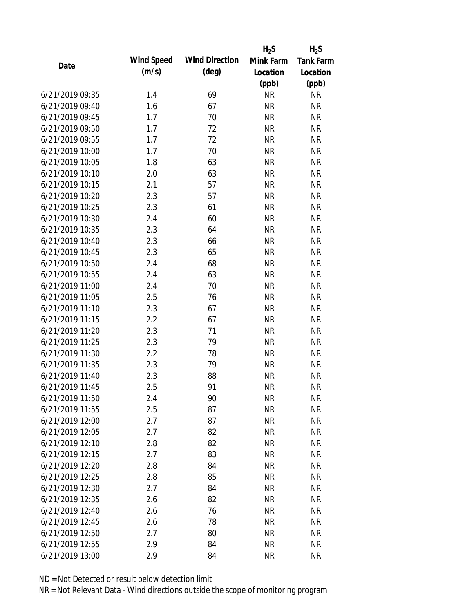|                 |            |                       | $H_2S$    | $H_2S$           |
|-----------------|------------|-----------------------|-----------|------------------|
| Date            | Wind Speed | <b>Wind Direction</b> | Mink Farm | <b>Tank Farm</b> |
|                 | (m/s)      | $(\text{deg})$        | Location  | Location         |
|                 |            |                       | (ppb)     | (ppb)            |
| 6/21/2019 09:35 | 1.4        | 69                    | <b>NR</b> | <b>NR</b>        |
| 6/21/2019 09:40 | 1.6        | 67                    | <b>NR</b> | <b>NR</b>        |
| 6/21/2019 09:45 | 1.7        | 70                    | <b>NR</b> | <b>NR</b>        |
| 6/21/2019 09:50 | 1.7        | 72                    | <b>NR</b> | <b>NR</b>        |
| 6/21/2019 09:55 | 1.7        | 72                    | <b>NR</b> | <b>NR</b>        |
| 6/21/2019 10:00 | 1.7        | 70                    | <b>NR</b> | <b>NR</b>        |
| 6/21/2019 10:05 | 1.8        | 63                    | <b>NR</b> | <b>NR</b>        |
| 6/21/2019 10:10 | 2.0        | 63                    | <b>NR</b> | <b>NR</b>        |
| 6/21/2019 10:15 | 2.1        | 57                    | <b>NR</b> | <b>NR</b>        |
| 6/21/2019 10:20 | 2.3        | 57                    | <b>NR</b> | <b>NR</b>        |
| 6/21/2019 10:25 | 2.3        | 61                    | <b>NR</b> | <b>NR</b>        |
| 6/21/2019 10:30 | 2.4        | 60                    | <b>NR</b> | <b>NR</b>        |
| 6/21/2019 10:35 | 2.3        | 64                    | <b>NR</b> | <b>NR</b>        |
| 6/21/2019 10:40 | 2.3        | 66                    | <b>NR</b> | <b>NR</b>        |
| 6/21/2019 10:45 | 2.3        | 65                    | <b>NR</b> | <b>NR</b>        |
| 6/21/2019 10:50 | 2.4        | 68                    | <b>NR</b> | <b>NR</b>        |
| 6/21/2019 10:55 | 2.4        | 63                    | <b>NR</b> | <b>NR</b>        |
| 6/21/2019 11:00 | 2.4        | 70                    | <b>NR</b> | <b>NR</b>        |
| 6/21/2019 11:05 | 2.5        | 76                    | <b>NR</b> | <b>NR</b>        |
| 6/21/2019 11:10 | 2.3        | 67                    | <b>NR</b> | <b>NR</b>        |
| 6/21/2019 11:15 | 2.2        | 67                    | <b>NR</b> | <b>NR</b>        |
| 6/21/2019 11:20 | 2.3        | 71                    | <b>NR</b> | <b>NR</b>        |
| 6/21/2019 11:25 | 2.3        | 79                    | <b>NR</b> | <b>NR</b>        |
| 6/21/2019 11:30 | 2.2        | 78                    | <b>NR</b> | <b>NR</b>        |
| 6/21/2019 11:35 | 2.3        | 79                    | <b>NR</b> | <b>NR</b>        |
| 6/21/2019 11:40 | 2.3        | 88                    | <b>NR</b> | <b>NR</b>        |
| 6/21/2019 11:45 | 2.5        | 91                    | <b>NR</b> | <b>NR</b>        |
| 6/21/2019 11:50 | 2.4        | 90                    | <b>NR</b> | <b>NR</b>        |
| 6/21/2019 11:55 | 2.5        | 87                    | <b>NR</b> | <b>NR</b>        |
| 6/21/2019 12:00 | 2.7        | 87                    | <b>NR</b> | <b>NR</b>        |
| 6/21/2019 12:05 | 2.7        | 82                    | <b>NR</b> | <b>NR</b>        |
| 6/21/2019 12:10 | 2.8        | 82                    | <b>NR</b> | <b>NR</b>        |
| 6/21/2019 12:15 | 2.7        | 83                    | <b>NR</b> | <b>NR</b>        |
| 6/21/2019 12:20 | 2.8        | 84                    | <b>NR</b> | <b>NR</b>        |
| 6/21/2019 12:25 | 2.8        | 85                    | <b>NR</b> | <b>NR</b>        |
| 6/21/2019 12:30 | 2.7        | 84                    | <b>NR</b> | <b>NR</b>        |
| 6/21/2019 12:35 | 2.6        | 82                    | <b>NR</b> | <b>NR</b>        |
| 6/21/2019 12:40 | 2.6        | 76                    | <b>NR</b> | <b>NR</b>        |
| 6/21/2019 12:45 | 2.6        | 78                    | <b>NR</b> | <b>NR</b>        |
| 6/21/2019 12:50 | 2.7        | 80                    | <b>NR</b> | <b>NR</b>        |
| 6/21/2019 12:55 | 2.9        | 84                    | <b>NR</b> | <b>NR</b>        |
| 6/21/2019 13:00 | 2.9        | 84                    | <b>NR</b> | <b>NR</b>        |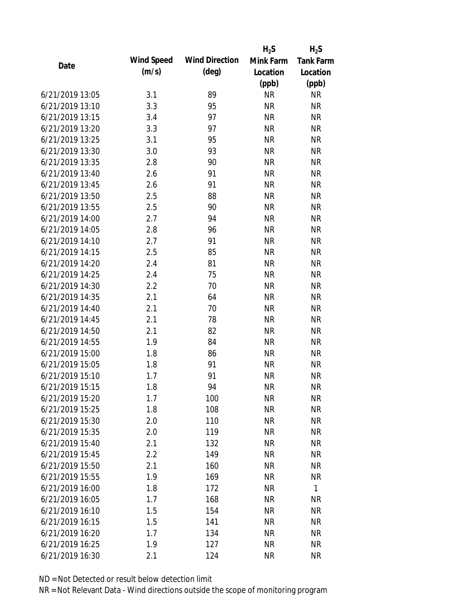|                 |            |                       | $H_2S$    | $H_2S$    |
|-----------------|------------|-----------------------|-----------|-----------|
| Date            | Wind Speed | <b>Wind Direction</b> | Mink Farm | Tank Farm |
|                 | (m/s)      | $(\text{deg})$        | Location  | Location  |
|                 |            |                       | (ppb)     | (ppb)     |
| 6/21/2019 13:05 | 3.1        | 89                    | <b>NR</b> | <b>NR</b> |
| 6/21/2019 13:10 | 3.3        | 95                    | <b>NR</b> | <b>NR</b> |
| 6/21/2019 13:15 | 3.4        | 97                    | <b>NR</b> | <b>NR</b> |
| 6/21/2019 13:20 | 3.3        | 97                    | <b>NR</b> | <b>NR</b> |
| 6/21/2019 13:25 | 3.1        | 95                    | <b>NR</b> | <b>NR</b> |
| 6/21/2019 13:30 | 3.0        | 93                    | <b>NR</b> | <b>NR</b> |
| 6/21/2019 13:35 | 2.8        | 90                    | <b>NR</b> | <b>NR</b> |
| 6/21/2019 13:40 | 2.6        | 91                    | <b>NR</b> | <b>NR</b> |
| 6/21/2019 13:45 | 2.6        | 91                    | <b>NR</b> | <b>NR</b> |
| 6/21/2019 13:50 | 2.5        | 88                    | <b>NR</b> | <b>NR</b> |
| 6/21/2019 13:55 | 2.5        | 90                    | <b>NR</b> | <b>NR</b> |
| 6/21/2019 14:00 | 2.7        | 94                    | <b>NR</b> | <b>NR</b> |
| 6/21/2019 14:05 | 2.8        | 96                    | <b>NR</b> | <b>NR</b> |
| 6/21/2019 14:10 | 2.7        | 91                    | <b>NR</b> | <b>NR</b> |
| 6/21/2019 14:15 | 2.5        | 85                    | <b>NR</b> | <b>NR</b> |
| 6/21/2019 14:20 | 2.4        | 81                    | <b>NR</b> | <b>NR</b> |
| 6/21/2019 14:25 | 2.4        | 75                    | <b>NR</b> | <b>NR</b> |
| 6/21/2019 14:30 | 2.2        | 70                    | <b>NR</b> | <b>NR</b> |
| 6/21/2019 14:35 | 2.1        | 64                    | <b>NR</b> | <b>NR</b> |
| 6/21/2019 14:40 | 2.1        | 70                    | <b>NR</b> | <b>NR</b> |
| 6/21/2019 14:45 | 2.1        | 78                    | <b>NR</b> | <b>NR</b> |
| 6/21/2019 14:50 | 2.1        | 82                    | <b>NR</b> | <b>NR</b> |
| 6/21/2019 14:55 | 1.9        | 84                    | <b>NR</b> | <b>NR</b> |
| 6/21/2019 15:00 | 1.8        | 86                    | <b>NR</b> | <b>NR</b> |
| 6/21/2019 15:05 | 1.8        | 91                    | <b>NR</b> | <b>NR</b> |
| 6/21/2019 15:10 | 1.7        | 91                    | <b>NR</b> | <b>NR</b> |
| 6/21/2019 15:15 | 1.8        | 94                    | <b>NR</b> | <b>NR</b> |
| 6/21/2019 15:20 | 1.7        | 100                   | <b>NR</b> | <b>NR</b> |
| 6/21/2019 15:25 | 1.8        | 108                   | <b>NR</b> | <b>NR</b> |
| 6/21/2019 15:30 | 2.0        | 110                   | <b>NR</b> | <b>NR</b> |
| 6/21/2019 15:35 | 2.0        | 119                   | <b>NR</b> | <b>NR</b> |
| 6/21/2019 15:40 | 2.1        | 132                   | <b>NR</b> | <b>NR</b> |
| 6/21/2019 15:45 | 2.2        | 149                   | <b>NR</b> | <b>NR</b> |
| 6/21/2019 15:50 | 2.1        | 160                   | <b>NR</b> | <b>NR</b> |
| 6/21/2019 15:55 | 1.9        | 169                   | <b>NR</b> | <b>NR</b> |
| 6/21/2019 16:00 | 1.8        | 172                   | <b>NR</b> | 1         |
| 6/21/2019 16:05 | 1.7        | 168                   | <b>NR</b> | <b>NR</b> |
| 6/21/2019 16:10 | 1.5        | 154                   | <b>NR</b> | <b>NR</b> |
| 6/21/2019 16:15 | 1.5        | 141                   | <b>NR</b> | <b>NR</b> |
| 6/21/2019 16:20 | 1.7        | 134                   | <b>NR</b> | <b>NR</b> |
| 6/21/2019 16:25 | 1.9        | 127                   | <b>NR</b> | <b>NR</b> |
| 6/21/2019 16:30 | 2.1        | 124                   | <b>NR</b> | <b>NR</b> |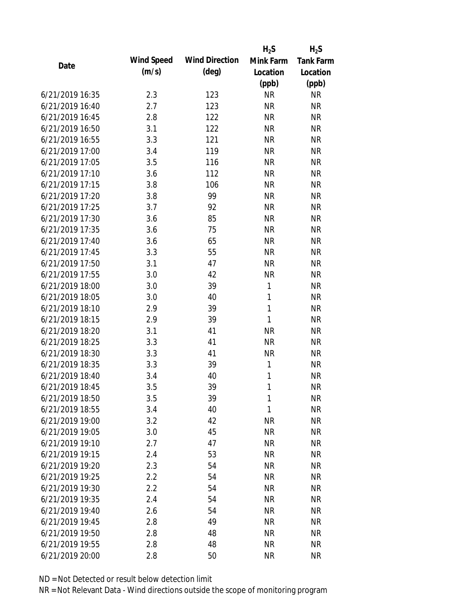|                 |            |                       | $H_2S$       | $H_2S$           |
|-----------------|------------|-----------------------|--------------|------------------|
| Date            | Wind Speed | <b>Wind Direction</b> | Mink Farm    | <b>Tank Farm</b> |
|                 | (m/s)      | $(\text{deg})$        | Location     | Location         |
|                 |            |                       | (ppb)        | (ppb)            |
| 6/21/2019 16:35 | 2.3        | 123                   | <b>NR</b>    | <b>NR</b>        |
| 6/21/2019 16:40 | 2.7        | 123                   | <b>NR</b>    | <b>NR</b>        |
| 6/21/2019 16:45 | 2.8        | 122                   | <b>NR</b>    | <b>NR</b>        |
| 6/21/2019 16:50 | 3.1        | 122                   | <b>NR</b>    | <b>NR</b>        |
| 6/21/2019 16:55 | 3.3        | 121                   | <b>NR</b>    | <b>NR</b>        |
| 6/21/2019 17:00 | 3.4        | 119                   | <b>NR</b>    | <b>NR</b>        |
| 6/21/2019 17:05 | 3.5        | 116                   | <b>NR</b>    | <b>NR</b>        |
| 6/21/2019 17:10 | 3.6        | 112                   | <b>NR</b>    | <b>NR</b>        |
| 6/21/2019 17:15 | 3.8        | 106                   | <b>NR</b>    | <b>NR</b>        |
| 6/21/2019 17:20 | 3.8        | 99                    | <b>NR</b>    | <b>NR</b>        |
| 6/21/2019 17:25 | 3.7        | 92                    | <b>NR</b>    | <b>NR</b>        |
| 6/21/2019 17:30 | 3.6        | 85                    | <b>NR</b>    | <b>NR</b>        |
| 6/21/2019 17:35 | 3.6        | 75                    | <b>NR</b>    | <b>NR</b>        |
| 6/21/2019 17:40 | 3.6        | 65                    | <b>NR</b>    | <b>NR</b>        |
| 6/21/2019 17:45 | 3.3        | 55                    | <b>NR</b>    | <b>NR</b>        |
| 6/21/2019 17:50 | 3.1        | 47                    | <b>NR</b>    | <b>NR</b>        |
| 6/21/2019 17:55 | 3.0        | 42                    | <b>NR</b>    | <b>NR</b>        |
| 6/21/2019 18:00 | 3.0        | 39                    | $\mathbf{1}$ | <b>NR</b>        |
| 6/21/2019 18:05 | 3.0        | 40                    | $\mathbf{1}$ | <b>NR</b>        |
| 6/21/2019 18:10 | 2.9        | 39                    | $\mathbf{1}$ | <b>NR</b>        |
| 6/21/2019 18:15 | 2.9        | 39                    | 1            | <b>NR</b>        |
| 6/21/2019 18:20 | 3.1        | 41                    | <b>NR</b>    | <b>NR</b>        |
| 6/21/2019 18:25 | 3.3        | 41                    | <b>NR</b>    | <b>NR</b>        |
| 6/21/2019 18:30 | 3.3        | 41                    | <b>NR</b>    | <b>NR</b>        |
| 6/21/2019 18:35 | 3.3        | 39                    | $\mathbf{1}$ | <b>NR</b>        |
| 6/21/2019 18:40 | 3.4        | 40                    | $\mathbf{1}$ | <b>NR</b>        |
| 6/21/2019 18:45 | 3.5        | 39                    | $\mathbf{1}$ | <b>NR</b>        |
| 6/21/2019 18:50 | 3.5        | 39                    | 1            | <b>NR</b>        |
| 6/21/2019 18:55 | 3.4        | 40                    | $\mathbf{1}$ | <b>NR</b>        |
| 6/21/2019 19:00 | 3.2        | 42                    | <b>NR</b>    | <b>NR</b>        |
| 6/21/2019 19:05 | 3.0        | 45                    | <b>NR</b>    | <b>NR</b>        |
| 6/21/2019 19:10 | 2.7        | 47                    | <b>NR</b>    | <b>NR</b>        |
| 6/21/2019 19:15 | 2.4        | 53                    | <b>NR</b>    | <b>NR</b>        |
| 6/21/2019 19:20 | 2.3        | 54                    | <b>NR</b>    | <b>NR</b>        |
| 6/21/2019 19:25 | 2.2        | 54                    | <b>NR</b>    | <b>NR</b>        |
| 6/21/2019 19:30 | 2.2        | 54                    | <b>NR</b>    | <b>NR</b>        |
| 6/21/2019 19:35 | 2.4        | 54                    | <b>NR</b>    | <b>NR</b>        |
| 6/21/2019 19:40 | 2.6        | 54                    | <b>NR</b>    | <b>NR</b>        |
| 6/21/2019 19:45 | 2.8        | 49                    | <b>NR</b>    | <b>NR</b>        |
| 6/21/2019 19:50 | 2.8        | 48                    | <b>NR</b>    | <b>NR</b>        |
| 6/21/2019 19:55 | 2.8        | 48                    | <b>NR</b>    | <b>NR</b>        |
| 6/21/2019 20:00 | 2.8        | 50                    | <b>NR</b>    | <b>NR</b>        |
|                 |            |                       |              |                  |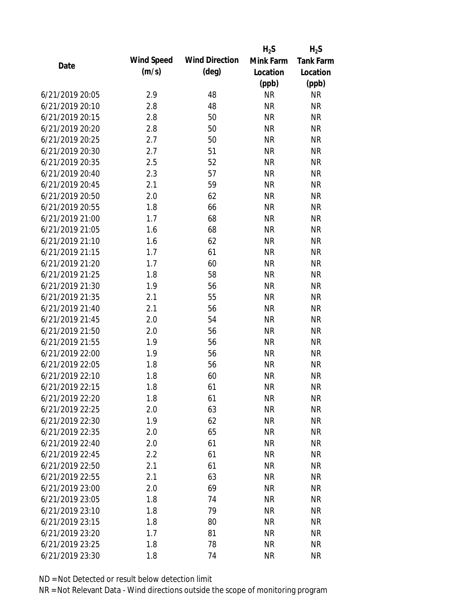|                 |            |                       | $H_2S$    | $H_2S$           |
|-----------------|------------|-----------------------|-----------|------------------|
| Date            | Wind Speed | <b>Wind Direction</b> | Mink Farm | <b>Tank Farm</b> |
|                 | (m/s)      | $(\text{deg})$        | Location  | Location         |
|                 |            |                       | (ppb)     | (ppb)            |
| 6/21/2019 20:05 | 2.9        | 48                    | <b>NR</b> | <b>NR</b>        |
| 6/21/2019 20:10 | 2.8        | 48                    | <b>NR</b> | <b>NR</b>        |
| 6/21/2019 20:15 | 2.8        | 50                    | <b>NR</b> | <b>NR</b>        |
| 6/21/2019 20:20 | 2.8        | 50                    | <b>NR</b> | <b>NR</b>        |
| 6/21/2019 20:25 | 2.7        | 50                    | <b>NR</b> | <b>NR</b>        |
| 6/21/2019 20:30 | 2.7        | 51                    | <b>NR</b> | <b>NR</b>        |
| 6/21/2019 20:35 | 2.5        | 52                    | <b>NR</b> | <b>NR</b>        |
| 6/21/2019 20:40 | 2.3        | 57                    | <b>NR</b> | <b>NR</b>        |
| 6/21/2019 20:45 | 2.1        | 59                    | <b>NR</b> | <b>NR</b>        |
| 6/21/2019 20:50 | 2.0        | 62                    | <b>NR</b> | <b>NR</b>        |
| 6/21/2019 20:55 | 1.8        | 66                    | <b>NR</b> | <b>NR</b>        |
| 6/21/2019 21:00 | 1.7        | 68                    | <b>NR</b> | <b>NR</b>        |
| 6/21/2019 21:05 | 1.6        | 68                    | <b>NR</b> | <b>NR</b>        |
| 6/21/2019 21:10 | 1.6        | 62                    | <b>NR</b> | <b>NR</b>        |
| 6/21/2019 21:15 | 1.7        | 61                    | <b>NR</b> | <b>NR</b>        |
| 6/21/2019 21:20 | 1.7        | 60                    | <b>NR</b> | <b>NR</b>        |
| 6/21/2019 21:25 | 1.8        | 58                    | <b>NR</b> | <b>NR</b>        |
| 6/21/2019 21:30 | 1.9        | 56                    | <b>NR</b> | <b>NR</b>        |
| 6/21/2019 21:35 | 2.1        | 55                    | <b>NR</b> | <b>NR</b>        |
| 6/21/2019 21:40 | 2.1        | 56                    | <b>NR</b> | <b>NR</b>        |
| 6/21/2019 21:45 | 2.0        | 54                    | <b>NR</b> | <b>NR</b>        |
| 6/21/2019 21:50 | 2.0        | 56                    | <b>NR</b> | <b>NR</b>        |
| 6/21/2019 21:55 | 1.9        | 56                    | <b>NR</b> | <b>NR</b>        |
| 6/21/2019 22:00 | 1.9        | 56                    | <b>NR</b> | <b>NR</b>        |
| 6/21/2019 22:05 | 1.8        | 56                    | <b>NR</b> | <b>NR</b>        |
| 6/21/2019 22:10 | 1.8        | 60                    | <b>NR</b> | <b>NR</b>        |
| 6/21/2019 22:15 | 1.8        | 61                    | <b>NR</b> | <b>NR</b>        |
| 6/21/2019 22:20 | 1.8        | 61                    | <b>NR</b> | <b>NR</b>        |
| 6/21/2019 22:25 | 2.0        | 63                    | <b>NR</b> | <b>NR</b>        |
| 6/21/2019 22:30 | 1.9        | 62                    | <b>NR</b> | <b>NR</b>        |
| 6/21/2019 22:35 | 2.0        | 65                    | <b>NR</b> | <b>NR</b>        |
| 6/21/2019 22:40 | 2.0        | 61                    | <b>NR</b> | <b>NR</b>        |
| 6/21/2019 22:45 | 2.2        | 61                    | <b>NR</b> | <b>NR</b>        |
| 6/21/2019 22:50 | 2.1        | 61                    | <b>NR</b> | <b>NR</b>        |
| 6/21/2019 22:55 | 2.1        | 63                    | <b>NR</b> | <b>NR</b>        |
| 6/21/2019 23:00 | 2.0        | 69                    | <b>NR</b> | <b>NR</b>        |
| 6/21/2019 23:05 | 1.8        | 74                    | <b>NR</b> | <b>NR</b>        |
| 6/21/2019 23:10 | 1.8        | 79                    | <b>NR</b> | <b>NR</b>        |
| 6/21/2019 23:15 | 1.8        | 80                    | <b>NR</b> | <b>NR</b>        |
| 6/21/2019 23:20 | 1.7        | 81                    | <b>NR</b> | <b>NR</b>        |
| 6/21/2019 23:25 | 1.8        | 78                    | <b>NR</b> | <b>NR</b>        |
| 6/21/2019 23:30 | 1.8        | 74                    | <b>NR</b> | <b>NR</b>        |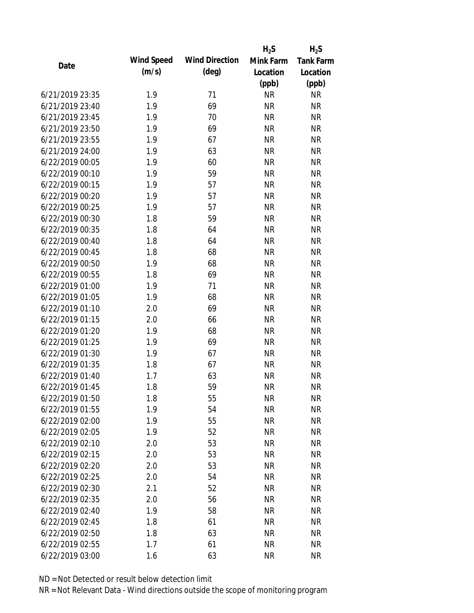|                 |            |                       | $H_2S$    | $H_2S$           |
|-----------------|------------|-----------------------|-----------|------------------|
| Date            | Wind Speed | <b>Wind Direction</b> | Mink Farm | <b>Tank Farm</b> |
|                 | (m/s)      | $(\text{deg})$        | Location  | Location         |
|                 |            |                       | (ppb)     | (ppb)            |
| 6/21/2019 23:35 | 1.9        | 71                    | <b>NR</b> | <b>NR</b>        |
| 6/21/2019 23:40 | 1.9        | 69                    | <b>NR</b> | <b>NR</b>        |
| 6/21/2019 23:45 | 1.9        | 70                    | <b>NR</b> | <b>NR</b>        |
| 6/21/2019 23:50 | 1.9        | 69                    | <b>NR</b> | <b>NR</b>        |
| 6/21/2019 23:55 | 1.9        | 67                    | <b>NR</b> | <b>NR</b>        |
| 6/21/2019 24:00 | 1.9        | 63                    | <b>NR</b> | <b>NR</b>        |
| 6/22/2019 00:05 | 1.9        | 60                    | <b>NR</b> | <b>NR</b>        |
| 6/22/2019 00:10 | 1.9        | 59                    | <b>NR</b> | <b>NR</b>        |
| 6/22/2019 00:15 | 1.9        | 57                    | <b>NR</b> | <b>NR</b>        |
| 6/22/2019 00:20 | 1.9        | 57                    | <b>NR</b> | <b>NR</b>        |
| 6/22/2019 00:25 | 1.9        | 57                    | <b>NR</b> | <b>NR</b>        |
| 6/22/2019 00:30 | 1.8        | 59                    | <b>NR</b> | <b>NR</b>        |
| 6/22/2019 00:35 | 1.8        | 64                    | <b>NR</b> | <b>NR</b>        |
| 6/22/2019 00:40 | 1.8        | 64                    | <b>NR</b> | <b>NR</b>        |
| 6/22/2019 00:45 | 1.8        | 68                    | <b>NR</b> | <b>NR</b>        |
| 6/22/2019 00:50 | 1.9        | 68                    | <b>NR</b> | <b>NR</b>        |
| 6/22/2019 00:55 | 1.8        | 69                    | <b>NR</b> | <b>NR</b>        |
| 6/22/2019 01:00 | 1.9        | 71                    | <b>NR</b> | <b>NR</b>        |
| 6/22/2019 01:05 | 1.9        | 68                    | <b>NR</b> | <b>NR</b>        |
| 6/22/2019 01:10 | 2.0        | 69                    | <b>NR</b> | <b>NR</b>        |
| 6/22/2019 01:15 | 2.0        | 66                    | <b>NR</b> | <b>NR</b>        |
| 6/22/2019 01:20 | 1.9        | 68                    | <b>NR</b> | <b>NR</b>        |
| 6/22/2019 01:25 | 1.9        | 69                    | <b>NR</b> | <b>NR</b>        |
| 6/22/2019 01:30 | 1.9        | 67                    | <b>NR</b> | <b>NR</b>        |
| 6/22/2019 01:35 | 1.8        | 67                    | <b>NR</b> | <b>NR</b>        |
| 6/22/2019 01:40 | 1.7        | 63                    | <b>NR</b> | <b>NR</b>        |
| 6/22/2019 01:45 | 1.8        | 59                    | <b>NR</b> | <b>NR</b>        |
| 6/22/2019 01:50 | 1.8        | 55                    | <b>NR</b> | <b>NR</b>        |
| 6/22/2019 01:55 | 1.9        | 54                    | <b>NR</b> | <b>NR</b>        |
| 6/22/2019 02:00 | 1.9        | 55                    | <b>NR</b> | <b>NR</b>        |
| 6/22/2019 02:05 | 1.9        | 52                    | <b>NR</b> | <b>NR</b>        |
| 6/22/2019 02:10 | 2.0        | 53                    | <b>NR</b> | <b>NR</b>        |
| 6/22/2019 02:15 | 2.0        | 53                    | <b>NR</b> | <b>NR</b>        |
| 6/22/2019 02:20 | 2.0        | 53                    | <b>NR</b> | <b>NR</b>        |
| 6/22/2019 02:25 | 2.0        | 54                    | <b>NR</b> | <b>NR</b>        |
| 6/22/2019 02:30 | 2.1        | 52                    | <b>NR</b> | <b>NR</b>        |
| 6/22/2019 02:35 | 2.0        | 56                    | <b>NR</b> | <b>NR</b>        |
| 6/22/2019 02:40 | 1.9        | 58                    | <b>NR</b> | <b>NR</b>        |
| 6/22/2019 02:45 | 1.8        | 61                    | <b>NR</b> | <b>NR</b>        |
| 6/22/2019 02:50 | 1.8        | 63                    | <b>NR</b> | <b>NR</b>        |
| 6/22/2019 02:55 | 1.7        | 61                    | <b>NR</b> | <b>NR</b>        |
| 6/22/2019 03:00 | 1.6        | 63                    | <b>NR</b> | <b>NR</b>        |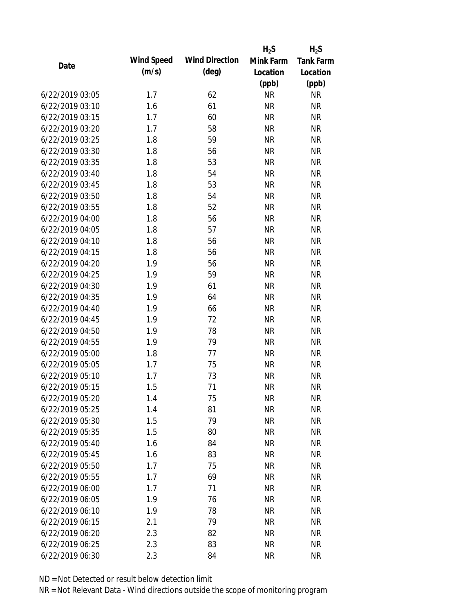|                 |            |                       | $H_2S$    | $H_2S$           |
|-----------------|------------|-----------------------|-----------|------------------|
| Date            | Wind Speed | <b>Wind Direction</b> | Mink Farm | <b>Tank Farm</b> |
|                 | (m/s)      | $(\text{deg})$        | Location  | Location         |
|                 |            |                       | (ppb)     | (ppb)            |
| 6/22/2019 03:05 | 1.7        | 62                    | <b>NR</b> | <b>NR</b>        |
| 6/22/2019 03:10 | 1.6        | 61                    | <b>NR</b> | <b>NR</b>        |
| 6/22/2019 03:15 | 1.7        | 60                    | <b>NR</b> | <b>NR</b>        |
| 6/22/2019 03:20 | 1.7        | 58                    | <b>NR</b> | <b>NR</b>        |
| 6/22/2019 03:25 | 1.8        | 59                    | <b>NR</b> | <b>NR</b>        |
| 6/22/2019 03:30 | 1.8        | 56                    | <b>NR</b> | <b>NR</b>        |
| 6/22/2019 03:35 | 1.8        | 53                    | <b>NR</b> | <b>NR</b>        |
| 6/22/2019 03:40 | 1.8        | 54                    | <b>NR</b> | <b>NR</b>        |
| 6/22/2019 03:45 | 1.8        | 53                    | <b>NR</b> | <b>NR</b>        |
| 6/22/2019 03:50 | 1.8        | 54                    | <b>NR</b> | <b>NR</b>        |
| 6/22/2019 03:55 | 1.8        | 52                    | <b>NR</b> | <b>NR</b>        |
| 6/22/2019 04:00 | 1.8        | 56                    | <b>NR</b> | <b>NR</b>        |
| 6/22/2019 04:05 | 1.8        | 57                    | <b>NR</b> | <b>NR</b>        |
| 6/22/2019 04:10 | 1.8        | 56                    | <b>NR</b> | <b>NR</b>        |
| 6/22/2019 04:15 | 1.8        | 56                    | <b>NR</b> | <b>NR</b>        |
| 6/22/2019 04:20 | 1.9        | 56                    | <b>NR</b> | <b>NR</b>        |
| 6/22/2019 04:25 | 1.9        | 59                    | <b>NR</b> | <b>NR</b>        |
| 6/22/2019 04:30 | 1.9        | 61                    | <b>NR</b> | <b>NR</b>        |
| 6/22/2019 04:35 | 1.9        | 64                    | <b>NR</b> | <b>NR</b>        |
| 6/22/2019 04:40 | 1.9        | 66                    | <b>NR</b> | <b>NR</b>        |
| 6/22/2019 04:45 | 1.9        | 72                    | <b>NR</b> | <b>NR</b>        |
| 6/22/2019 04:50 | 1.9        | 78                    | <b>NR</b> | <b>NR</b>        |
| 6/22/2019 04:55 | 1.9        | 79                    | <b>NR</b> | <b>NR</b>        |
| 6/22/2019 05:00 | 1.8        | 77                    | <b>NR</b> | <b>NR</b>        |
| 6/22/2019 05:05 | 1.7        | 75                    | <b>NR</b> | <b>NR</b>        |
| 6/22/2019 05:10 | 1.7        | 73                    | <b>NR</b> | <b>NR</b>        |
| 6/22/2019 05:15 | 1.5        | 71                    | <b>NR</b> | <b>NR</b>        |
| 6/22/2019 05:20 | 1.4        | 75                    | <b>NR</b> | <b>NR</b>        |
| 6/22/2019 05:25 | 1.4        | 81                    | <b>NR</b> | <b>NR</b>        |
| 6/22/2019 05:30 | 1.5        | 79                    | <b>NR</b> | <b>NR</b>        |
| 6/22/2019 05:35 | 1.5        | 80                    | <b>NR</b> | <b>NR</b>        |
| 6/22/2019 05:40 | 1.6        | 84                    | <b>NR</b> | <b>NR</b>        |
| 6/22/2019 05:45 | 1.6        | 83                    | <b>NR</b> | <b>NR</b>        |
| 6/22/2019 05:50 | 1.7        | 75                    | <b>NR</b> | <b>NR</b>        |
| 6/22/2019 05:55 | 1.7        | 69                    | <b>NR</b> | <b>NR</b>        |
| 6/22/2019 06:00 | 1.7        | 71                    | <b>NR</b> | <b>NR</b>        |
| 6/22/2019 06:05 | 1.9        | 76                    | <b>NR</b> | <b>NR</b>        |
| 6/22/2019 06:10 | 1.9        | 78                    | <b>NR</b> | <b>NR</b>        |
| 6/22/2019 06:15 | 2.1        | 79                    | <b>NR</b> | <b>NR</b>        |
| 6/22/2019 06:20 | 2.3        | 82                    | <b>NR</b> | <b>NR</b>        |
| 6/22/2019 06:25 | 2.3        | 83                    | <b>NR</b> | <b>NR</b>        |
| 6/22/2019 06:30 | 2.3        | 84                    | <b>NR</b> | <b>NR</b>        |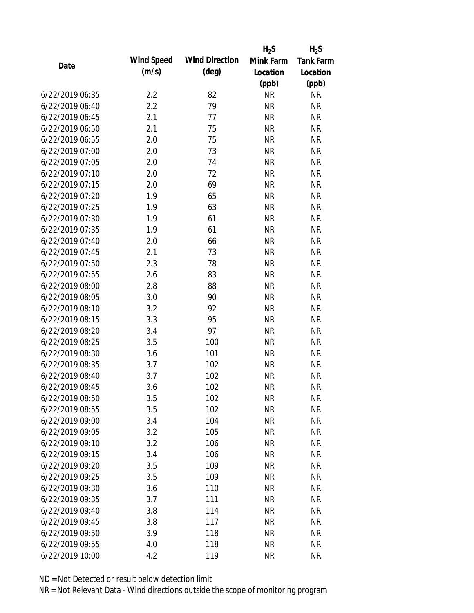|                 |            |                       | $H_2S$    | $H_2S$           |
|-----------------|------------|-----------------------|-----------|------------------|
| Date            | Wind Speed | <b>Wind Direction</b> | Mink Farm | <b>Tank Farm</b> |
|                 | (m/s)      | $(\text{deg})$        | Location  | Location         |
|                 |            |                       | (ppb)     | (ppb)            |
| 6/22/2019 06:35 | 2.2        | 82                    | <b>NR</b> | <b>NR</b>        |
| 6/22/2019 06:40 | 2.2        | 79                    | <b>NR</b> | <b>NR</b>        |
| 6/22/2019 06:45 | 2.1        | 77                    | <b>NR</b> | <b>NR</b>        |
| 6/22/2019 06:50 | 2.1        | 75                    | <b>NR</b> | <b>NR</b>        |
| 6/22/2019 06:55 | 2.0        | 75                    | <b>NR</b> | <b>NR</b>        |
| 6/22/2019 07:00 | 2.0        | 73                    | <b>NR</b> | <b>NR</b>        |
| 6/22/2019 07:05 | 2.0        | 74                    | <b>NR</b> | <b>NR</b>        |
| 6/22/2019 07:10 | 2.0        | 72                    | <b>NR</b> | <b>NR</b>        |
| 6/22/2019 07:15 | 2.0        | 69                    | <b>NR</b> | <b>NR</b>        |
| 6/22/2019 07:20 | 1.9        | 65                    | <b>NR</b> | <b>NR</b>        |
| 6/22/2019 07:25 | 1.9        | 63                    | <b>NR</b> | <b>NR</b>        |
| 6/22/2019 07:30 | 1.9        | 61                    | <b>NR</b> | <b>NR</b>        |
| 6/22/2019 07:35 | 1.9        | 61                    | <b>NR</b> | <b>NR</b>        |
| 6/22/2019 07:40 | 2.0        | 66                    | <b>NR</b> | <b>NR</b>        |
| 6/22/2019 07:45 | 2.1        | 73                    | <b>NR</b> | <b>NR</b>        |
| 6/22/2019 07:50 | 2.3        | 78                    | <b>NR</b> | <b>NR</b>        |
| 6/22/2019 07:55 | 2.6        | 83                    | <b>NR</b> | <b>NR</b>        |
| 6/22/2019 08:00 | 2.8        | 88                    | <b>NR</b> | <b>NR</b>        |
| 6/22/2019 08:05 | 3.0        | 90                    | <b>NR</b> | <b>NR</b>        |
| 6/22/2019 08:10 | 3.2        | 92                    | <b>NR</b> | <b>NR</b>        |
| 6/22/2019 08:15 | 3.3        | 95                    | <b>NR</b> | <b>NR</b>        |
| 6/22/2019 08:20 | 3.4        | 97                    | <b>NR</b> | <b>NR</b>        |
| 6/22/2019 08:25 | 3.5        | 100                   | <b>NR</b> | <b>NR</b>        |
| 6/22/2019 08:30 | 3.6        | 101                   | <b>NR</b> | <b>NR</b>        |
| 6/22/2019 08:35 | 3.7        | 102                   | <b>NR</b> | <b>NR</b>        |
| 6/22/2019 08:40 | 3.7        | 102                   | <b>NR</b> | <b>NR</b>        |
| 6/22/2019 08:45 | 3.6        | 102                   | <b>NR</b> | <b>NR</b>        |
| 6/22/2019 08:50 | 3.5        | 102                   | <b>NR</b> | <b>NR</b>        |
| 6/22/2019 08:55 | 3.5        | 102                   | <b>NR</b> | <b>NR</b>        |
| 6/22/2019 09:00 | 3.4        | 104                   | <b>NR</b> | <b>NR</b>        |
| 6/22/2019 09:05 | 3.2        | 105                   | <b>NR</b> | <b>NR</b>        |
| 6/22/2019 09:10 | 3.2        | 106                   | <b>NR</b> | <b>NR</b>        |
| 6/22/2019 09:15 | 3.4        | 106                   | <b>NR</b> | <b>NR</b>        |
| 6/22/2019 09:20 | 3.5        | 109                   | <b>NR</b> | <b>NR</b>        |
| 6/22/2019 09:25 | 3.5        | 109                   | <b>NR</b> | <b>NR</b>        |
| 6/22/2019 09:30 | 3.6        | 110                   | <b>NR</b> | <b>NR</b>        |
| 6/22/2019 09:35 | 3.7        | 111                   | <b>NR</b> | <b>NR</b>        |
| 6/22/2019 09:40 | 3.8        | 114                   | <b>NR</b> | <b>NR</b>        |
| 6/22/2019 09:45 | 3.8        | 117                   | <b>NR</b> | <b>NR</b>        |
| 6/22/2019 09:50 | 3.9        | 118                   | <b>NR</b> | <b>NR</b>        |
| 6/22/2019 09:55 | 4.0        | 118                   | <b>NR</b> | <b>NR</b>        |
| 6/22/2019 10:00 | 4.2        | 119                   | <b>NR</b> | <b>NR</b>        |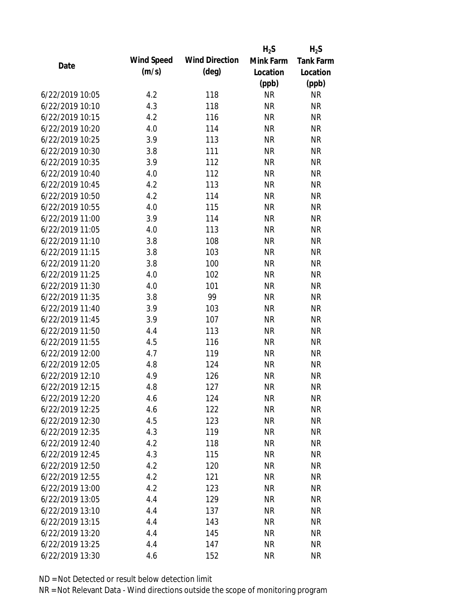|                 |            |                       | $H_2S$    | $H_2S$    |
|-----------------|------------|-----------------------|-----------|-----------|
| Date            | Wind Speed | <b>Wind Direction</b> | Mink Farm | Tank Farm |
|                 | (m/s)      | $(\text{deg})$        | Location  | Location  |
|                 |            |                       | (ppb)     | (ppb)     |
| 6/22/2019 10:05 | 4.2        | 118                   | <b>NR</b> | <b>NR</b> |
| 6/22/2019 10:10 | 4.3        | 118                   | <b>NR</b> | <b>NR</b> |
| 6/22/2019 10:15 | 4.2        | 116                   | <b>NR</b> | <b>NR</b> |
| 6/22/2019 10:20 | 4.0        | 114                   | <b>NR</b> | <b>NR</b> |
| 6/22/2019 10:25 | 3.9        | 113                   | <b>NR</b> | <b>NR</b> |
| 6/22/2019 10:30 | 3.8        | 111                   | <b>NR</b> | <b>NR</b> |
| 6/22/2019 10:35 | 3.9        | 112                   | <b>NR</b> | <b>NR</b> |
| 6/22/2019 10:40 | 4.0        | 112                   | <b>NR</b> | <b>NR</b> |
| 6/22/2019 10:45 | 4.2        | 113                   | <b>NR</b> | <b>NR</b> |
| 6/22/2019 10:50 | 4.2        | 114                   | <b>NR</b> | <b>NR</b> |
| 6/22/2019 10:55 | 4.0        | 115                   | <b>NR</b> | <b>NR</b> |
| 6/22/2019 11:00 | 3.9        | 114                   | <b>NR</b> | <b>NR</b> |
| 6/22/2019 11:05 | 4.0        | 113                   | <b>NR</b> | <b>NR</b> |
| 6/22/2019 11:10 | 3.8        | 108                   | <b>NR</b> | <b>NR</b> |
| 6/22/2019 11:15 | 3.8        | 103                   | <b>NR</b> | <b>NR</b> |
| 6/22/2019 11:20 | 3.8        | 100                   | <b>NR</b> | <b>NR</b> |
| 6/22/2019 11:25 | 4.0        | 102                   | <b>NR</b> | <b>NR</b> |
| 6/22/2019 11:30 | 4.0        | 101                   | <b>NR</b> | <b>NR</b> |
| 6/22/2019 11:35 | 3.8        | 99                    | <b>NR</b> | <b>NR</b> |
| 6/22/2019 11:40 | 3.9        | 103                   | <b>NR</b> | <b>NR</b> |
| 6/22/2019 11:45 | 3.9        | 107                   | <b>NR</b> | <b>NR</b> |
| 6/22/2019 11:50 | 4.4        | 113                   | <b>NR</b> | <b>NR</b> |
| 6/22/2019 11:55 | 4.5        | 116                   | <b>NR</b> | <b>NR</b> |
| 6/22/2019 12:00 | 4.7        | 119                   | <b>NR</b> | <b>NR</b> |
| 6/22/2019 12:05 | 4.8        | 124                   | <b>NR</b> | <b>NR</b> |
| 6/22/2019 12:10 | 4.9        | 126                   | <b>NR</b> | <b>NR</b> |
| 6/22/2019 12:15 | 4.8        | 127                   | <b>NR</b> | <b>NR</b> |
| 6/22/2019 12:20 | 4.6        | 124                   | <b>NR</b> | <b>NR</b> |
| 6/22/2019 12:25 | 4.6        | 122                   | <b>NR</b> | <b>NR</b> |
| 6/22/2019 12:30 | 4.5        | 123                   | <b>NR</b> | <b>NR</b> |
| 6/22/2019 12:35 | 4.3        | 119                   | <b>NR</b> | <b>NR</b> |
| 6/22/2019 12:40 | 4.2        | 118                   | <b>NR</b> | <b>NR</b> |
| 6/22/2019 12:45 | 4.3        | 115                   | <b>NR</b> | <b>NR</b> |
| 6/22/2019 12:50 | 4.2        | 120                   | <b>NR</b> | <b>NR</b> |
| 6/22/2019 12:55 | 4.2        | 121                   | <b>NR</b> | <b>NR</b> |
| 6/22/2019 13:00 | 4.2        | 123                   | <b>NR</b> | <b>NR</b> |
| 6/22/2019 13:05 | 4.4        | 129                   | <b>NR</b> | <b>NR</b> |
| 6/22/2019 13:10 | 4.4        | 137                   | <b>NR</b> | <b>NR</b> |
| 6/22/2019 13:15 | 4.4        | 143                   | <b>NR</b> | <b>NR</b> |
| 6/22/2019 13:20 | 4.4        | 145                   | <b>NR</b> | <b>NR</b> |
| 6/22/2019 13:25 | 4.4        | 147                   | <b>NR</b> | <b>NR</b> |
| 6/22/2019 13:30 | 4.6        | 152                   | <b>NR</b> | <b>NR</b> |
|                 |            |                       |           |           |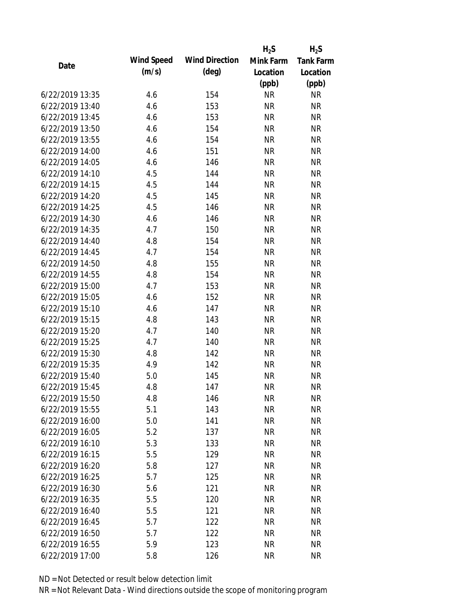|                 |            |                       | $H_2S$    | $H_2S$           |
|-----------------|------------|-----------------------|-----------|------------------|
| Date            | Wind Speed | <b>Wind Direction</b> | Mink Farm | <b>Tank Farm</b> |
|                 | (m/s)      | $(\text{deg})$        | Location  | Location         |
|                 |            |                       | (ppb)     | (ppb)            |
| 6/22/2019 13:35 | 4.6        | 154                   | <b>NR</b> | <b>NR</b>        |
| 6/22/2019 13:40 | 4.6        | 153                   | <b>NR</b> | <b>NR</b>        |
| 6/22/2019 13:45 | 4.6        | 153                   | <b>NR</b> | <b>NR</b>        |
| 6/22/2019 13:50 | 4.6        | 154                   | <b>NR</b> | <b>NR</b>        |
| 6/22/2019 13:55 | 4.6        | 154                   | <b>NR</b> | <b>NR</b>        |
| 6/22/2019 14:00 | 4.6        | 151                   | <b>NR</b> | <b>NR</b>        |
| 6/22/2019 14:05 | 4.6        | 146                   | <b>NR</b> | <b>NR</b>        |
| 6/22/2019 14:10 | 4.5        | 144                   | <b>NR</b> | <b>NR</b>        |
| 6/22/2019 14:15 | 4.5        | 144                   | <b>NR</b> | <b>NR</b>        |
| 6/22/2019 14:20 | 4.5        | 145                   | <b>NR</b> | <b>NR</b>        |
| 6/22/2019 14:25 | 4.5        | 146                   | <b>NR</b> | <b>NR</b>        |
| 6/22/2019 14:30 | 4.6        | 146                   | <b>NR</b> | <b>NR</b>        |
| 6/22/2019 14:35 | 4.7        | 150                   | <b>NR</b> | <b>NR</b>        |
| 6/22/2019 14:40 | 4.8        | 154                   | <b>NR</b> | <b>NR</b>        |
| 6/22/2019 14:45 | 4.7        | 154                   | <b>NR</b> | <b>NR</b>        |
| 6/22/2019 14:50 | 4.8        | 155                   | <b>NR</b> | <b>NR</b>        |
| 6/22/2019 14:55 | 4.8        | 154                   | <b>NR</b> | <b>NR</b>        |
| 6/22/2019 15:00 | 4.7        | 153                   | <b>NR</b> | <b>NR</b>        |
| 6/22/2019 15:05 | 4.6        | 152                   | <b>NR</b> | <b>NR</b>        |
| 6/22/2019 15:10 | 4.6        | 147                   | <b>NR</b> | <b>NR</b>        |
| 6/22/2019 15:15 | 4.8        | 143                   | <b>NR</b> | <b>NR</b>        |
| 6/22/2019 15:20 | 4.7        | 140                   | <b>NR</b> | <b>NR</b>        |
| 6/22/2019 15:25 | 4.7        | 140                   | <b>NR</b> | <b>NR</b>        |
| 6/22/2019 15:30 | 4.8        | 142                   | <b>NR</b> | <b>NR</b>        |
| 6/22/2019 15:35 | 4.9        | 142                   | <b>NR</b> | <b>NR</b>        |
| 6/22/2019 15:40 | 5.0        | 145                   | <b>NR</b> | <b>NR</b>        |
| 6/22/2019 15:45 | 4.8        | 147                   | <b>NR</b> | <b>NR</b>        |
| 6/22/2019 15:50 | 4.8        | 146                   | <b>NR</b> | <b>NR</b>        |
| 6/22/2019 15:55 | 5.1        | 143                   | <b>NR</b> | <b>NR</b>        |
| 6/22/2019 16:00 | 5.0        | 141                   | <b>NR</b> | <b>NR</b>        |
| 6/22/2019 16:05 | 5.2        | 137                   | <b>NR</b> | <b>NR</b>        |
| 6/22/2019 16:10 | 5.3        | 133                   | <b>NR</b> | <b>NR</b>        |
| 6/22/2019 16:15 | 5.5        | 129                   | <b>NR</b> | <b>NR</b>        |
| 6/22/2019 16:20 | 5.8        | 127                   | <b>NR</b> | <b>NR</b>        |
| 6/22/2019 16:25 | 5.7        | 125                   | <b>NR</b> | <b>NR</b>        |
| 6/22/2019 16:30 | 5.6        | 121                   | <b>NR</b> | <b>NR</b>        |
| 6/22/2019 16:35 | 5.5        | 120                   | <b>NR</b> | <b>NR</b>        |
| 6/22/2019 16:40 | 5.5        | 121                   | <b>NR</b> | <b>NR</b>        |
| 6/22/2019 16:45 | 5.7        | 122                   | <b>NR</b> | <b>NR</b>        |
| 6/22/2019 16:50 | 5.7        | 122                   | <b>NR</b> | <b>NR</b>        |
| 6/22/2019 16:55 | 5.9        | 123                   | <b>NR</b> | <b>NR</b>        |
| 6/22/2019 17:00 | 5.8        | 126                   | <b>NR</b> | <b>NR</b>        |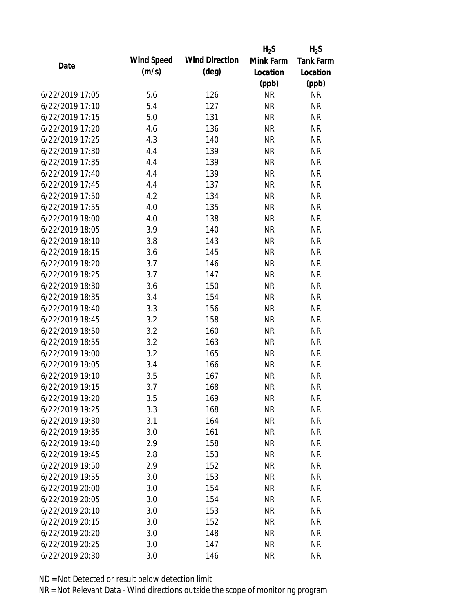|                 |            |                       | $H_2S$    | $H_2S$           |
|-----------------|------------|-----------------------|-----------|------------------|
| Date            | Wind Speed | <b>Wind Direction</b> | Mink Farm | <b>Tank Farm</b> |
|                 | (m/s)      | $(\text{deg})$        | Location  | Location         |
|                 |            |                       | (ppb)     | (ppb)            |
| 6/22/2019 17:05 | 5.6        | 126                   | <b>NR</b> | <b>NR</b>        |
| 6/22/2019 17:10 | 5.4        | 127                   | <b>NR</b> | <b>NR</b>        |
| 6/22/2019 17:15 | 5.0        | 131                   | <b>NR</b> | <b>NR</b>        |
| 6/22/2019 17:20 | 4.6        | 136                   | <b>NR</b> | <b>NR</b>        |
| 6/22/2019 17:25 | 4.3        | 140                   | <b>NR</b> | <b>NR</b>        |
| 6/22/2019 17:30 | 4.4        | 139                   | <b>NR</b> | <b>NR</b>        |
| 6/22/2019 17:35 | 4.4        | 139                   | <b>NR</b> | <b>NR</b>        |
| 6/22/2019 17:40 | 4.4        | 139                   | <b>NR</b> | <b>NR</b>        |
| 6/22/2019 17:45 | 4.4        | 137                   | <b>NR</b> | <b>NR</b>        |
| 6/22/2019 17:50 | 4.2        | 134                   | <b>NR</b> | <b>NR</b>        |
| 6/22/2019 17:55 | 4.0        | 135                   | <b>NR</b> | <b>NR</b>        |
| 6/22/2019 18:00 | 4.0        | 138                   | <b>NR</b> | <b>NR</b>        |
| 6/22/2019 18:05 | 3.9        | 140                   | <b>NR</b> | <b>NR</b>        |
| 6/22/2019 18:10 | 3.8        | 143                   | <b>NR</b> | <b>NR</b>        |
| 6/22/2019 18:15 | 3.6        | 145                   | <b>NR</b> | <b>NR</b>        |
| 6/22/2019 18:20 | 3.7        | 146                   | <b>NR</b> | <b>NR</b>        |
| 6/22/2019 18:25 | 3.7        | 147                   | <b>NR</b> | <b>NR</b>        |
| 6/22/2019 18:30 | 3.6        | 150                   | <b>NR</b> | <b>NR</b>        |
| 6/22/2019 18:35 | 3.4        | 154                   | <b>NR</b> | <b>NR</b>        |
| 6/22/2019 18:40 | 3.3        | 156                   | <b>NR</b> | <b>NR</b>        |
| 6/22/2019 18:45 | 3.2        | 158                   | <b>NR</b> | <b>NR</b>        |
| 6/22/2019 18:50 | 3.2        | 160                   | <b>NR</b> | <b>NR</b>        |
| 6/22/2019 18:55 | 3.2        | 163                   | <b>NR</b> | <b>NR</b>        |
| 6/22/2019 19:00 | 3.2        | 165                   | <b>NR</b> | <b>NR</b>        |
| 6/22/2019 19:05 | 3.4        | 166                   | <b>NR</b> | <b>NR</b>        |
| 6/22/2019 19:10 | 3.5        | 167                   | <b>NR</b> | <b>NR</b>        |
| 6/22/2019 19:15 | 3.7        | 168                   | <b>NR</b> | <b>NR</b>        |
| 6/22/2019 19:20 | 3.5        | 169                   | <b>NR</b> | <b>NR</b>        |
| 6/22/2019 19:25 | 3.3        | 168                   | <b>NR</b> | <b>NR</b>        |
| 6/22/2019 19:30 | 3.1        | 164                   | <b>NR</b> | <b>NR</b>        |
| 6/22/2019 19:35 | 3.0        | 161                   | <b>NR</b> | <b>NR</b>        |
| 6/22/2019 19:40 | 2.9        | 158                   | <b>NR</b> | <b>NR</b>        |
| 6/22/2019 19:45 | 2.8        | 153                   | <b>NR</b> | <b>NR</b>        |
| 6/22/2019 19:50 | 2.9        | 152                   | <b>NR</b> | <b>NR</b>        |
| 6/22/2019 19:55 | 3.0        | 153                   | <b>NR</b> | <b>NR</b>        |
| 6/22/2019 20:00 | 3.0        | 154                   | <b>NR</b> | <b>NR</b>        |
| 6/22/2019 20:05 | 3.0        | 154                   | <b>NR</b> | <b>NR</b>        |
| 6/22/2019 20:10 | 3.0        | 153                   | <b>NR</b> | <b>NR</b>        |
| 6/22/2019 20:15 | 3.0        | 152                   | <b>NR</b> | <b>NR</b>        |
| 6/22/2019 20:20 | 3.0        | 148                   | <b>NR</b> | <b>NR</b>        |
| 6/22/2019 20:25 | 3.0        | 147                   | <b>NR</b> | <b>NR</b>        |
| 6/22/2019 20:30 | 3.0        | 146                   | <b>NR</b> | <b>NR</b>        |
|                 |            |                       |           |                  |